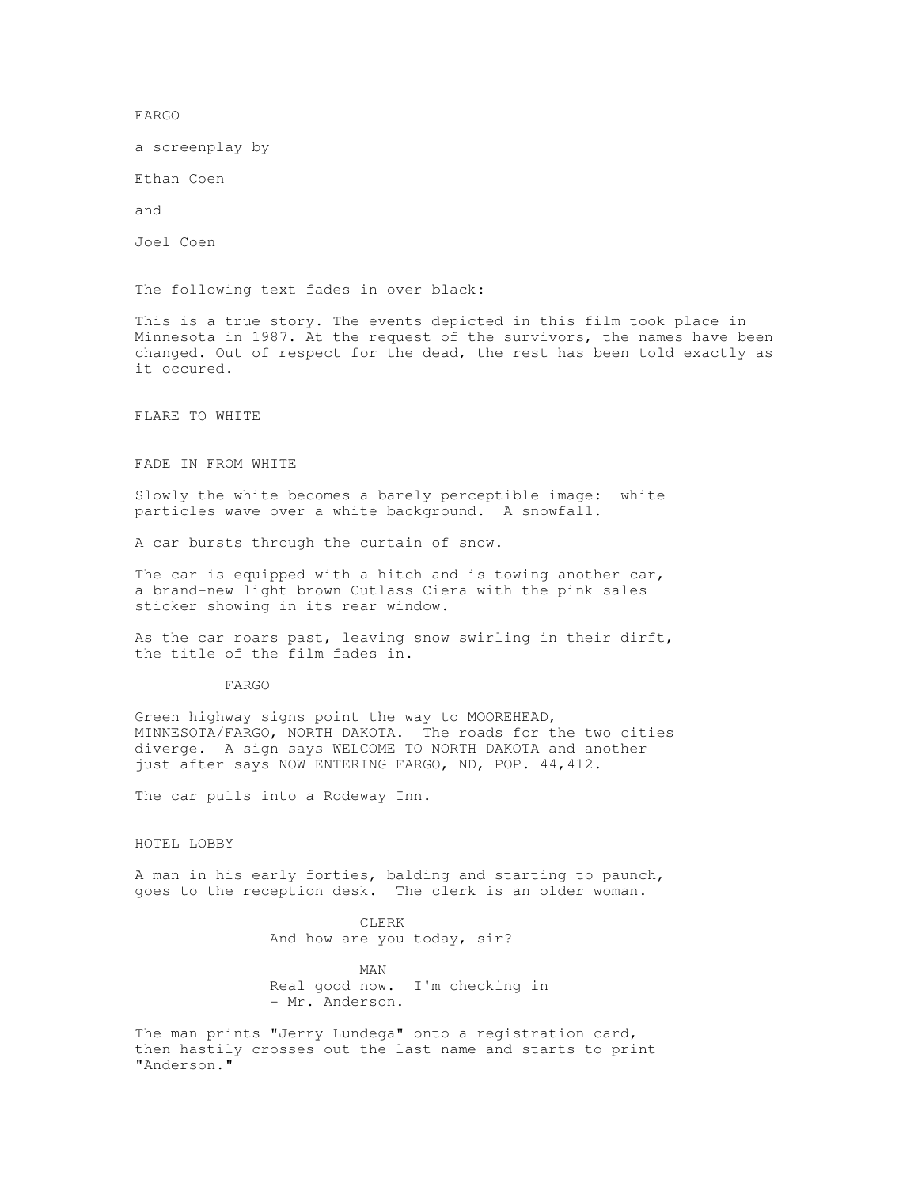FARGO

a screenplay by

Ethan Coen

and

Joel Coen

The following text fades in over black:

This is a true story. The events depicted in this film took place in Minnesota in 1987. At the request of the survivors, the names have been changed. Out of respect for the dead, the rest has been told exactly as it occured.

FLARE TO WHITE

FADE IN FROM WHITE

Slowly the white becomes a barely perceptible image: white particles wave over a white background. A snowfall.

A car bursts through the curtain of snow.

The car is equipped with a hitch and is towing another car, a brand-new light brown Cutlass Ciera with the pink sales sticker showing in its rear window.

As the car roars past, leaving snow swirling in their dirft, the title of the film fades in.

FARGO

Green highway signs point the way to MOOREHEAD, MINNESOTA/FARGO, NORTH DAKOTA. The roads for the two cities diverge. A sign says WELCOME TO NORTH DAKOTA and another just after says NOW ENTERING FARGO, ND, POP. 44,412.

The car pulls into a Rodeway Inn.

HOTEL LOBBY

A man in his early forties, balding and starting to paunch, goes to the reception desk. The clerk is an older woman.

> CLERK And how are you today, sir?

MAN MAN Real good now. I'm checking in - Mr. Anderson.

The man prints "Jerry Lundega" onto a registration card, then hastily crosses out the last name and starts to print "Anderson."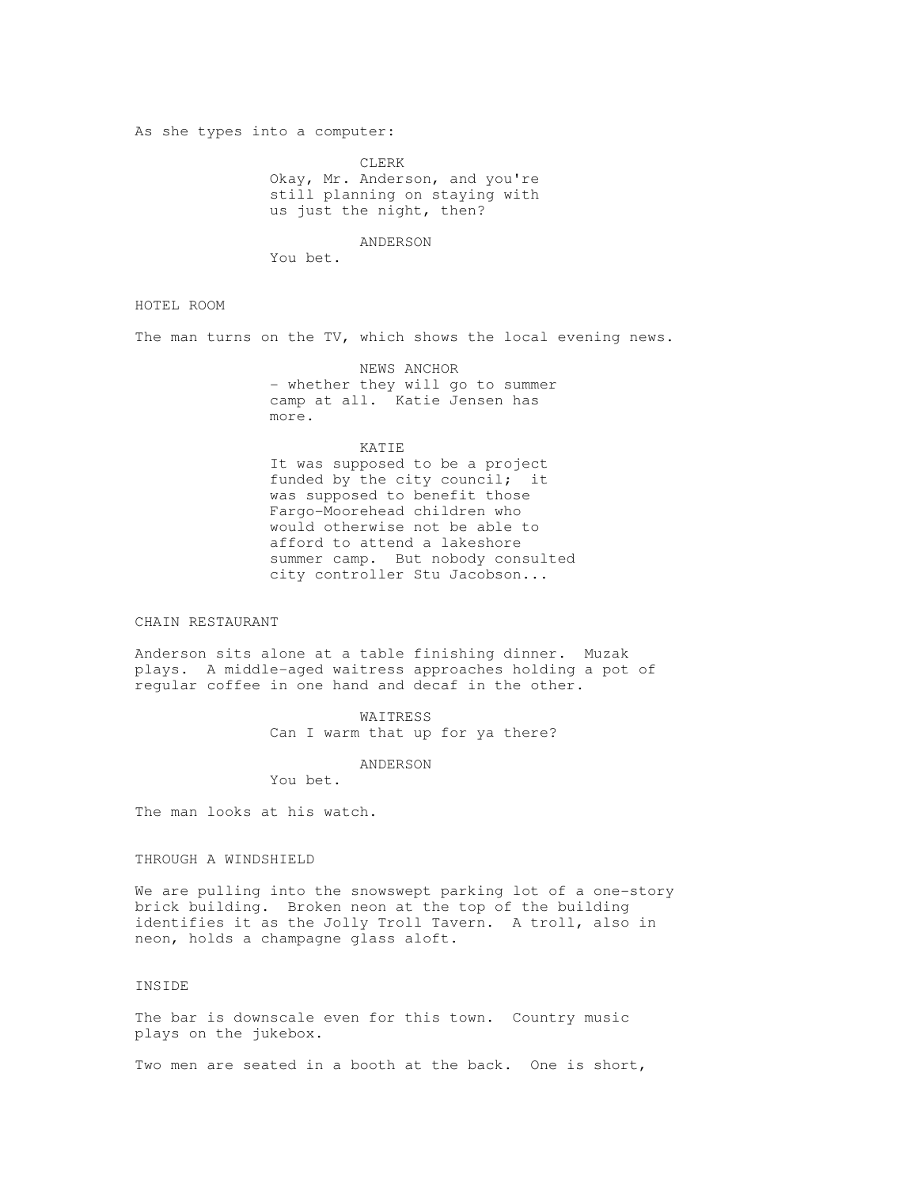As she types into a computer:

 CLERK Okay, Mr. Anderson, and you're still planning on staying with us just the night, then?

ANDERSON

You bet.

HOTEL ROOM

The man turns on the TV, which shows the local evening news.

 NEWS ANCHOR - whether they will go to summer camp at all. Katie Jensen has more.

 KATIE It was supposed to be a project funded by the city council; it was supposed to benefit those Fargo-Moorehead children who would otherwise not be able to afford to attend a lakeshore summer camp. But nobody consulted city controller Stu Jacobson...

#### CHAIN RESTAURANT

Anderson sits alone at a table finishing dinner. Muzak plays. A middle-aged waitress approaches holding a pot of regular coffee in one hand and decaf in the other.

> WAITRESS Can I warm that up for ya there?

> > ANDERSON

You bet.

The man looks at his watch.

# THROUGH A WINDSHIELD

We are pulling into the snowswept parking lot of a one-story brick building. Broken neon at the top of the building identifies it as the Jolly Troll Tavern. A troll, also in neon, holds a champagne glass aloft.

# INSIDE

The bar is downscale even for this town. Country music plays on the jukebox.

Two men are seated in a booth at the back. One is short,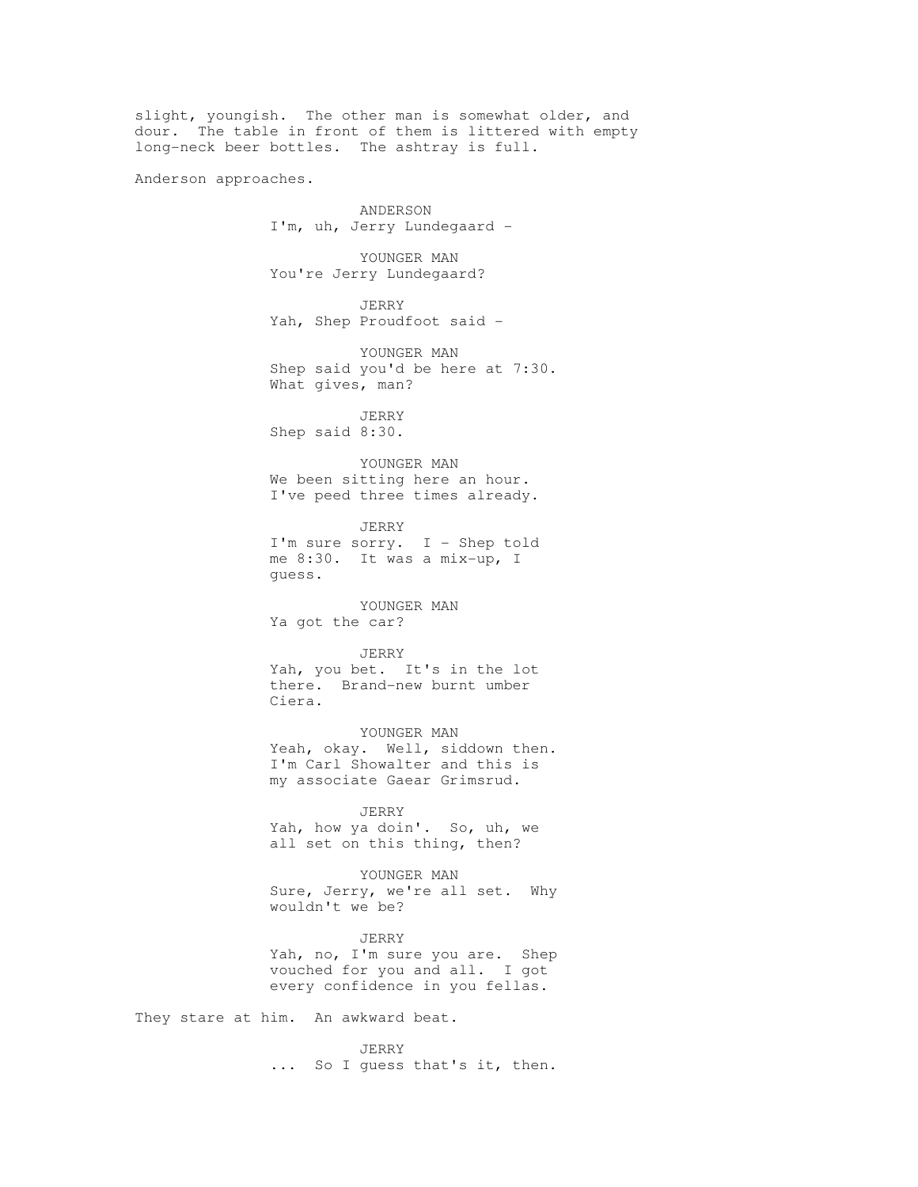slight, youngish. The other man is somewhat older, and dour. The table in front of them is littered with empty long-neck beer bottles. The ashtray is full. Anderson approaches. ANDERSON I'm, uh, Jerry Lundegaard - YOUNGER MAN You're Jerry Lundegaard? JERRY Yah, Shep Proudfoot said - YOUNGER MAN Shep said you'd be here at 7:30. What gives, man? JERRY Shep said 8:30. YOUNGER MAN We been sitting here an hour. I've peed three times already. JERRY I'm sure sorry. I - Shep told me 8:30. It was a mix-up, I guess. YOUNGER MAN Ya got the car? JERRY Yah, you bet. It's in the lot there. Brand-new burnt umber Ciera. YOUNGER MAN Yeah, okay. Well, siddown then. I'm Carl Showalter and this is my associate Gaear Grimsrud. JERRY Yah, how ya doin'. So, uh, we all set on this thing, then? YOUNGER MAN Sure, Jerry, we're all set. Why wouldn't we be? JERRY Yah, no, I'm sure you are. Shep vouched for you and all. I got every confidence in you fellas. They stare at him. An awkward beat. JERRY ... So I guess that's it, then.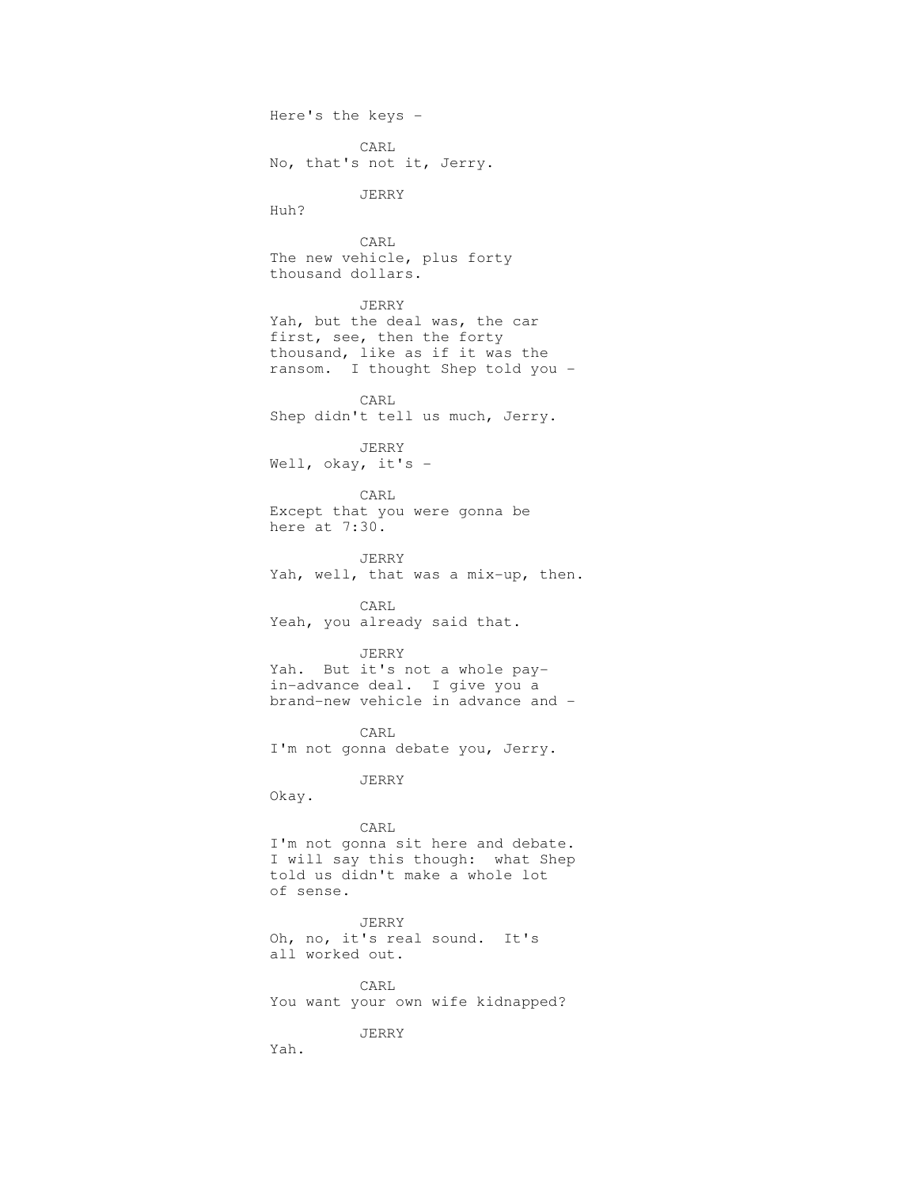Here's the keys - CARL No, that's not it, Jerry. JERRY Huh? CARL The new vehicle, plus forty thousand dollars. JERRY Yah, but the deal was, the car first, see, then the forty thousand, like as if it was the ransom. I thought Shep told you - CARL Shep didn't tell us much, Jerry. JERRY Well, okay, it's - CARL Except that you were gonna be here at 7:30. JERRY Yah, well, that was a mix-up, then. CARL Yeah, you already said that. JERRY Yah. But it's not a whole pay in-advance deal. I give you a brand-new vehicle in advance and - CARL I'm not gonna debate you, Jerry. JERRY Okay. CARL I'm not gonna sit here and debate. I will say this though: what Shep told us didn't make a whole lot of sense. JERRY Oh, no, it's real sound. It's all worked out. CARL You want your own wife kidnapped? JERRY Yah.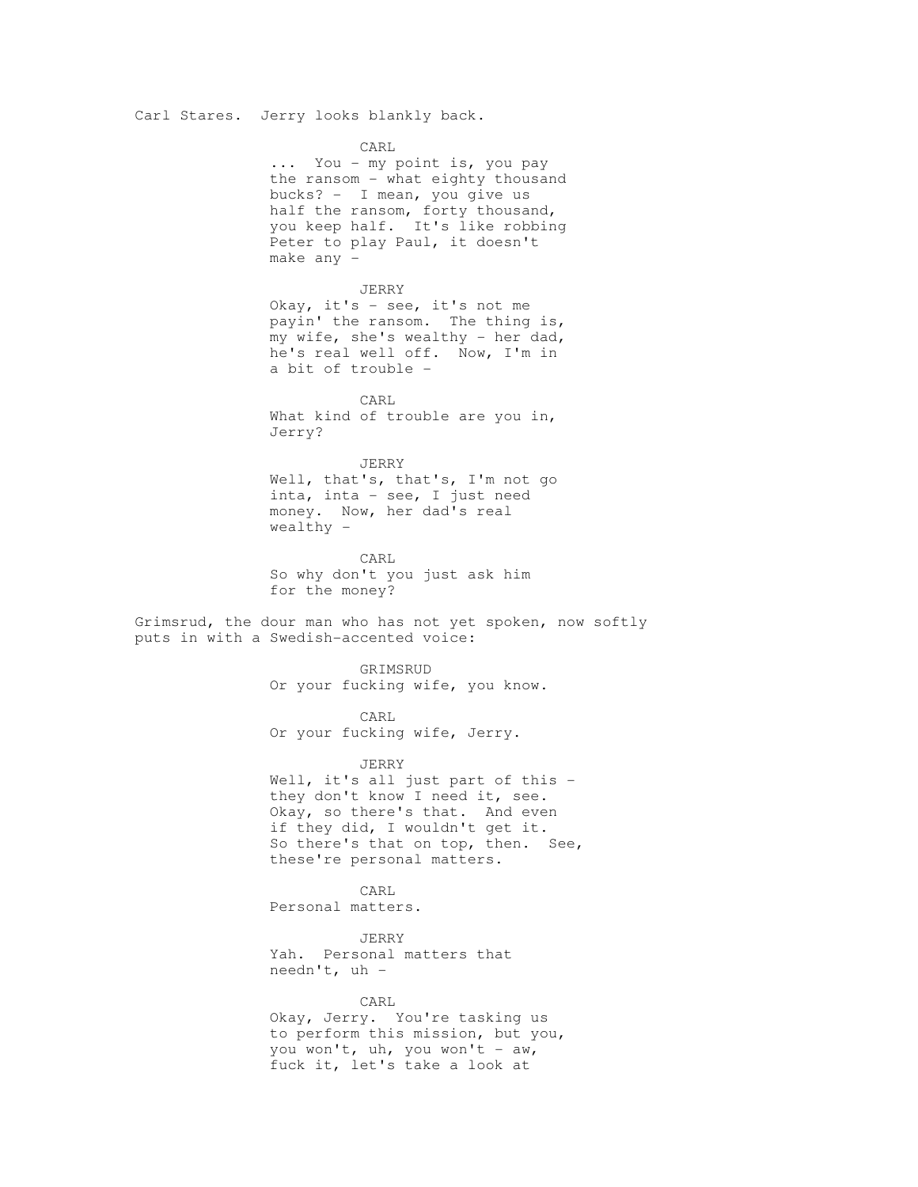# Carl Stares. Jerry looks blankly back.

CARL

... You - my point is, you pay the ransom - what eighty thousand bucks? - I mean, you give us half the ransom, forty thousand, you keep half. It's like robbing Peter to play Paul, it doesn't make any -

 JERRY Okay, it's - see, it's not me payin' the ransom. The thing is, my wife, she's wealthy - her dad, he's real well off. Now, I'm in a bit of trouble -

 CARL What kind of trouble are you in, Jerry?

 JERRY Well, that's, that's, I'm not go inta, inta - see, I just need money. Now, her dad's real wealthy -

 CARL So why don't you just ask him for the money?

Grimsrud, the dour man who has not yet spoken, now softly puts in with a Swedish-accented voice:

> GRIMSRUD Or your fucking wife, you know.

 CARL Or your fucking wife, Jerry.

 JERRY Well, it's all just part of this they don't know I need it, see. Okay, so there's that. And even if they did, I wouldn't get it. So there's that on top, then. See, these're personal matters.

 CARL Personal matters.

 JERRY Yah. Personal matters that needn't, uh -

 CARL Okay, Jerry. You're tasking us to perform this mission, but you, you won't, uh, you won't -  $aw$ , fuck it, let's take a look at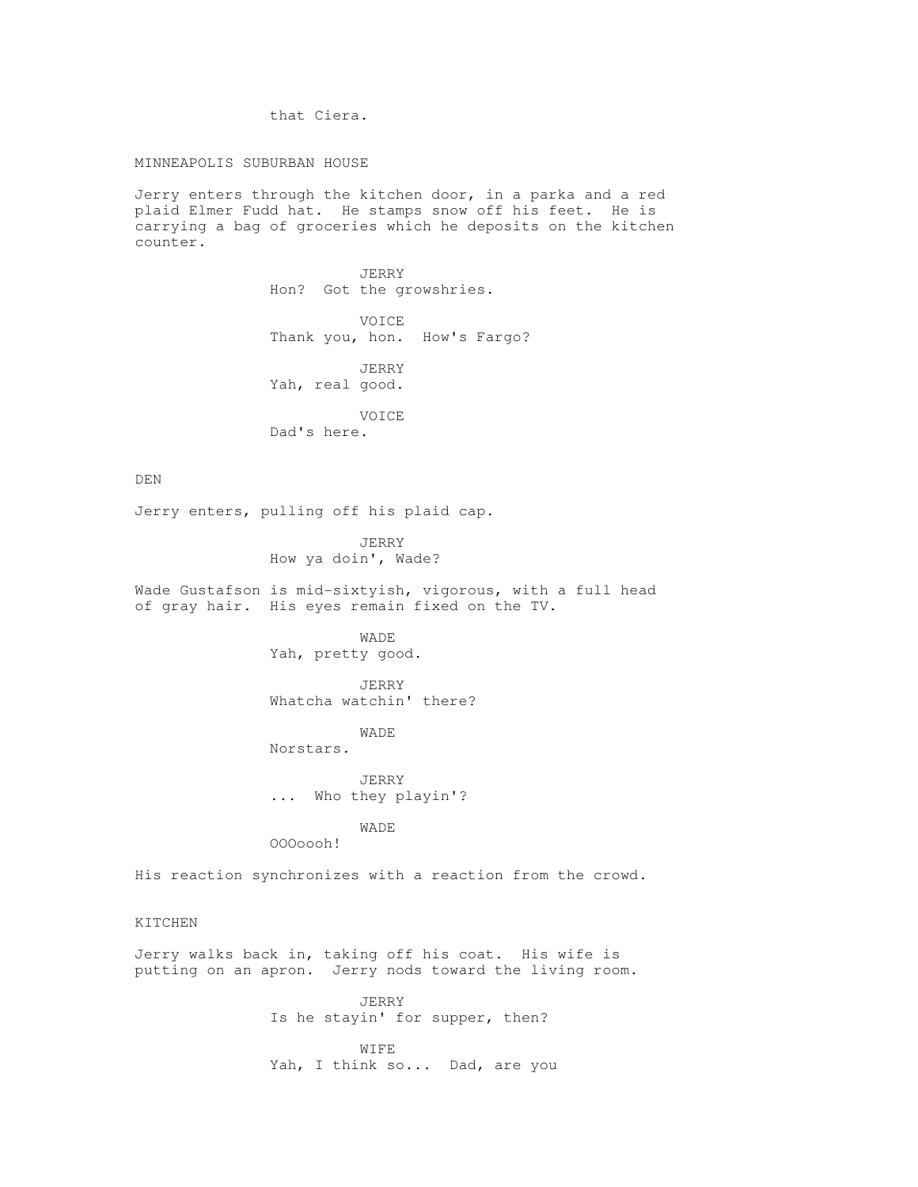that Ciera.

### MINNEAPOLIS SUBURBAN HOUSE

Jerry enters through the kitchen door, in a parka and a red plaid Elmer Fudd hat. He stamps snow off his feet. He is carrying a bag of groceries which he deposits on the kitchen counter.

> JERRY Hon? Got the growshries. VOICE Thank you, hon. How's Fargo? JERRY Yah, real good. VOICE Dad's here.

DEN

Jerry enters, pulling off his plaid cap.

 JERRY How ya doin', Wade?

Wade Gustafson is mid-sixtyish, vigorous, with a full head of gray hair. His eyes remain fixed on the TV.

> WADE Yah, pretty good.

 JERRY Whatcha watchin' there?

 WADE Norstars.

 JERRY ... Who they playin'?

WADE

OOOoooh!

His reaction synchronizes with a reaction from the crowd.

KITCHEN

Jerry walks back in, taking off his coat. His wife is putting on an apron. Jerry nods toward the living room.

> JERRY Is he stayin' for supper, then? WIFE Yah, I think so... Dad, are you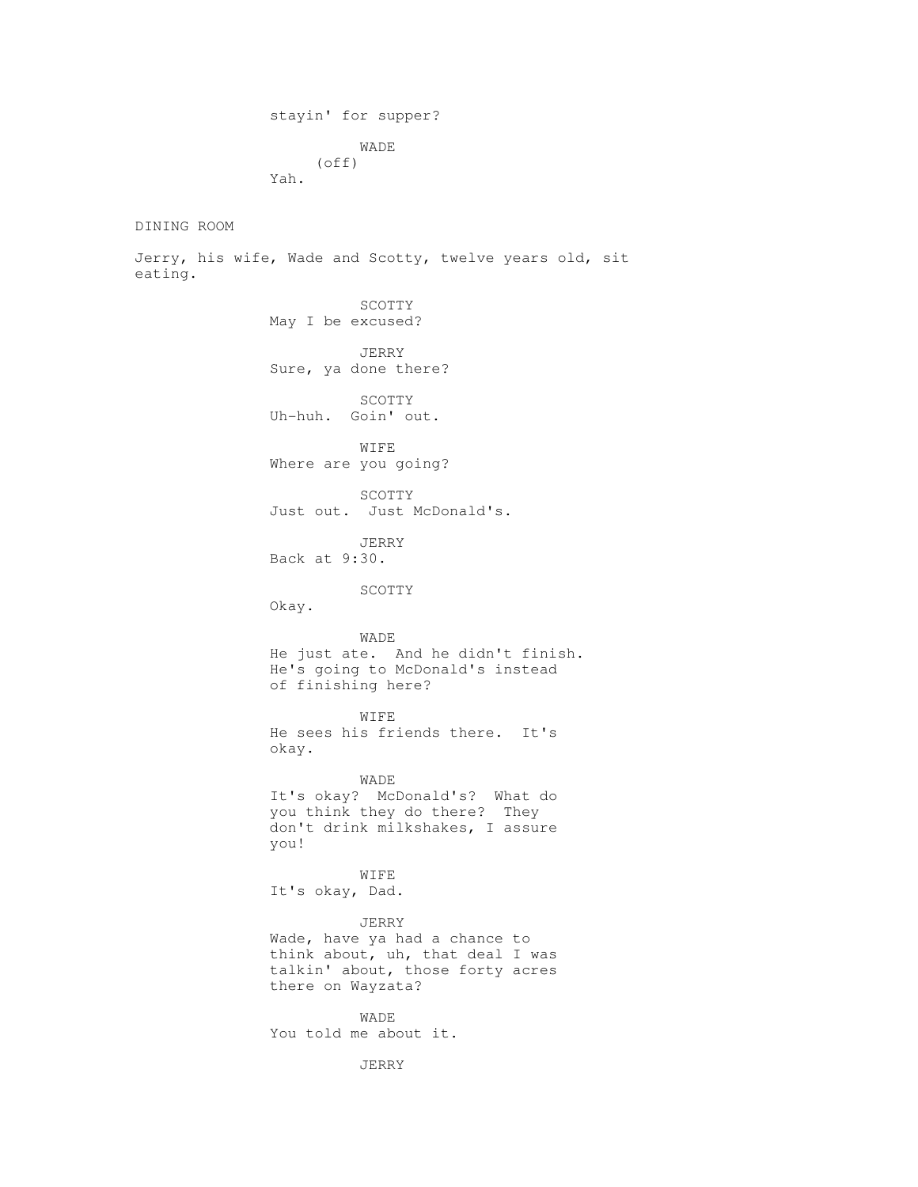stayin' for supper? WADE (off) Yah. DINING ROOM Jerry, his wife, Wade and Scotty, twelve years old, sit eating. SCOTTY May I be excused? JERRY Sure, ya done there? SCOTTY Uh-huh. Goin' out. WIFE Where are you going? SCOTTY Just out. Just McDonald's. JERRY Back at 9:30. SCOTTY Okay. WADE He just ate. And he didn't finish. He's going to McDonald's instead of finishing here? WIFE He sees his friends there. It's okay. WADE It's okay? McDonald's? What do you think they do there? They don't drink milkshakes, I assure you! WIFE It's okay, Dad. JERRY Wade, have ya had a chance to think about, uh, that deal I was talkin' about, those forty acres there on Wayzata? WADE You told me about it. JERRY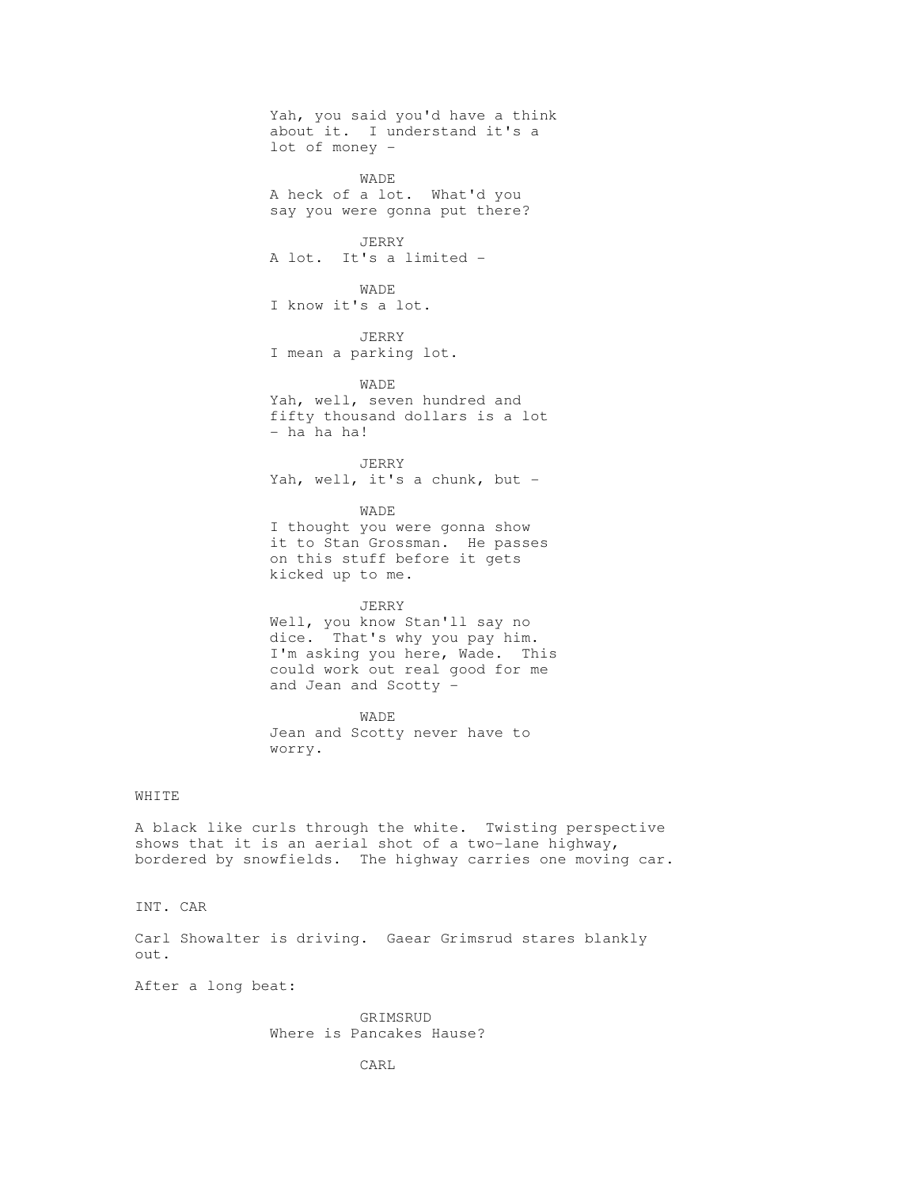Yah, you said you'd have a think about it. I understand it's a lot of money - WADE A heck of a lot. What'd you say you were gonna put there? JERRY A lot. It's a limited - WADE I know it's a lot. JERRY I mean a parking lot. WADE Yah, well, seven hundred and fifty thousand dollars is a lot - ha ha ha! JERRY Yah, well, it's a chunk, but - WADE I thought you were gonna show it to Stan Grossman. He passes on this stuff before it gets kicked up to me. JERRY

 Well, you know Stan'll say no dice. That's why you pay him. I'm asking you here, Wade. This could work out real good for me and Jean and Scotty -

 WADE Jean and Scotty never have to worry.

# WHITE

A black like curls through the white. Twisting perspective shows that it is an aerial shot of a two-lane highway, bordered by snowfields. The highway carries one moving car.

# INT. CAR

Carl Showalter is driving. Gaear Grimsrud stares blankly out.

After a long beat:

 GRIMSRUD Where is Pancakes Hause?

CARL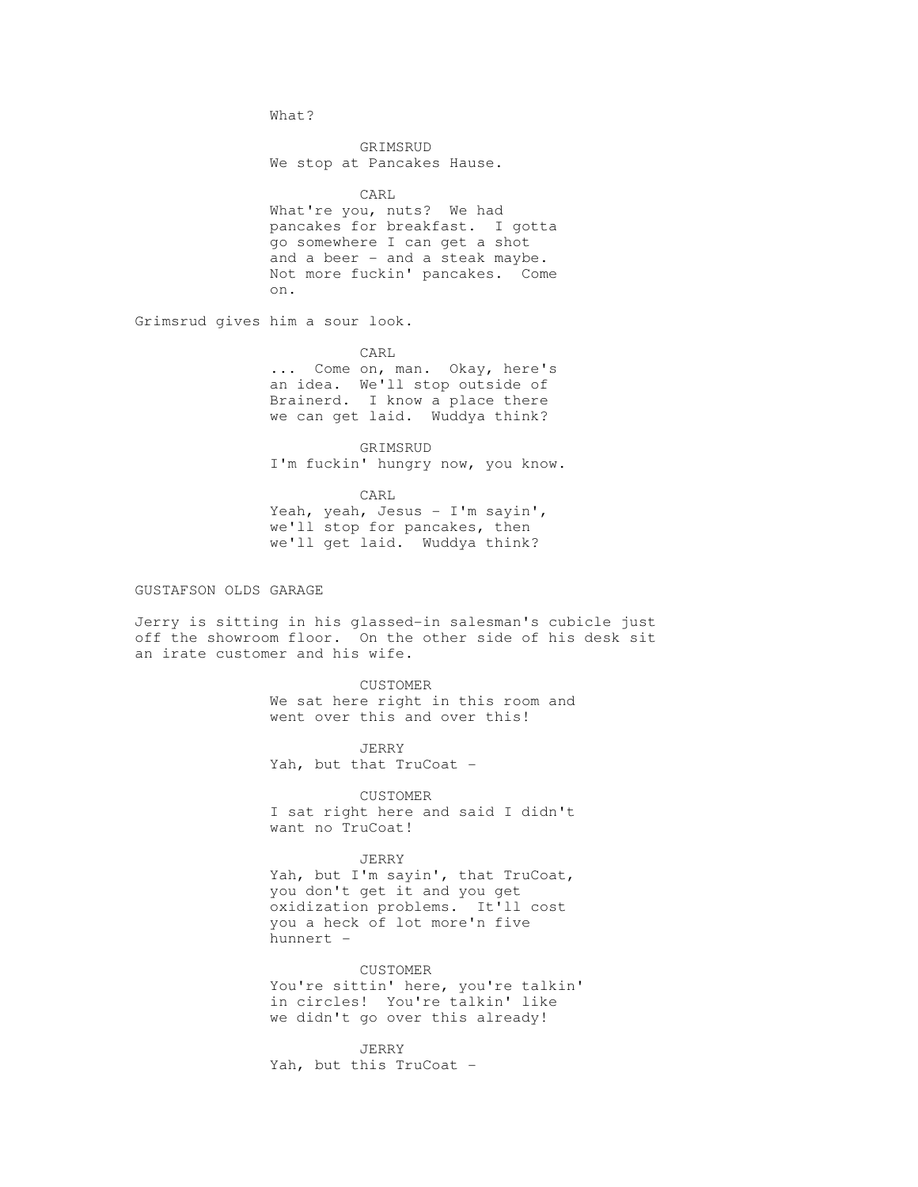What?

 GRIMSRUD We stop at Pancakes Hause.

 CARL What're you, nuts? We had pancakes for breakfast. I gotta go somewhere I can get a shot and a beer - and a steak maybe. Not more fuckin' pancakes. Come on.

Grimsrud gives him a sour look.

 CARL ... Come on, man. Okay, here's an idea. We'll stop outside of Brainerd. I know a place there we can get laid. Wuddya think?

 GRIMSRUD I'm fuckin' hungry now, you know.

 CARL Yeah, yeah, Jesus - I'm sayin', we'll stop for pancakes, then we'll get laid. Wuddya think?

# GUSTAFSON OLDS GARAGE

Jerry is sitting in his glassed-in salesman's cubicle just off the showroom floor. On the other side of his desk sit an irate customer and his wife.

> CUSTOMER We sat here right in this room and went over this and over this!

 JERRY Yah, but that TruCoat -

 CUSTOMER I sat right here and said I didn't want no TruCoat!

 JERRY Yah, but I'm sayin', that TruCoat, you don't get it and you get oxidization problems. It'll cost you a heck of lot more'n five hunnert -

 CUSTOMER You're sittin' here, you're talkin' in circles! You're talkin' like we didn't go over this already!

 JERRY Yah, but this TruCoat -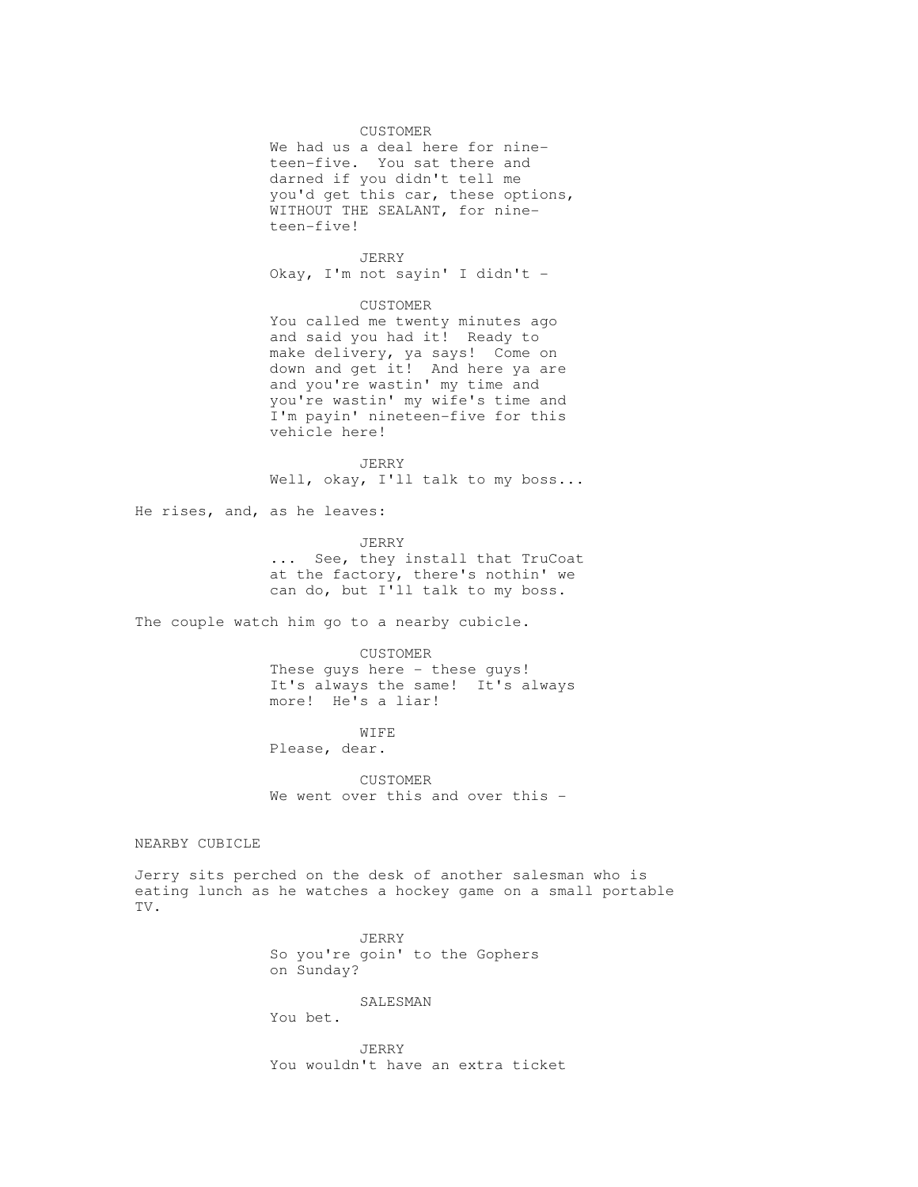#### CUSTOMER

 We had us a deal here for nine teen-five. You sat there and darned if you didn't tell me you'd get this car, these options, WITHOUT THE SEALANT, for nine teen-five!

 JERRY Okay, I'm not sayin' I didn't -

### CUSTOMER

 You called me twenty minutes ago and said you had it! Ready to make delivery, ya says! Come on down and get it! And here ya are and you're wastin' my time and you're wastin' my wife's time and I'm payin' nineteen-five for this vehicle here!

 JERRY Well, okay, I'll talk to my boss...

He rises, and, as he leaves:

 JERRY ... See, they install that TruCoat at the factory, there's nothin' we can do, but I'll talk to my boss.

The couple watch him go to a nearby cubicle.

 CUSTOMER These guys here - these guys! It's always the same! It's always more! He's a liar!

## WIFE

Please, dear.

 CUSTOMER We went over this and over this -

NEARBY CUBICLE

Jerry sits perched on the desk of another salesman who is eating lunch as he watches a hockey game on a small portable TV.

> JERRY So you're goin' to the Gophers on Sunday?

> > SALESMAN

You bet.

 JERRY You wouldn't have an extra ticket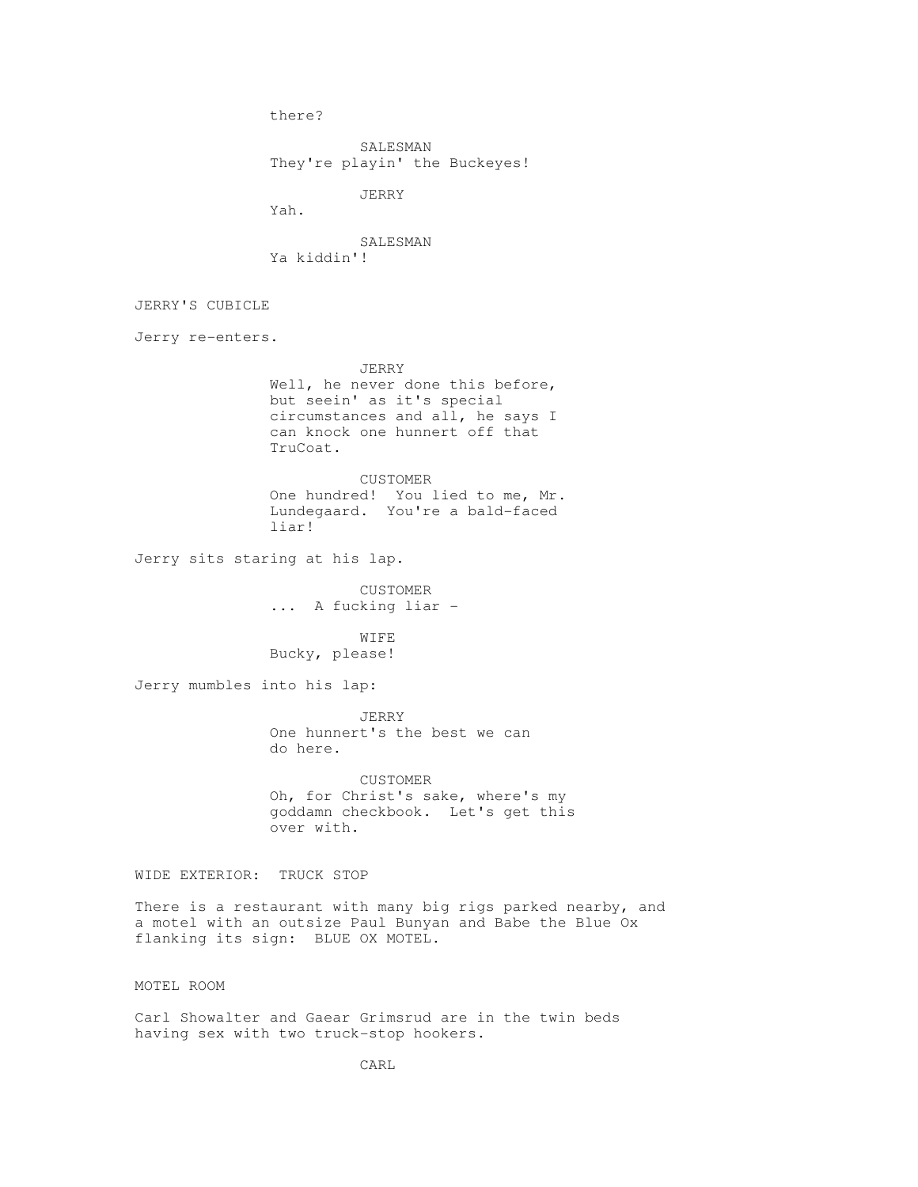there?

 SALESMAN They're playin' the Buckeyes!

JERRY

Yah.

 SALESMAN Ya kiddin'!

JERRY'S CUBICLE

Jerry re-enters.

 JERRY Well, he never done this before, but seein' as it's special circumstances and all, he says I can knock one hunnert off that TruCoat.

 CUSTOMER One hundred! You lied to me, Mr. Lundegaard. You're a bald-faced liar!

Jerry sits staring at his lap.

 CUSTOMER ... A fucking liar -

 WIFE Bucky, please!

Jerry mumbles into his lap:

JERRY

 One hunnert's the best we can do here.

 CUSTOMER Oh, for Christ's sake, where's my goddamn checkbook. Let's get this over with.

WIDE EXTERIOR: TRUCK STOP

There is a restaurant with many big rigs parked nearby, and a motel with an outsize Paul Bunyan and Babe the Blue Ox flanking its sign: BLUE OX MOTEL.

MOTEL ROOM

Carl Showalter and Gaear Grimsrud are in the twin beds having sex with two truck-stop hookers.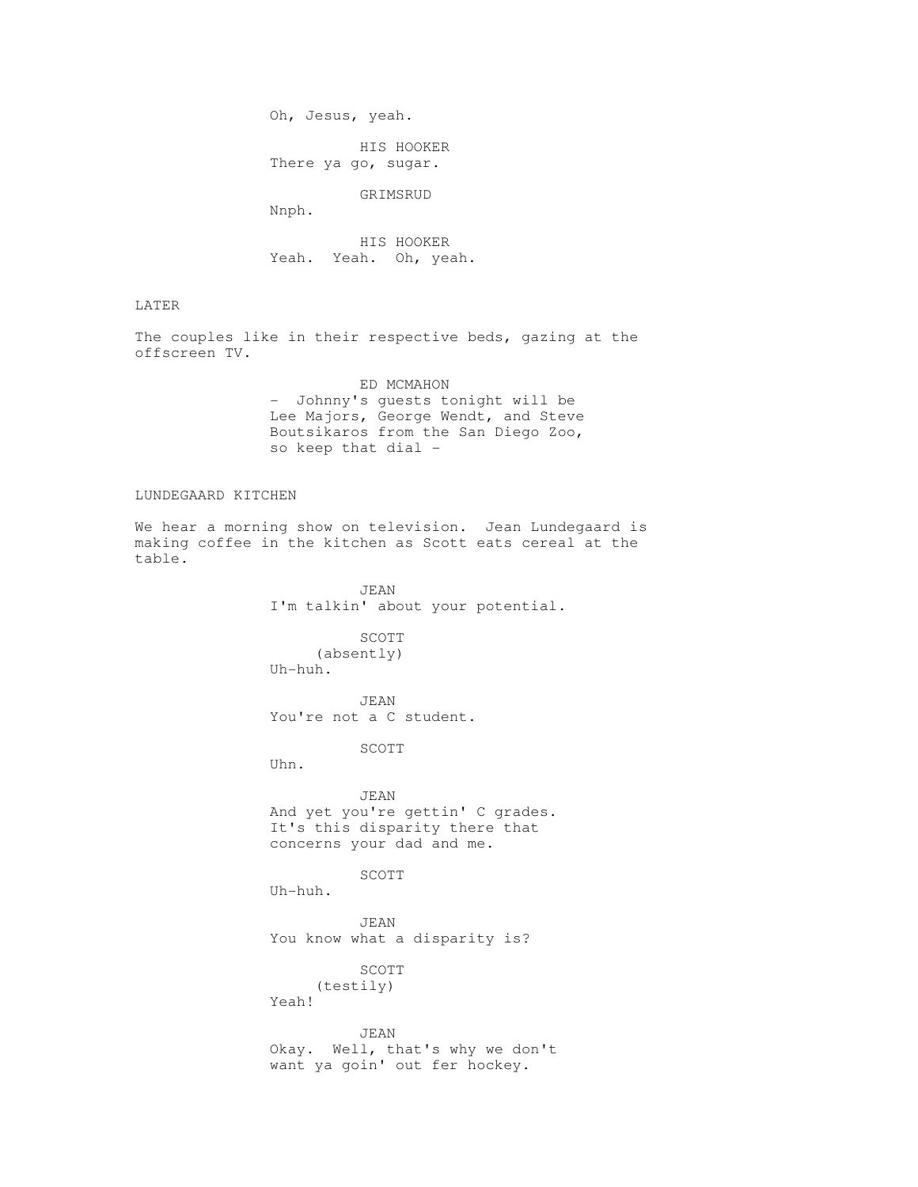Oh, Jesus, yeah.

Nnph.

 HIS HOOKER There ya go, sugar.

GRIMSRUD

 HIS HOOKER Yeah. Yeah. Oh, yeah.

# LATER

The couples like in their respective beds, gazing at the offscreen TV.

> ED MCMAHON - Johnny's guests tonight will be Lee Majors, George Wendt, and Steve Boutsikaros from the San Diego Zoo, so keep that dial -

# LUNDEGAARD KITCHEN

We hear a morning show on television. Jean Lundegaard is making coffee in the kitchen as Scott eats cereal at the table.

> JEAN I'm talkin' about your potential.

 SCOTT (absently) Uh-huh.

 JEAN You're not a C student.

SCOTT

Uhn.

 JEAN And yet you're gettin' C grades. It's this disparity there that concerns your dad and me.

SCOTT

Uh-huh.

 JEAN You know what a disparity is?

 SCOTT (testily) Yeah!

 JEAN Okay. Well, that's why we don't want ya goin' out fer hockey.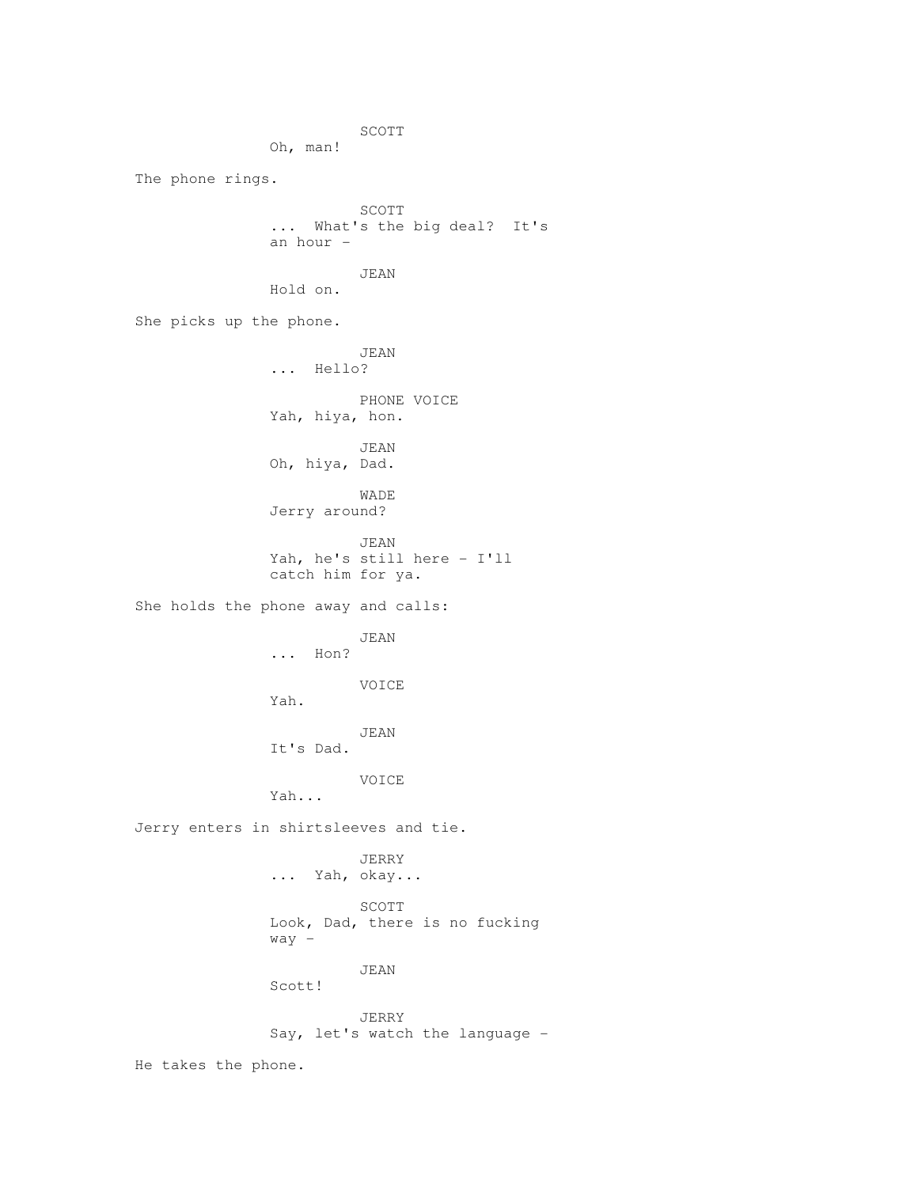SCOTT Oh, man! The phone rings. SCOTT ... What's the big deal? It's an hour - JEAN Hold on. She picks up the phone. JEAN ... Hello? PHONE VOICE Yah, hiya, hon. JEAN Oh, hiya, Dad. WADE Jerry around? JEAN Yah, he's still here - I'll catch him for ya. She holds the phone away and calls: JEAN ... Hon? VOICE Yah. JEAN It's Dad. VOICE Yah... Jerry enters in shirtsleeves and tie. JERRY ... Yah, okay... SCOTT Look, Dad, there is no fucking way - JEAN Scott! JERRY Say, let's watch the language - He takes the phone.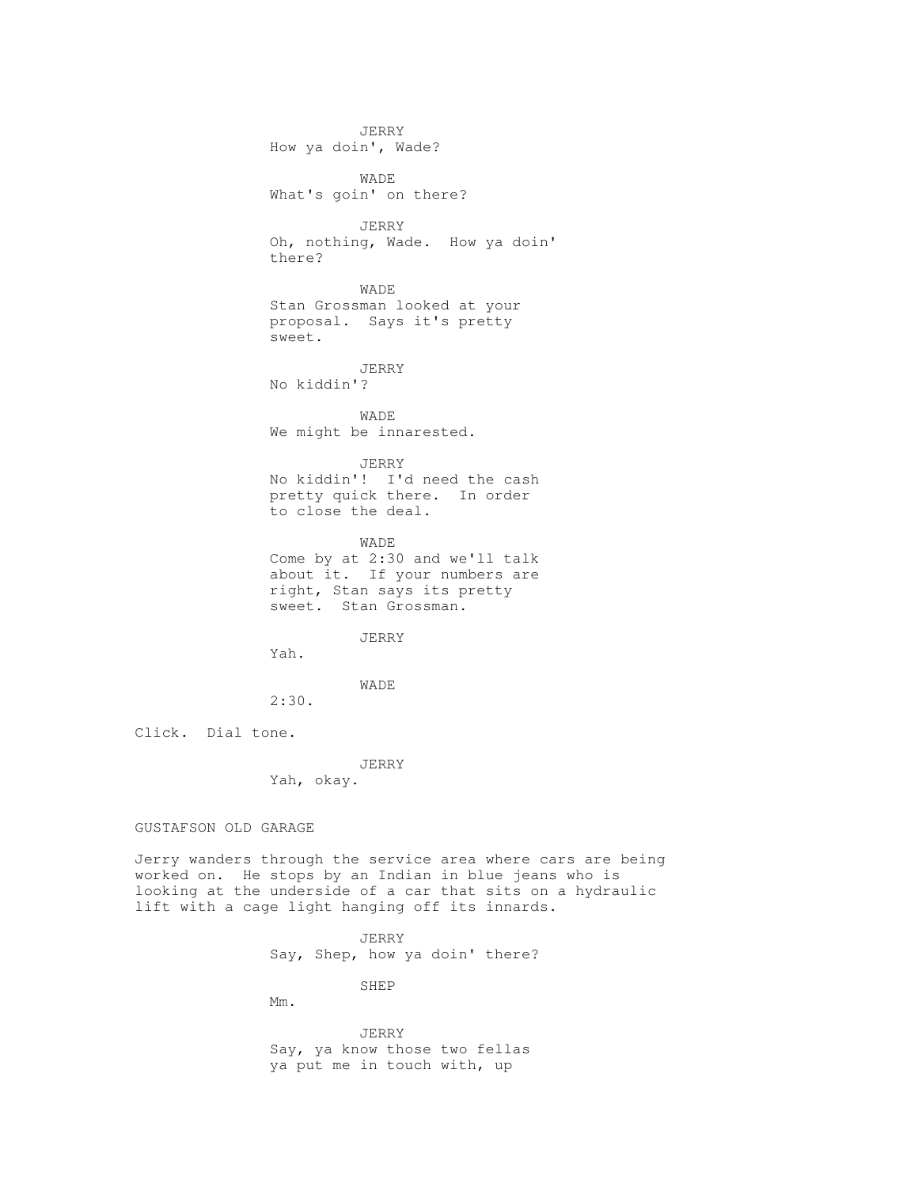JERRY How ya doin', Wade? WADE What's goin' on there? JERRY Oh, nothing, Wade. How ya doin' there? WADE Stan Grossman looked at your proposal. Says it's pretty sweet. JERRY No kiddin'? WADE We might be innarested. JERRY No kiddin'! I'd need the cash pretty quick there. In order to close the deal. WADE Come by at 2:30 and we'll talk about it. If your numbers are right, Stan says its pretty sweet. Stan Grossman. JERRY Yah. WADE 2:30. Click. Dial tone. JERRY

Yah, okay.

GUSTAFSON OLD GARAGE

Jerry wanders through the service area where cars are being worked on. He stops by an Indian in blue jeans who is looking at the underside of a car that sits on a hydraulic lift with a cage light hanging off its innards.

JERRY

Say, Shep, how ya doin' there?

SHEP

Mm.

 JERRY Say, ya know those two fellas ya put me in touch with, up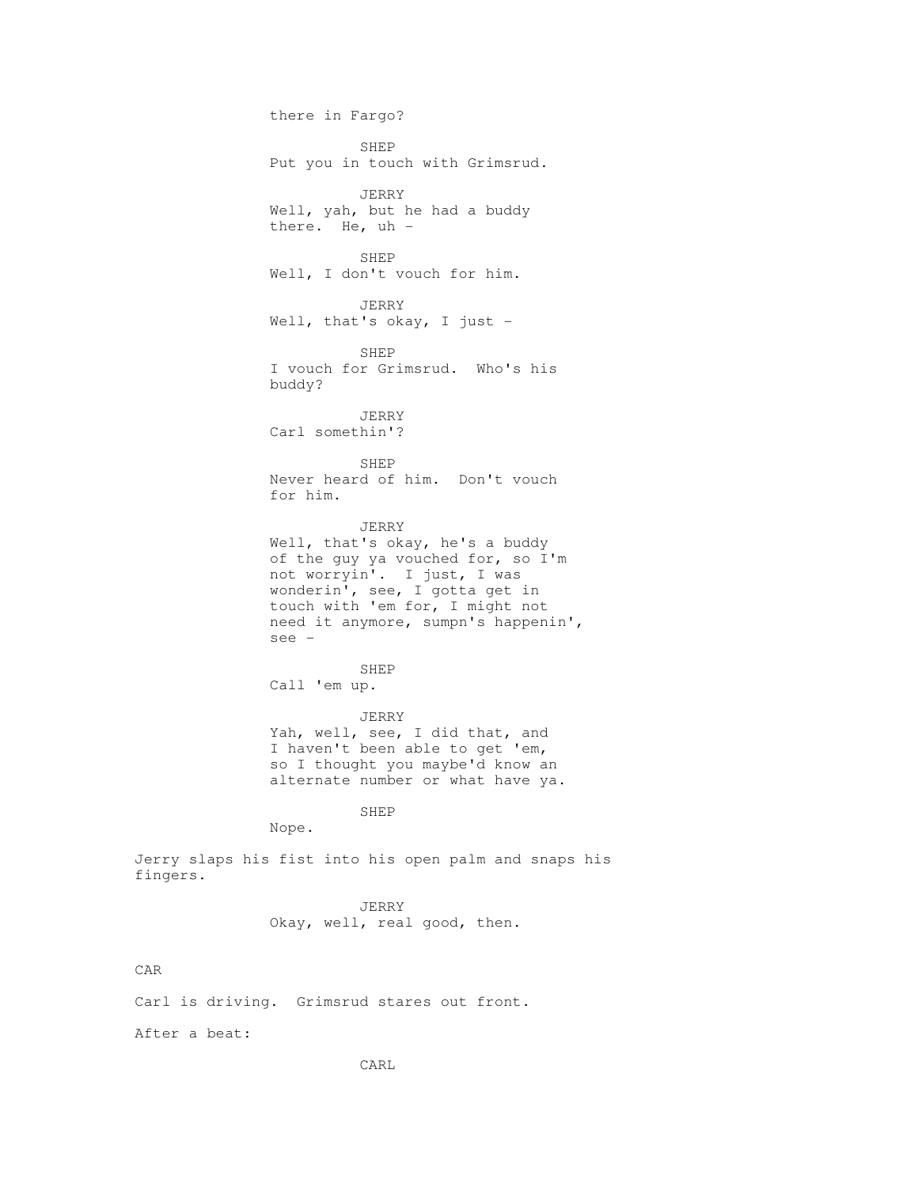there in Fargo? SHEP Put you in touch with Grimsrud. JERRY Well, yah, but he had a buddy there. He, uh - SHEP Well, I don't vouch for him. JERRY Well, that's okay, I just - SHEP I vouch for Grimsrud. Who's his buddy? JERRY Carl somethin'? SHEP Never heard of him. Don't vouch for him. JERRY Well, that's okay, he's a buddy of the guy ya vouched for, so I'm not worryin'. I just, I was wonderin', see, I gotta get in touch with 'em for, I might not need it anymore, sumpn's happenin', see - SHEP Call 'em up. JERRY Yah, well, see, I did that, and I haven't been able to get 'em, so I thought you maybe'd know an alternate number or what have ya. SHEP Nope. Jerry slaps his fist into his open palm and snaps his JERRY Okay, well, real good, then.

# CAR

fingers.

Carl is driving. Grimsrud stares out front.

After a beat: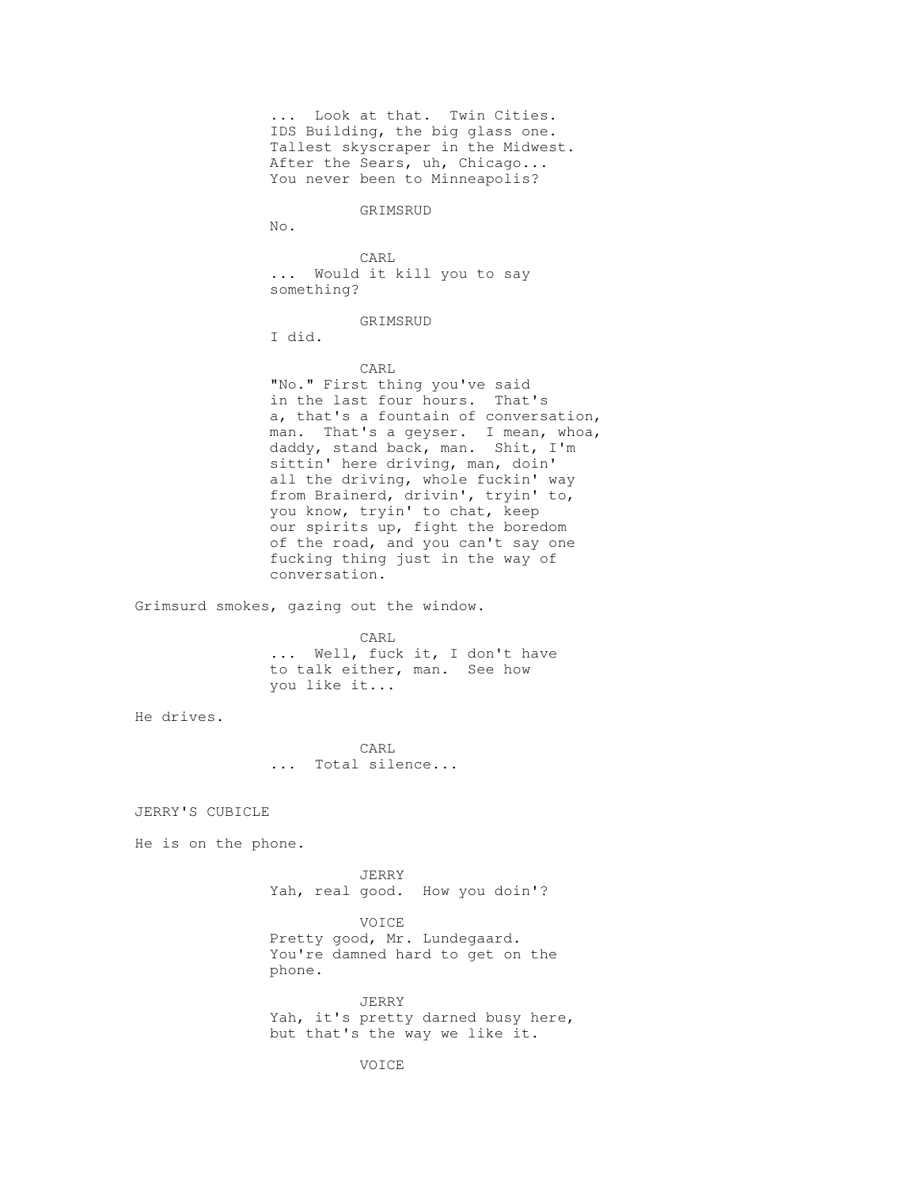... Look at that. Twin Cities. IDS Building, the big glass one. Tallest skyscraper in the Midwest. After the Sears, uh, Chicago... You never been to Minneapolis?

GRIMSRUD

No.

 CARL ... Would it kill you to say something?

# GRIMSRUD

I did.

 CARL "No." First thing you've said in the last four hours. That's a, that's a fountain of conversation, man. That's a geyser. I mean, whoa, daddy, stand back, man. Shit, I'm sittin' here driving, man, doin' all the driving, whole fuckin' way from Brainerd, drivin', tryin' to, you know, tryin' to chat, keep our spirits up, fight the boredom of the road, and you can't say one fucking thing just in the way of conversation.

Grimsurd smokes, gazing out the window.

 CARL ... Well, fuck it, I don't have to talk either, man. See how you like it...

He drives.

 CARL ... Total silence...

JERRY'S CUBICLE

He is on the phone.

 JERRY Yah, real good. How you doin'?

 VOICE Pretty good, Mr. Lundegaard. You're damned hard to get on the phone.

 JERRY Yah, it's pretty darned busy here, but that's the way we like it.

VOICE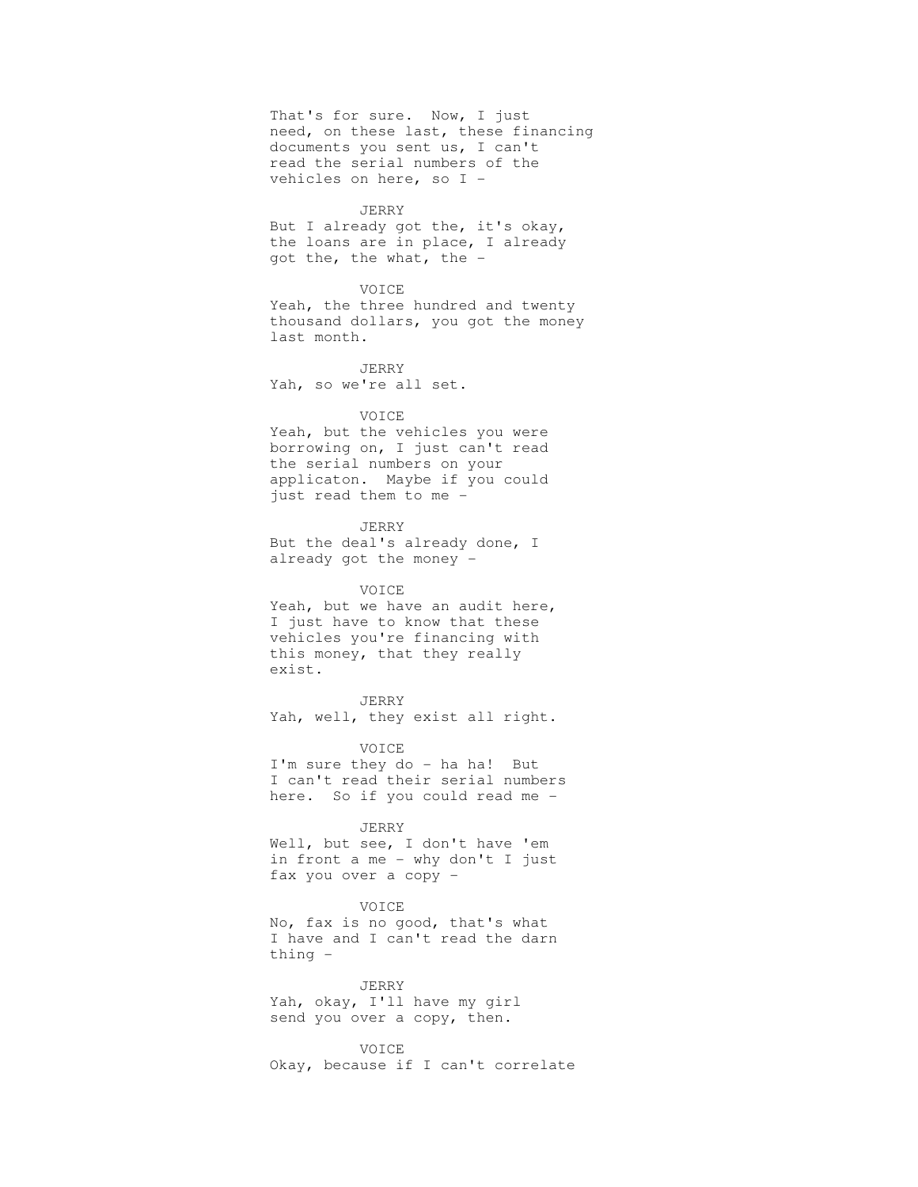That's for sure. Now, I just need, on these last, these financing documents you sent us, I can't read the serial numbers of the vehicles on here, so I -

#### JERRY

 But I already got the, it's okay, the loans are in place, I already got the, the what, the -

# VOICE

 Yeah, the three hundred and twenty thousand dollars, you got the money last month.

 JERRY Yah, so we're all set.

#### VOICE

 Yeah, but the vehicles you were borrowing on, I just can't read the serial numbers on your applicaton. Maybe if you could just read them to me -

 JERRY But the deal's already done, I already got the money -

 VOICE Yeah, but we have an audit here, I just have to know that these vehicles you're financing with this money, that they really exist.

 JERRY Yah, well, they exist all right.

 VOICE I'm sure they do - ha ha! But I can't read their serial numbers here. So if you could read me -

#### JERRY

 Well, but see, I don't have 'em in front a me - why don't I just fax you over a copy -

# VOICE

 No, fax is no good, that's what I have and I can't read the darn thing -

 JERRY Yah, okay, I'll have my girl send you over a copy, then.

 VOICE Okay, because if I can't correlate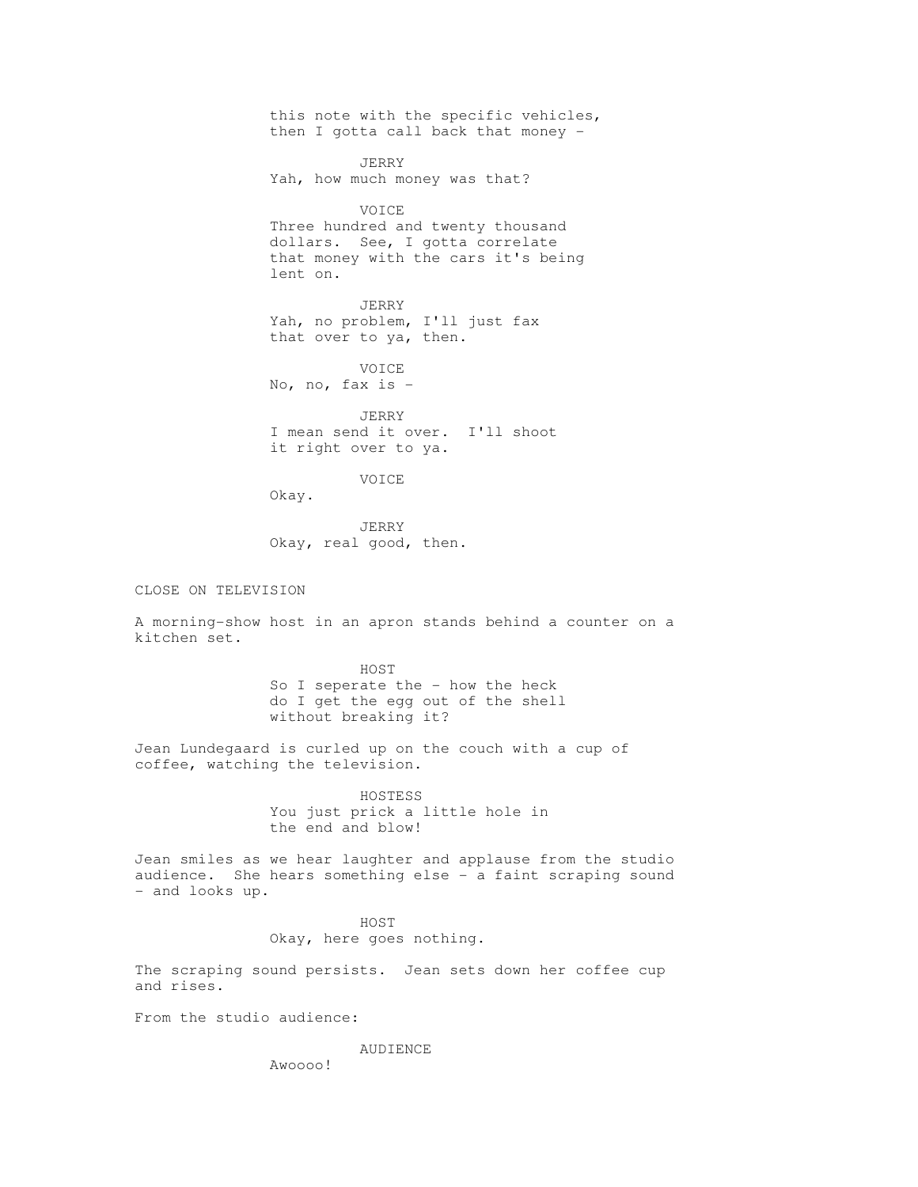this note with the specific vehicles, then I gotta call back that money - JERRY Yah, how much money was that? VOICE Three hundred and twenty thousand dollars. See, I gotta correlate that money with the cars it's being lent on. JERRY Yah, no problem, I'll just fax that over to ya, then. VOICE No, no, fax is - JERRY I mean send it over. I'll shoot it right over to ya. VOICE Okay. JERRY Okay, real good, then. CLOSE ON TELEVISION A morning-show host in an apron stands behind a counter on a kitchen set. HOST So I seperate the - how the heck do I get the egg out of the shell without breaking it? Jean Lundegaard is curled up on the couch with a cup of coffee, watching the television. HOSTESS You just prick a little hole in the end and blow! Jean smiles as we hear laughter and applause from the studio audience. She hears something else - a faint scraping sound - and looks up. HOST Okay, here goes nothing.

The scraping sound persists. Jean sets down her coffee cup and rises.

From the studio audience:

AUDIENCE

Awoooo!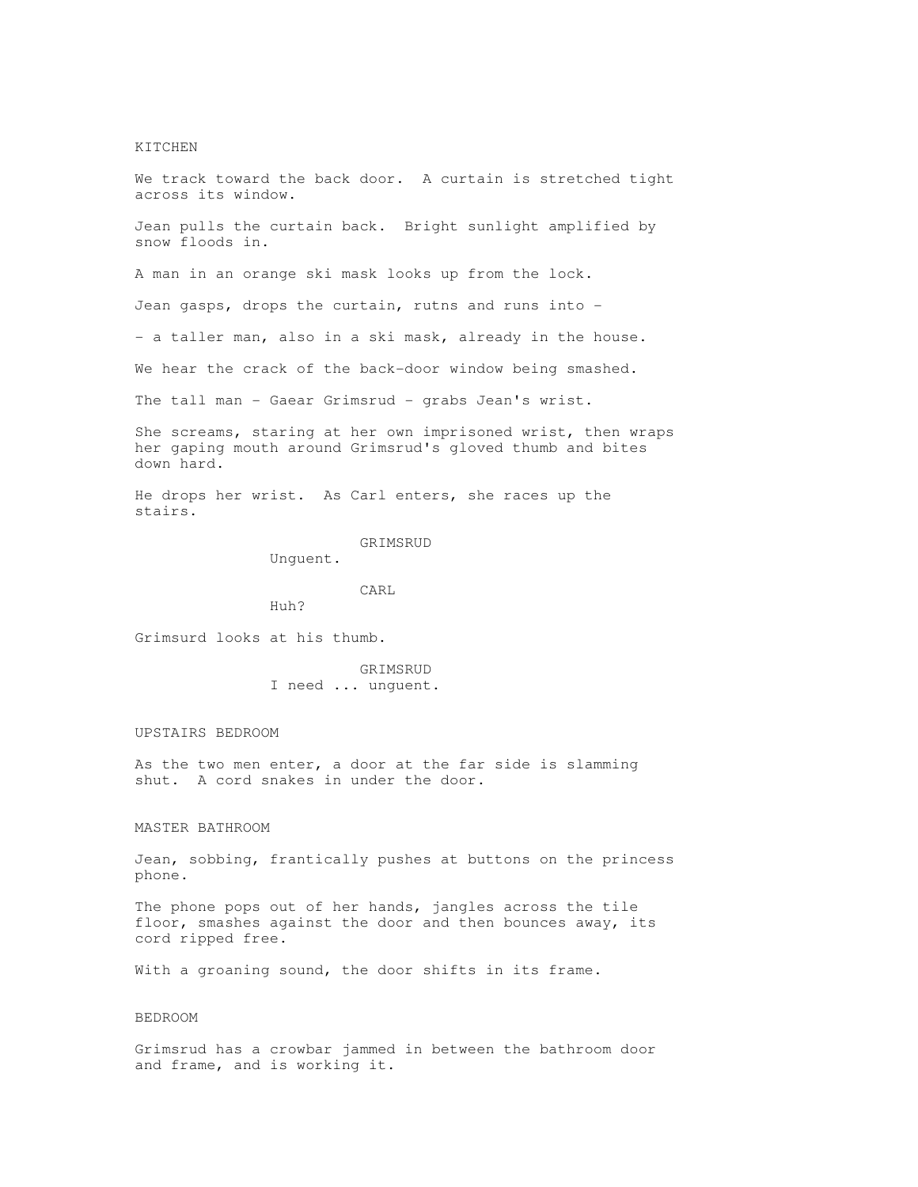# KITCHEN

We track toward the back door. A curtain is stretched tight across its window. Jean pulls the curtain back. Bright sunlight amplified by snow floods in. A man in an orange ski mask looks up from the lock. Jean gasps, drops the curtain, rutns and runs into -- a taller man, also in a ski mask, already in the house. We hear the crack of the back-door window being smashed. The tall man - Gaear Grimsrud - grabs Jean's wrist. She screams, staring at her own imprisoned wrist, then wraps her gaping mouth around Grimsrud's gloved thumb and bites

down hard.

He drops her wrist. As Carl enters, she races up the stairs.

GRIMSRUD

Unguent.

CARL

Huh?

Grimsurd looks at his thumb.

 GRIMSRUD I need ... unguent.

# UPSTAIRS BEDROOM

As the two men enter, a door at the far side is slamming shut. A cord snakes in under the door.

#### MASTER BATHROOM

Jean, sobbing, frantically pushes at buttons on the princess phone.

The phone pops out of her hands, jangles across the tile floor, smashes against the door and then bounces away, its cord ripped free.

With a groaning sound, the door shifts in its frame.

#### BEDROOM

Grimsrud has a crowbar jammed in between the bathroom door and frame, and is working it.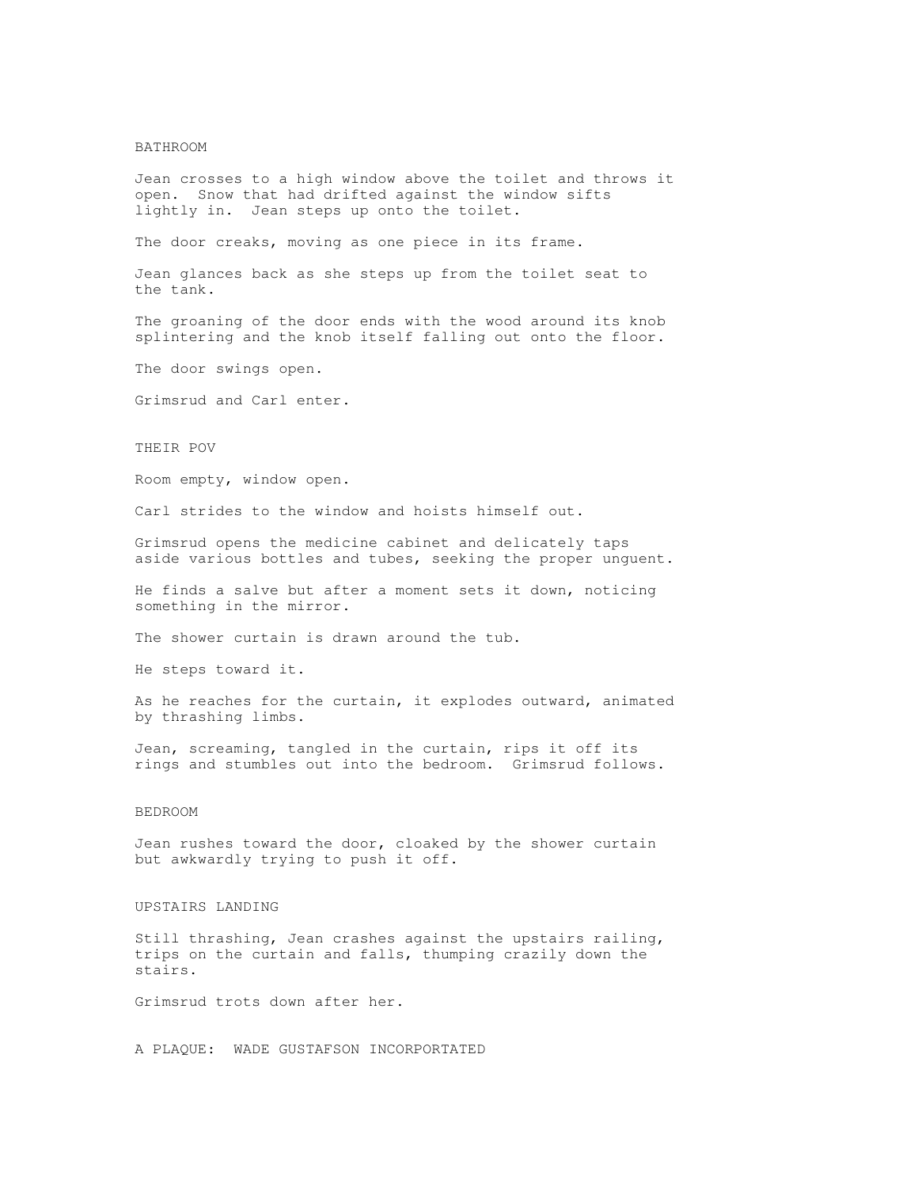# BATHROOM

Jean crosses to a high window above the toilet and throws it open. Snow that had drifted against the window sifts lightly in. Jean steps up onto the toilet.

The door creaks, moving as one piece in its frame.

Jean glances back as she steps up from the toilet seat to the tank.

The groaning of the door ends with the wood around its knob splintering and the knob itself falling out onto the floor.

The door swings open.

Grimsrud and Carl enter.

#### THEIR POV

Room empty, window open.

Carl strides to the window and hoists himself out.

Grimsrud opens the medicine cabinet and delicately taps aside various bottles and tubes, seeking the proper unguent.

He finds a salve but after a moment sets it down, noticing something in the mirror.

The shower curtain is drawn around the tub.

He steps toward it.

As he reaches for the curtain, it explodes outward, animated by thrashing limbs.

Jean, screaming, tangled in the curtain, rips it off its rings and stumbles out into the bedroom. Grimsrud follows.

#### BEDROOM

Jean rushes toward the door, cloaked by the shower curtain but awkwardly trying to push it off.

# UPSTAIRS LANDING

Still thrashing, Jean crashes against the upstairs railing, trips on the curtain and falls, thumping crazily down the stairs.

Grimsrud trots down after her.

A PLAQUE: WADE GUSTAFSON INCORPORTATED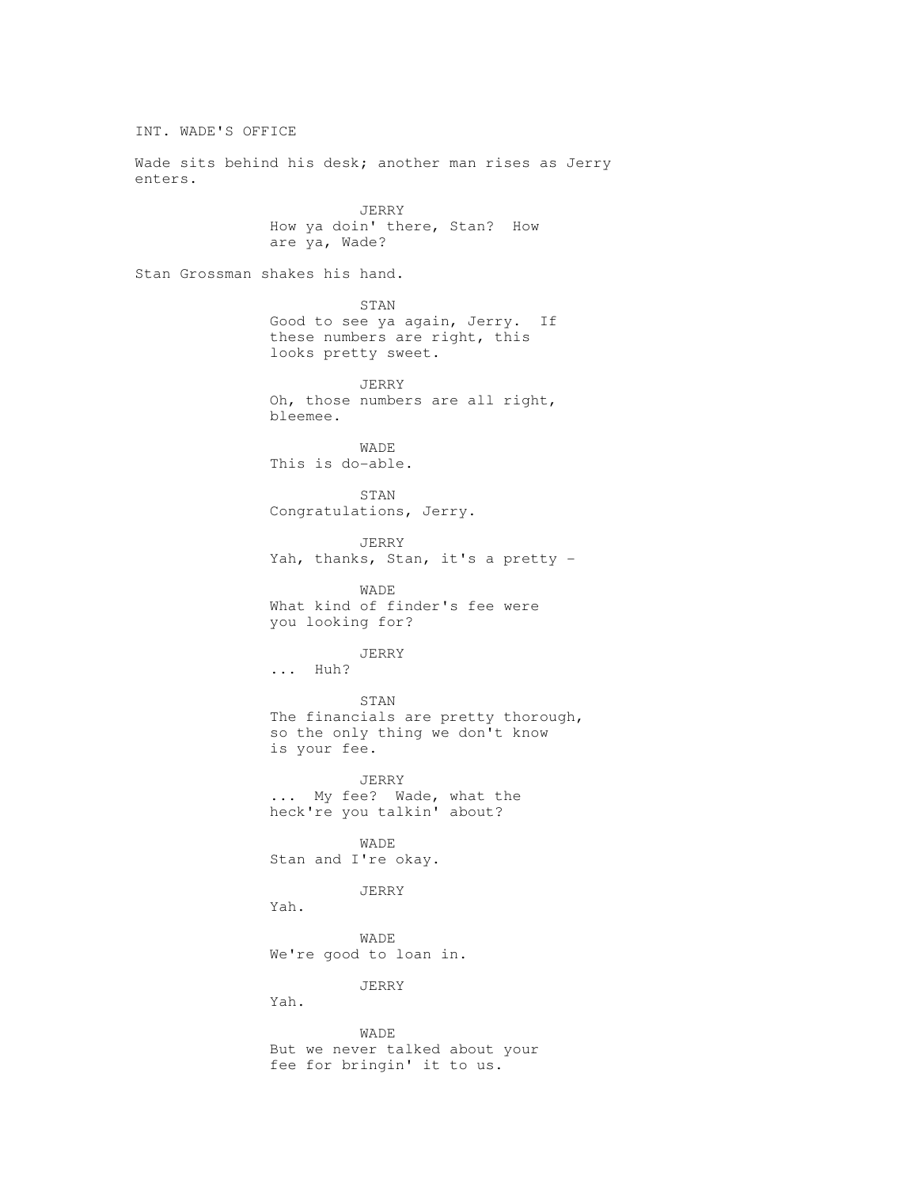INT. WADE'S OFFICE Wade sits behind his desk; another man rises as Jerry enters. JERRY How ya doin' there, Stan? How are ya, Wade? Stan Grossman shakes his hand. STAN Good to see ya again, Jerry. If these numbers are right, this looks pretty sweet. JERRY Oh, those numbers are all right, bleemee. WADE This is do-able. STAN Congratulations, Jerry. JERRY Yah, thanks, Stan, it's a pretty - WADE What kind of finder's fee were you looking for? JERRY ... Huh? STAN The financials are pretty thorough, so the only thing we don't know is your fee. JERRY ... My fee? Wade, what the heck're you talkin' about? WADE Stan and I're okay. JERRY Yah. WADE We're good to loan in. JERRY Yah. WADE But we never talked about your fee for bringin' it to us.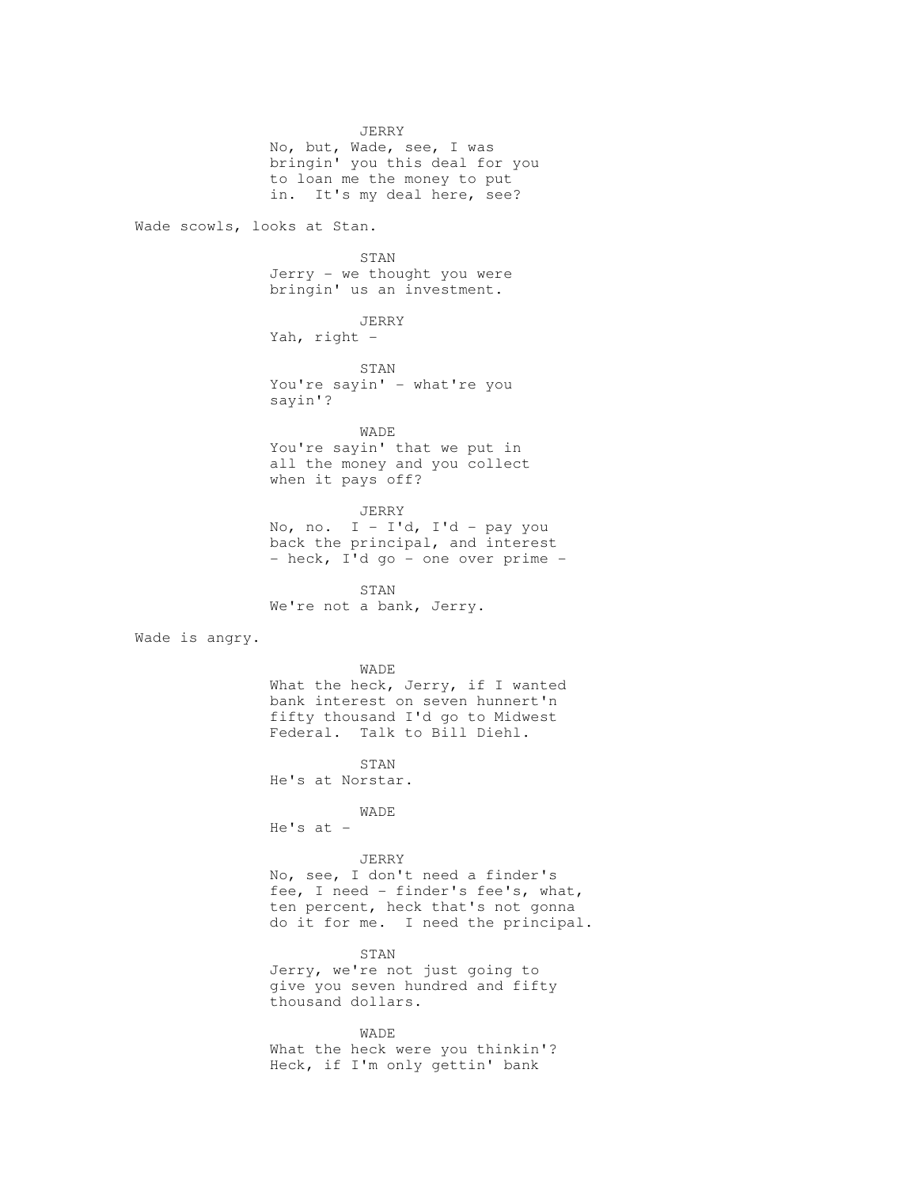JERRY

 No, but, Wade, see, I was bringin' you this deal for you to loan me the money to put in. It's my deal here, see?

Wade scowls, looks at Stan.

 STAN Jerry - we thought you were bringin' us an investment.

 JERRY Yah, right -

 STAN You're sayin' - what're you sayin'?

 WADE You're sayin' that we put in all the money and you collect when it pays off?

 JERRY No, no.  $I - I'd$ ,  $I'd - pay you$  back the principal, and interest - heck, I'd go - one over prime -

 STAN We're not a bank, Jerry.

Wade is angry.

 WADE What the heck, Jerry, if I wanted bank interest on seven hunnert'n fifty thousand I'd go to Midwest Federal. Talk to Bill Diehl.

 STAN He's at Norstar.

WADE

 $He's$  at  $-$ 

JERRY

 No, see, I don't need a finder's fee, I need - finder's fee's, what, ten percent, heck that's not gonna do it for me. I need the principal.

 STAN Jerry, we're not just going to give you seven hundred and fifty thousand dollars.

 WADE What the heck were you thinkin'? Heck, if I'm only gettin' bank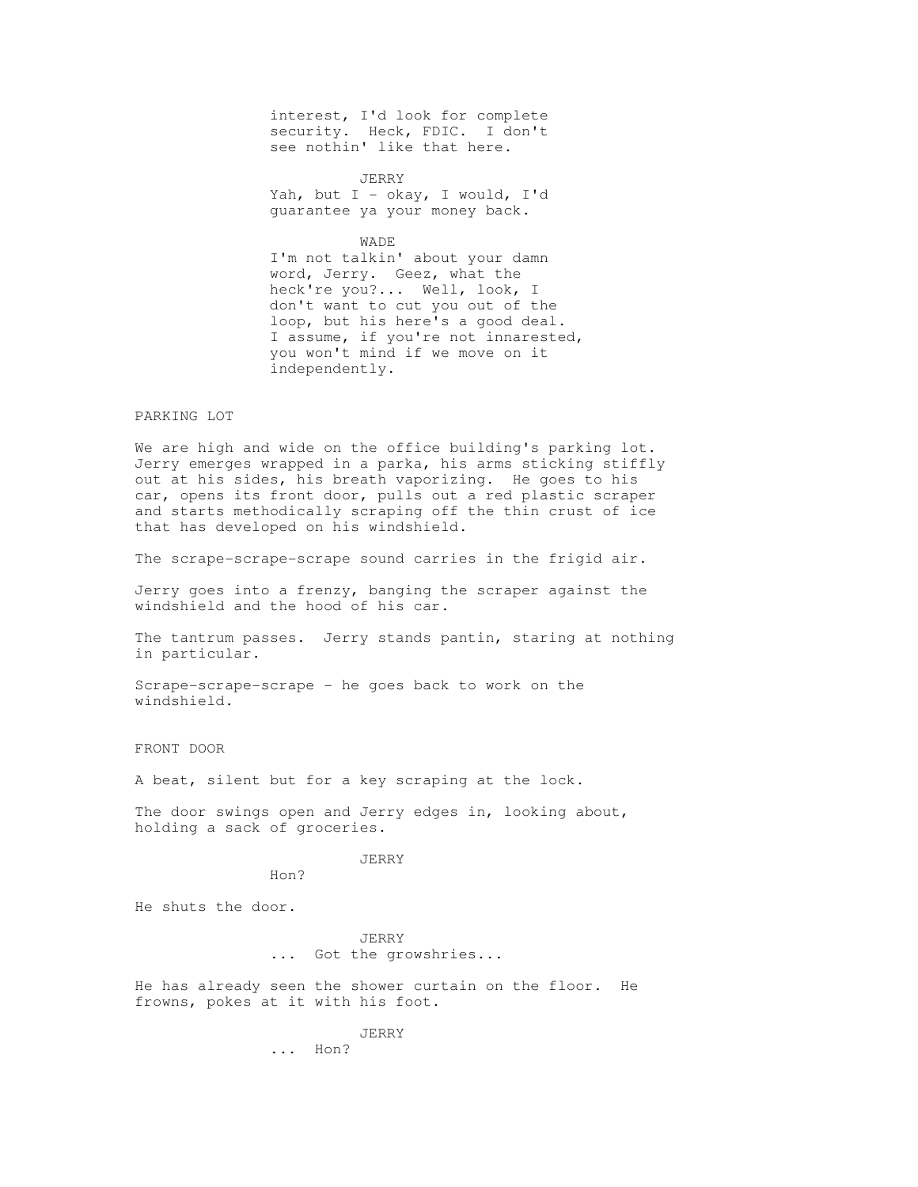interest, I'd look for complete security. Heck, FDIC. I don't see nothin' like that here.

 JERRY Yah, but I - okay, I would, I'd guarantee ya your money back.

WADE

 I'm not talkin' about your damn word, Jerry. Geez, what the heck're you?... Well, look, I don't want to cut you out of the loop, but his here's a good deal. I assume, if you're not innarested, you won't mind if we move on it independently.

## PARKING LOT

We are high and wide on the office building's parking lot. Jerry emerges wrapped in a parka, his arms sticking stiffly out at his sides, his breath vaporizing. He goes to his car, opens its front door, pulls out a red plastic scraper and starts methodically scraping off the thin crust of ice that has developed on his windshield.

The scrape-scrape-scrape sound carries in the frigid air.

Jerry goes into a frenzy, banging the scraper against the windshield and the hood of his car.

The tantrum passes. Jerry stands pantin, staring at nothing in particular.

Scrape-scrape-scrape - he goes back to work on the windshield.

FRONT DOOR

A beat, silent but for a key scraping at the lock.

The door swings open and Jerry edges in, looking about, holding a sack of groceries.

# JERRY

Hon?

He shuts the door.

 JERRY ... Got the growshries...

He has already seen the shower curtain on the floor. He frowns, pokes at it with his foot.

> JERRY ... Hon?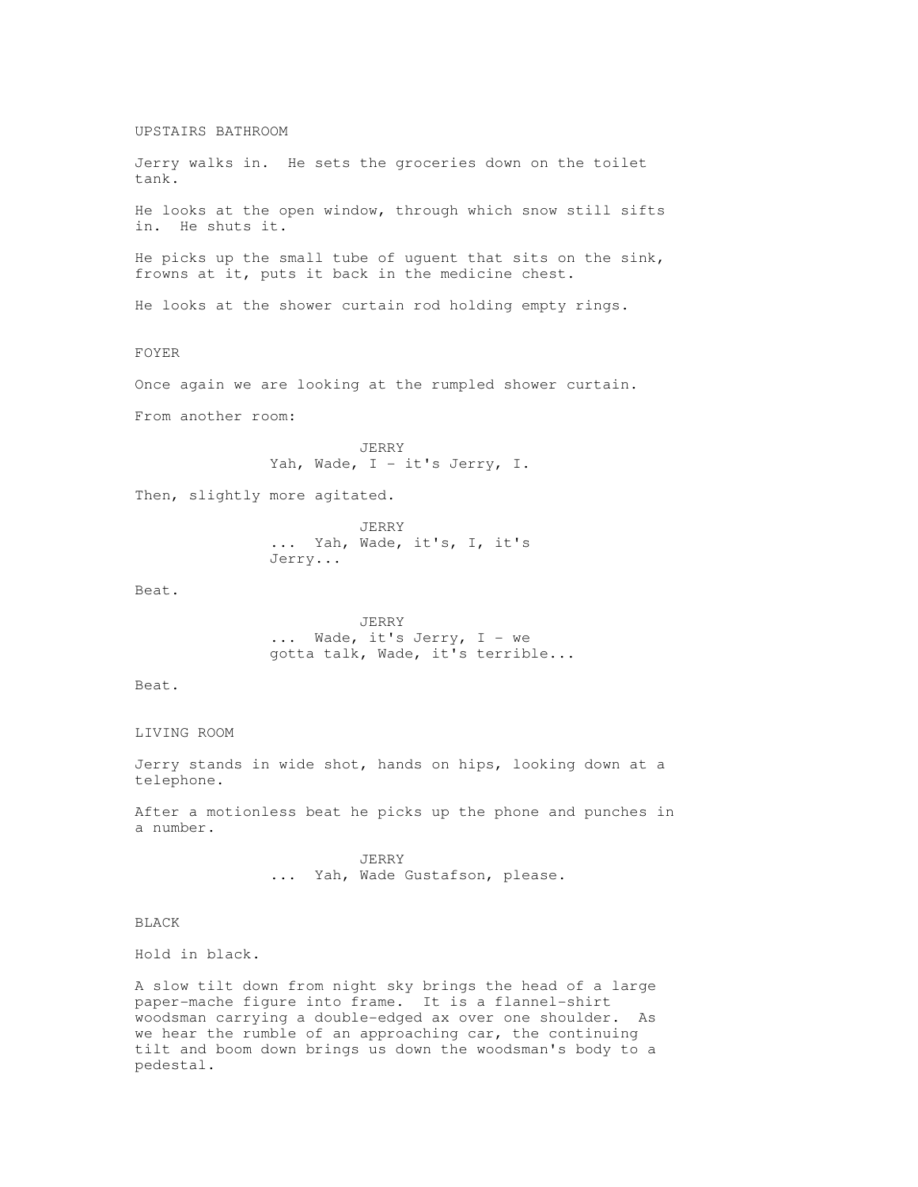UPSTAIRS BATHROOM Jerry walks in. He sets the groceries down on the toilet tank. He looks at the open window, through which snow still sifts in. He shuts it. He picks up the small tube of uguent that sits on the sink, frowns at it, puts it back in the medicine chest. He looks at the shower curtain rod holding empty rings. FOYER Once again we are looking at the rumpled shower curtain. From another room: JERRY Yah, Wade, I - it's Jerry, I. Then, slightly more agitated. JERRY ... Yah, Wade, it's, I, it's Jerry... Beat. JERRY ... Wade, it's Jerry, I - we gotta talk, Wade, it's terrible... Beat. LIVING ROOM Jerry stands in wide shot, hands on hips, looking down at a telephone. After a motionless beat he picks up the phone and punches in a number. JERRY ... Yah, Wade Gustafson, please. BLACK Hold in black. A slow tilt down from night sky brings the head of a large paper-mache figure into frame. It is a flannel-shirt woodsman carrying a double-edged ax over one shoulder. As we hear the rumble of an approaching car, the continuing tilt and boom down brings us down the woodsman's body to a pedestal.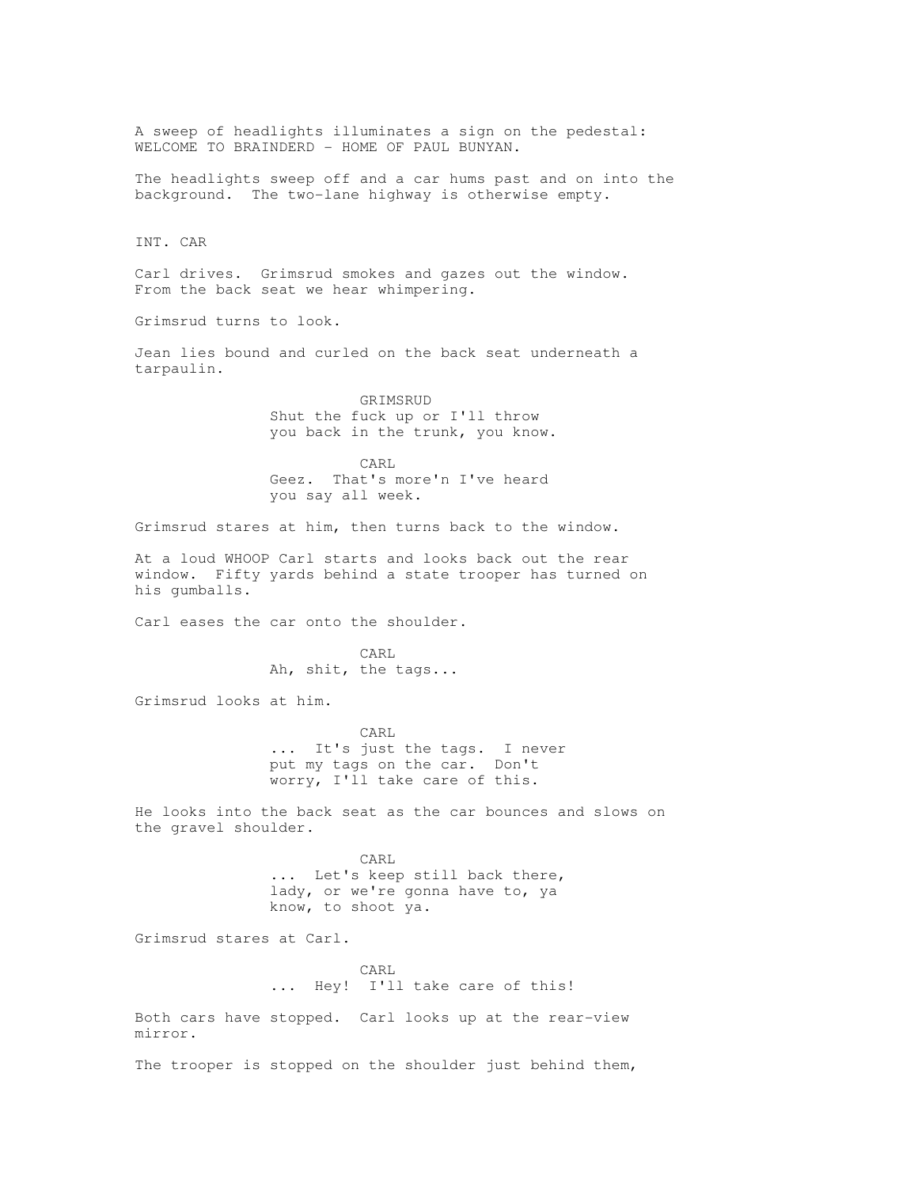A sweep of headlights illuminates a sign on the pedestal: WELCOME TO BRAINDERD - HOME OF PAUL BUNYAN.

The headlights sweep off and a car hums past and on into the background. The two-lane highway is otherwise empty.

INT. CAR

Carl drives. Grimsrud smokes and gazes out the window. From the back seat we hear whimpering.

Grimsrud turns to look.

Jean lies bound and curled on the back seat underneath a tarpaulin.

> GRIMSRUD Shut the fuck up or I'll throw you back in the trunk, you know.

 CARL Geez. That's more'n I've heard you say all week.

Grimsrud stares at him, then turns back to the window.

At a loud WHOOP Carl starts and looks back out the rear window. Fifty yards behind a state trooper has turned on his gumballs.

Carl eases the car onto the shoulder.

 CARL Ah, shit, the tags...

Grimsrud looks at him.

 CARL ... It's just the tags. I never put my tags on the car. Don't worry, I'll take care of this.

He looks into the back seat as the car bounces and slows on the gravel shoulder.

> CARL ... Let's keep still back there, lady, or we're gonna have to, ya know, to shoot ya.

Grimsrud stares at Carl.

 CARL ... Hey! I'll take care of this!

Both cars have stopped. Carl looks up at the rear-view mirror.

The trooper is stopped on the shoulder just behind them,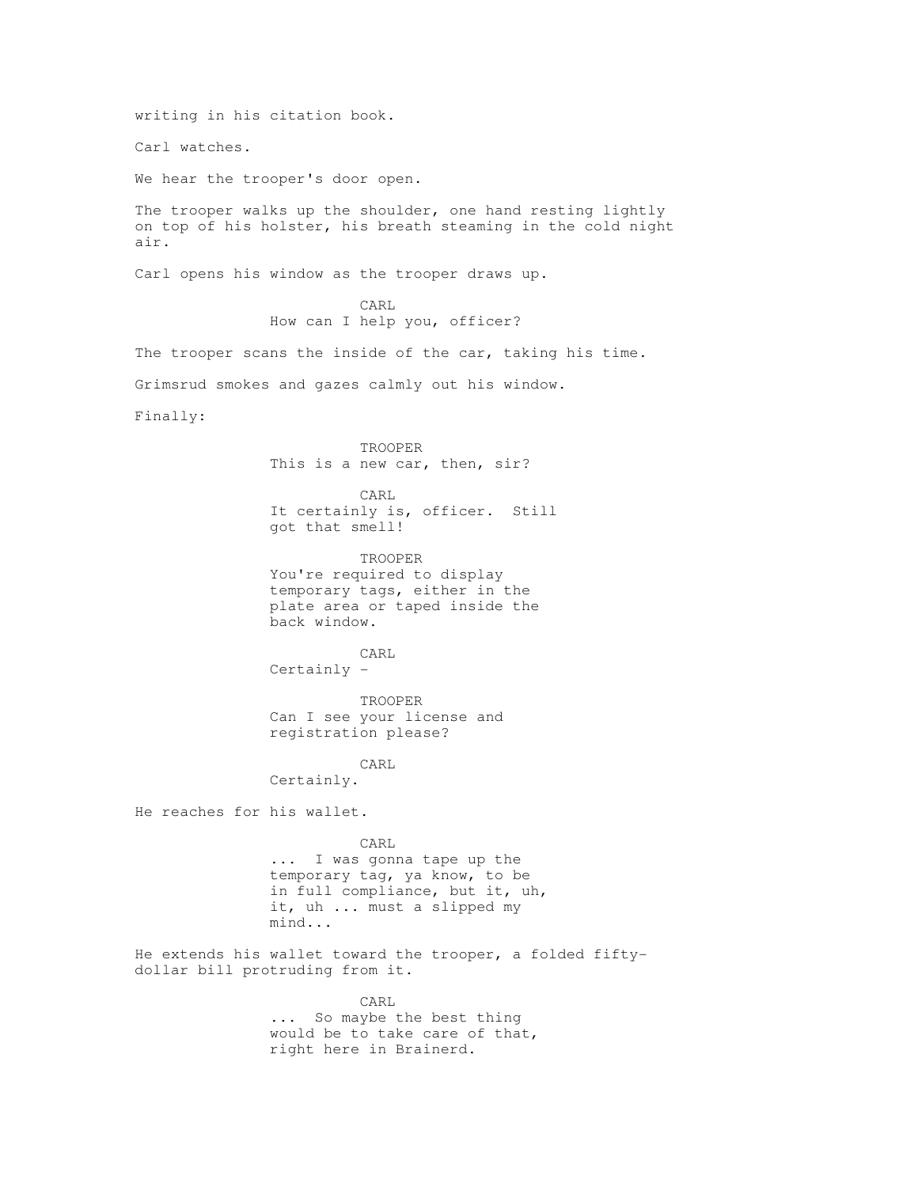writing in his citation book. Carl watches. We hear the trooper's door open. The trooper walks up the shoulder, one hand resting lightly on top of his holster, his breath steaming in the cold night air. Carl opens his window as the trooper draws up. CARL How can I help you, officer? The trooper scans the inside of the car, taking his time. Grimsrud smokes and gazes calmly out his window. Finally: TROOPER This is a new car, then, sir? CARL It certainly is, officer. Still got that smell! TROOPER You're required to display temporary tags, either in the plate area or taped inside the back window. CARL Certainly - TROOPER Can I see your license and registration please? CARL Certainly. He reaches for his wallet. CARL ... I was gonna tape up the temporary tag, ya know, to be in full compliance, but it, uh, it, uh ... must a slipped my mind... He extends his wallet toward the trooper, a folded fiftydollar bill protruding from it. CARL ... So maybe the best thing would be to take care of that, right here in Brainerd.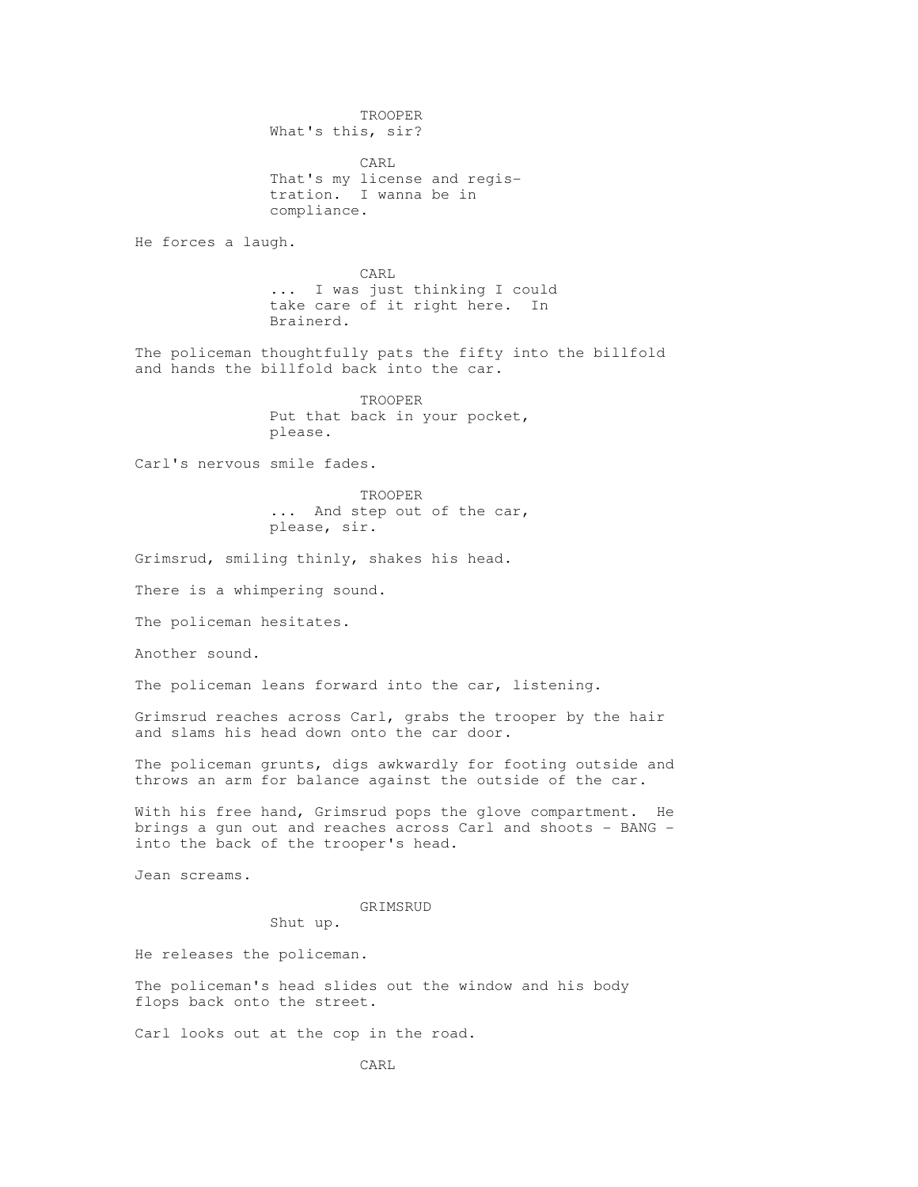TROOPER What's this, sir? CARL That's my license and regis tration. I wanna be in compliance. He forces a laugh. CARL ... I was just thinking I could take care of it right here. In Brainerd. The policeman thoughtfully pats the fifty into the billfold and hands the billfold back into the car. TROOPER Put that back in your pocket, please. Carl's nervous smile fades. TROOPER ... And step out of the car, please, sir. Grimsrud, smiling thinly, shakes his head. There is a whimpering sound. The policeman hesitates. Another sound. The policeman leans forward into the car, listening. Grimsrud reaches across Carl, grabs the trooper by the hair and slams his head down onto the car door. The policeman grunts, digs awkwardly for footing outside and throws an arm for balance against the outside of the car. With his free hand, Grimsrud pops the glove compartment. He brings a gun out and reaches across Carl and shoots - BANG into the back of the trooper's head. Jean screams. GRIMSRUD Shut up. He releases the policeman. The policeman's head slides out the window and his body flops back onto the street. Carl looks out at the cop in the road. CARL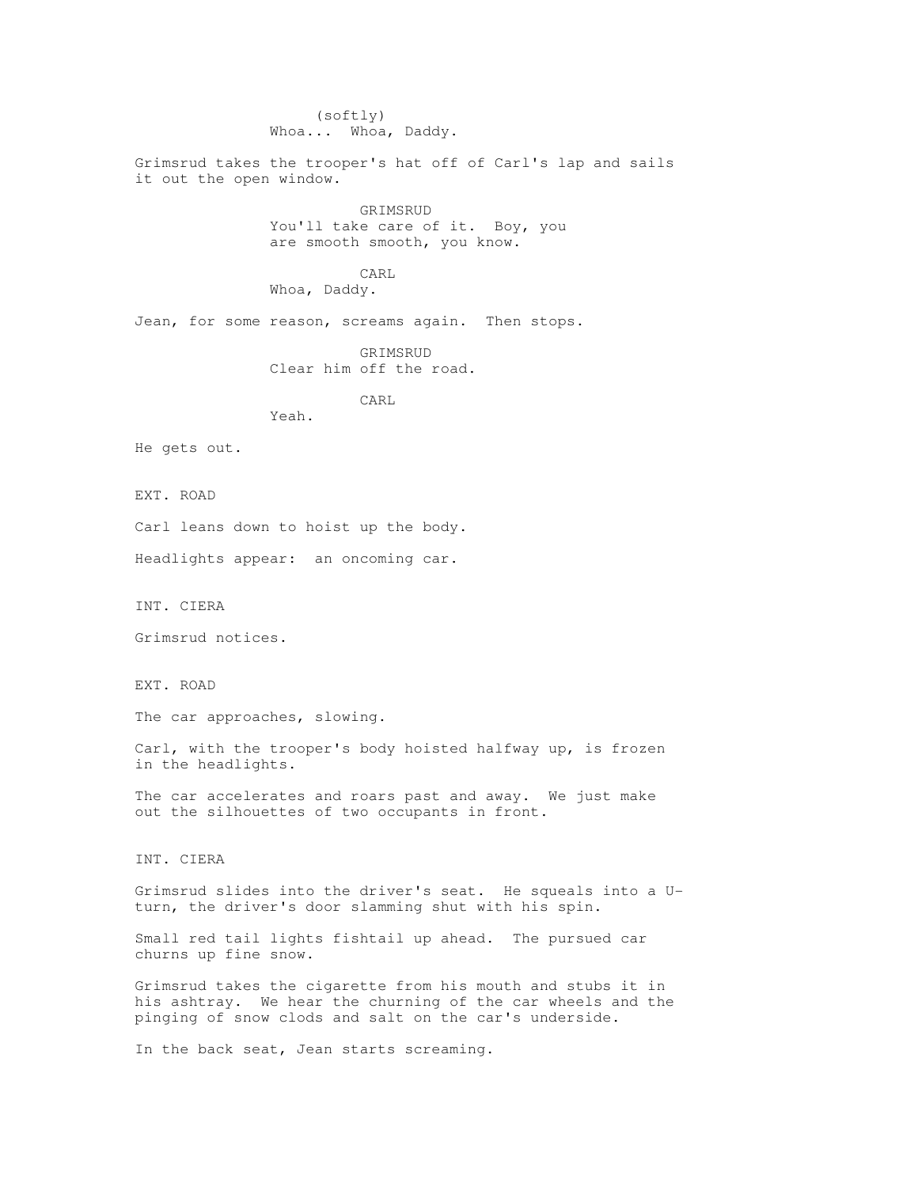(softly) Whoa... Whoa, Daddy. Grimsrud takes the trooper's hat off of Carl's lap and sails it out the open window. GRIMSRUD You'll take care of it. Boy, you are smooth smooth, you know. CARL Whoa, Daddy. Jean, for some reason, screams again. Then stops. GRIMSRUD Clear him off the road. CARL Yeah. He gets out. EXT. ROAD Carl leans down to hoist up the body. Headlights appear: an oncoming car. INT. CIERA Grimsrud notices. EXT. ROAD The car approaches, slowing. Carl, with the trooper's body hoisted halfway up, is frozen in the headlights. The car accelerates and roars past and away. We just make out the silhouettes of two occupants in front. INT. CIERA Grimsrud slides into the driver's seat. He squeals into a Uturn, the driver's door slamming shut with his spin. Small red tail lights fishtail up ahead. The pursued car churns up fine snow. Grimsrud takes the cigarette from his mouth and stubs it in his ashtray. We hear the churning of the car wheels and the pinging of snow clods and salt on the car's underside. In the back seat, Jean starts screaming.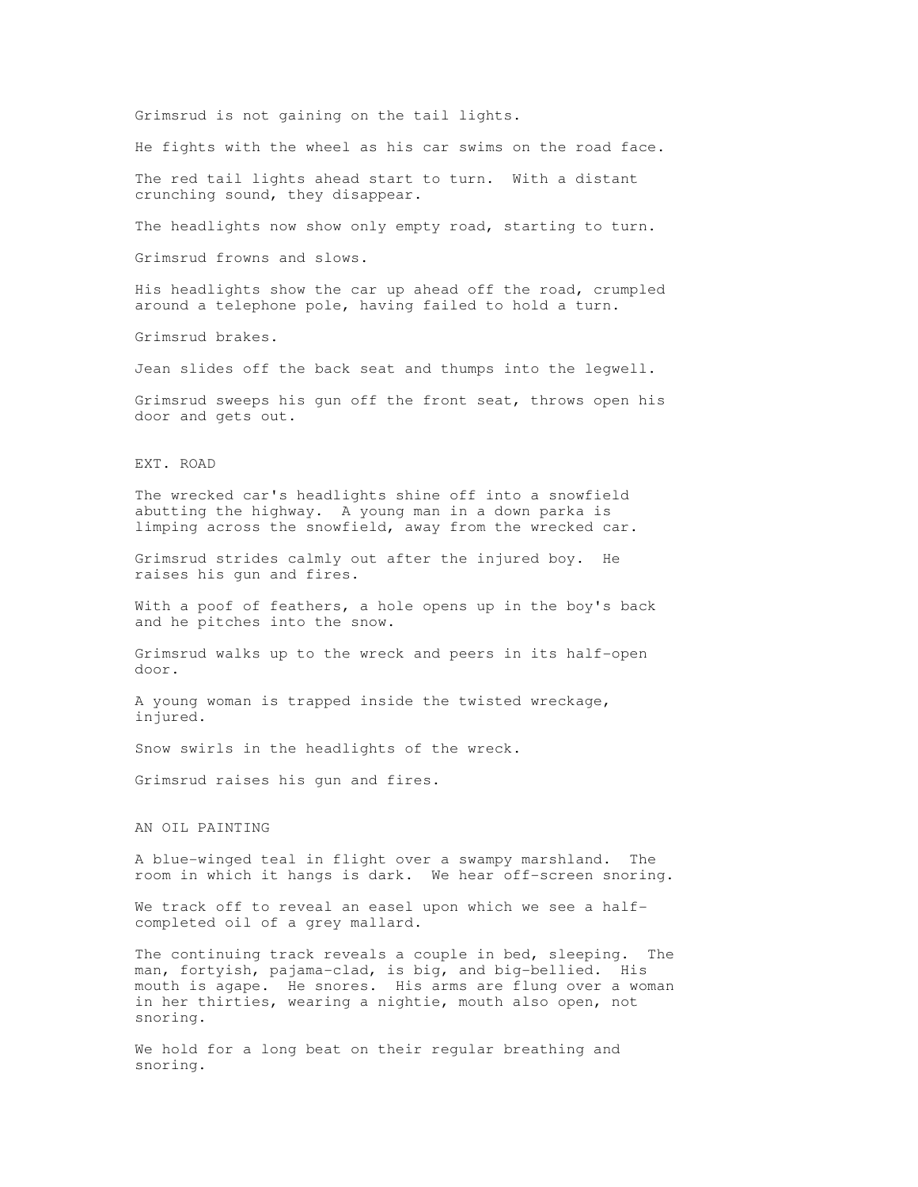Grimsrud is not gaining on the tail lights.

He fights with the wheel as his car swims on the road face.

The red tail lights ahead start to turn. With a distant crunching sound, they disappear.

The headlights now show only empty road, starting to turn.

Grimsrud frowns and slows.

His headlights show the car up ahead off the road, crumpled around a telephone pole, having failed to hold a turn.

Grimsrud brakes.

Jean slides off the back seat and thumps into the legwell.

Grimsrud sweeps his gun off the front seat, throws open his door and gets out.

EXT. ROAD

The wrecked car's headlights shine off into a snowfield abutting the highway. A young man in a down parka is limping across the snowfield, away from the wrecked car.

Grimsrud strides calmly out after the injured boy. He raises his gun and fires.

With a poof of feathers, a hole opens up in the boy's back and he pitches into the snow.

Grimsrud walks up to the wreck and peers in its half-open door.

A young woman is trapped inside the twisted wreckage, injured.

Snow swirls in the headlights of the wreck.

Grimsrud raises his gun and fires.

AN OIL PAINTING

A blue-winged teal in flight over a swampy marshland. The room in which it hangs is dark. We hear off-screen snoring.

We track off to reveal an easel upon which we see a halfcompleted oil of a grey mallard.

The continuing track reveals a couple in bed, sleeping. The man, fortyish, pajama-clad, is big, and big-bellied. His mouth is agape. He snores. His arms are flung over a woman in her thirties, wearing a nightie, mouth also open, not snoring.

We hold for a long beat on their regular breathing and snoring.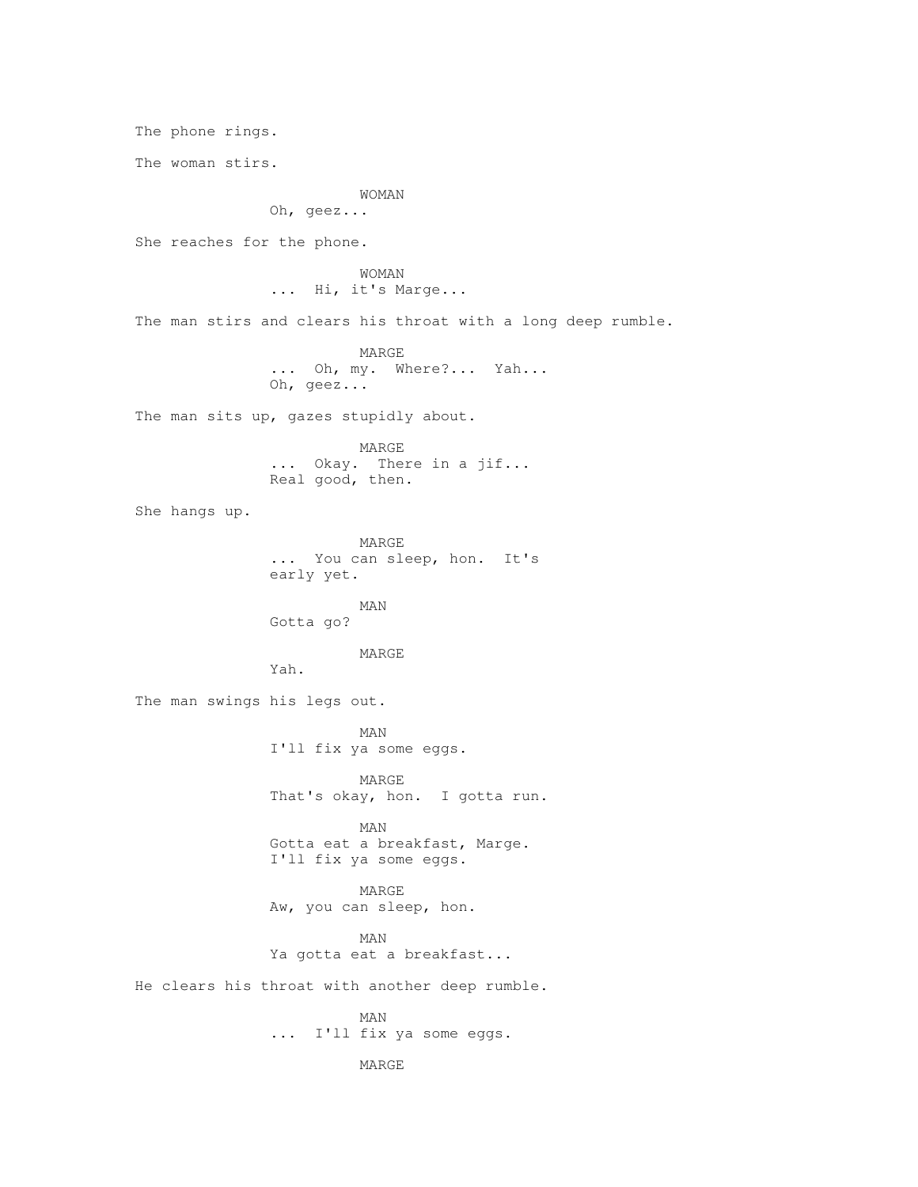The phone rings. The woman stirs. WOMAN Oh, geez... She reaches for the phone. WOMAN ... Hi, it's Marge... The man stirs and clears his throat with a long deep rumble. MARGE ... Oh, my. Where?... Yah... Oh, geez... The man sits up, gazes stupidly about. MARGE ... Okay. There in a jif... Real good, then. She hangs up. MARGE ... You can sleep, hon. It's early yet. MAN Gotta go? MARGE Yah. The man swings his legs out. MAN I'll fix ya some eggs. MARGE That's okay, hon. I gotta run. MAN Gotta eat a breakfast, Marge. I'll fix ya some eggs. MARGE Aw, you can sleep, hon. MAN Ya gotta eat a breakfast... He clears his throat with another deep rumble. MAN ... I'll fix ya some eggs. MARGE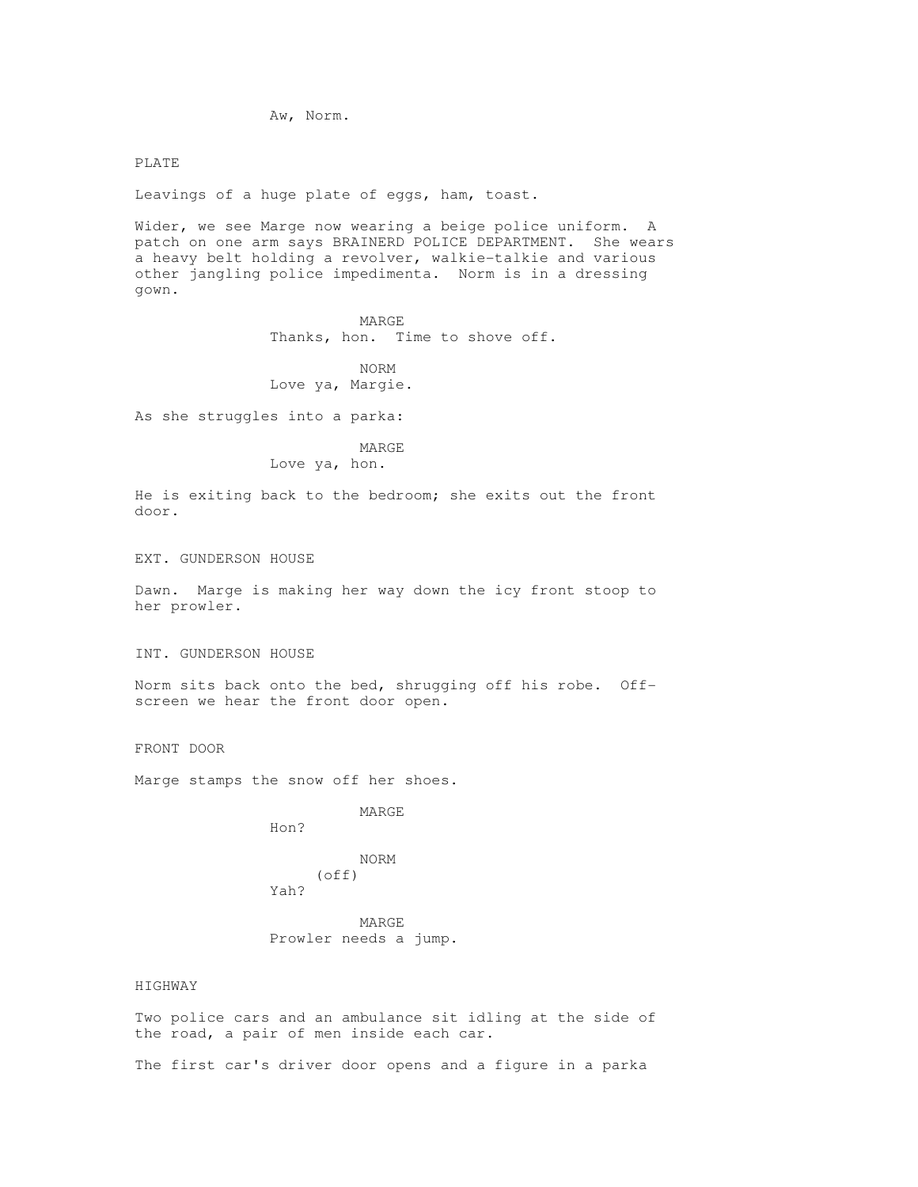Aw, Norm.

### PLATE

Leavings of a huge plate of eggs, ham, toast.

Wider, we see Marge now wearing a beige police uniform. A patch on one arm says BRAINERD POLICE DEPARTMENT. She wears a heavy belt holding a revolver, walkie-talkie and various other jangling police impedimenta. Norm is in a dressing gown.

#### MARGE

Thanks, hon. Time to shove off.

 NORM Love ya, Margie.

As she struggles into a parka:

 MARGE Love ya, hon.

He is exiting back to the bedroom; she exits out the front door.

EXT. GUNDERSON HOUSE

Dawn. Marge is making her way down the icy front stoop to her prowler.

INT. GUNDERSON HOUSE

Norm sits back onto the bed, shrugging off his robe. Offscreen we hear the front door open.

FRONT DOOR

Marge stamps the snow off her shoes.

Hon?

MARGE

 NORM (off) Yah?

 MARGE Prowler needs a jump.

### HIGHWAY

Two police cars and an ambulance sit idling at the side of the road, a pair of men inside each car.

The first car's driver door opens and a figure in a parka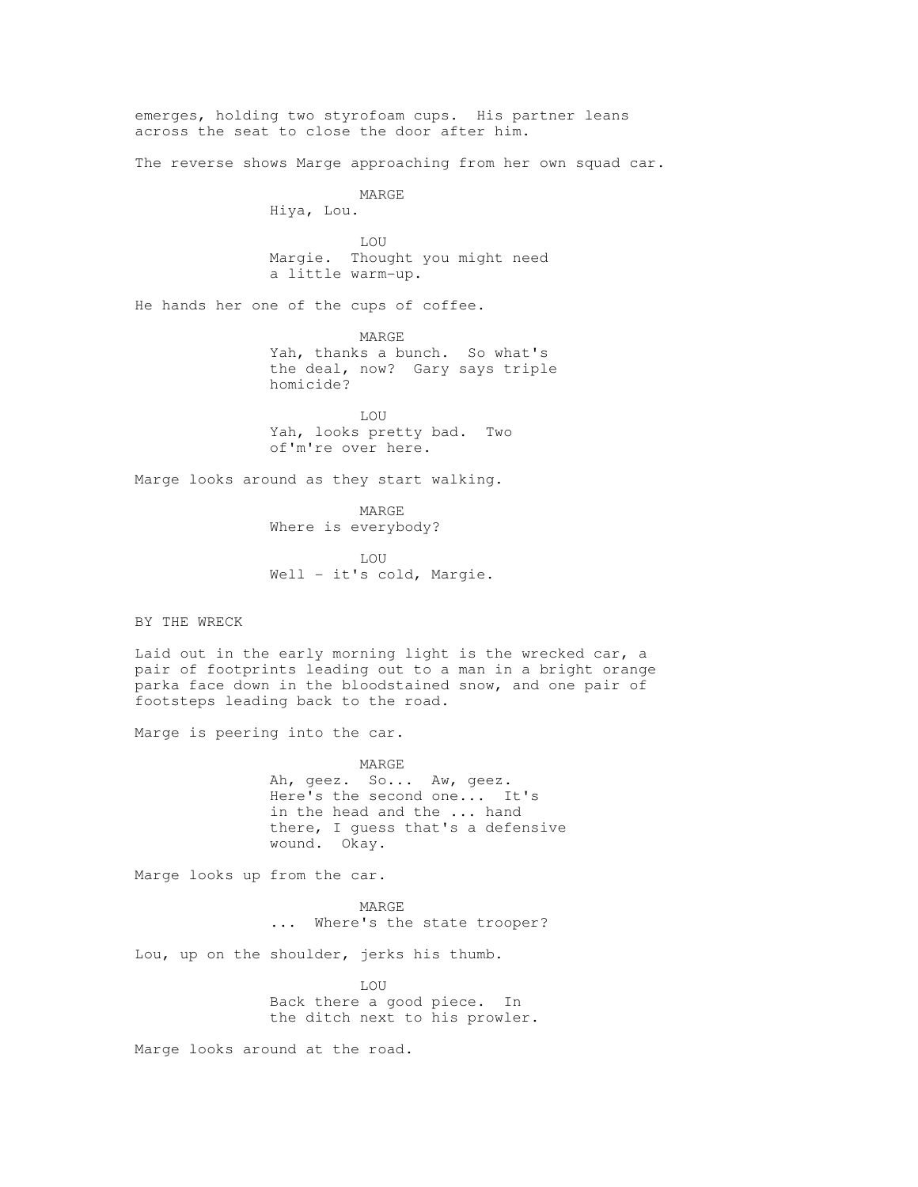emerges, holding two styrofoam cups. His partner leans across the seat to close the door after him.

The reverse shows Marge approaching from her own squad car.

MARGE

Hiya, Lou.

 LOU Margie. Thought you might need a little warm-up.

He hands her one of the cups of coffee.

 MARGE Yah, thanks a bunch. So what's the deal, now? Gary says triple homicide?

 LOU Yah, looks pretty bad. Two of'm're over here.

Marge looks around as they start walking.

 MARGE Where is everybody?

 LOU Well - it's cold, Margie.

BY THE WRECK

Laid out in the early morning light is the wrecked car, a pair of footprints leading out to a man in a bright orange parka face down in the bloodstained snow, and one pair of footsteps leading back to the road.

Marge is peering into the car.

 MARGE Ah, geez. So... Aw, geez. Here's the second one... It's in the head and the ... hand there, I guess that's a defensive wound. Okay.

Marge looks up from the car.

 MARGE ... Where's the state trooper?

Lou, up on the shoulder, jerks his thumb.

 LOU Back there a good piece. In the ditch next to his prowler.

Marge looks around at the road.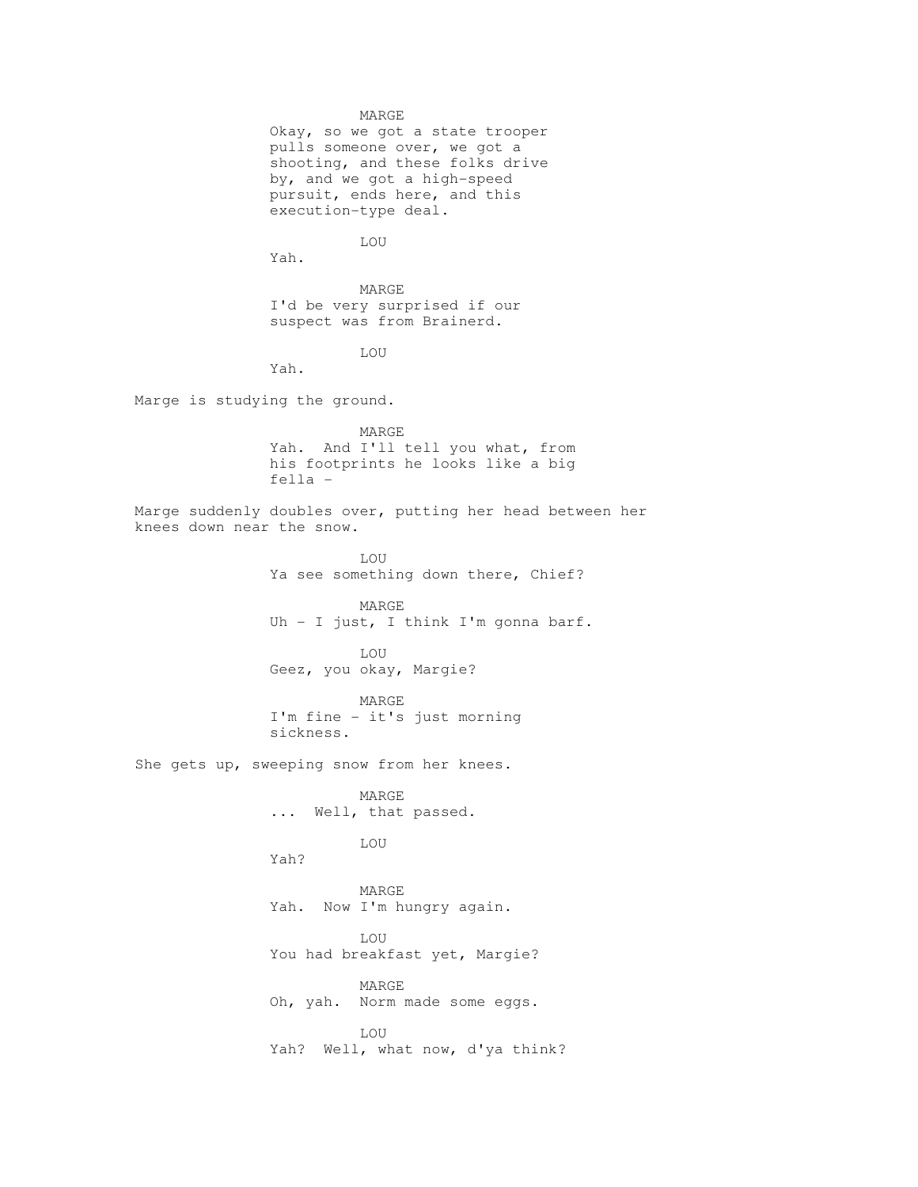#### MARGE

 Okay, so we got a state trooper pulls someone over, we got a shooting, and these folks drive by, and we got a high-speed pursuit, ends here, and this execution-type deal.

LOU

Yah.

 MARGE I'd be very surprised if our suspect was from Brainerd.

LOU

Yah.

Marge is studying the ground.

 MARGE Yah. And I'll tell you what, from his footprints he looks like a big fella -

Marge suddenly doubles over, putting her head between her knees down near the snow.

> LOU Ya see something down there, Chief?

 MARGE Uh - I just, I think I'm gonna barf.

 LOU Geez, you okay, Margie?

 MARGE I'm fine - it's just morning sickness.

She gets up, sweeping snow from her knees.

 MARGE ... Well, that passed.

LOU

Yah?

 MARGE Yah. Now I'm hungry again.

 LOU You had breakfast yet, Margie?

 MARGE Oh, yah. Norm made some eggs.

 LOU Yah? Well, what now, d'ya think?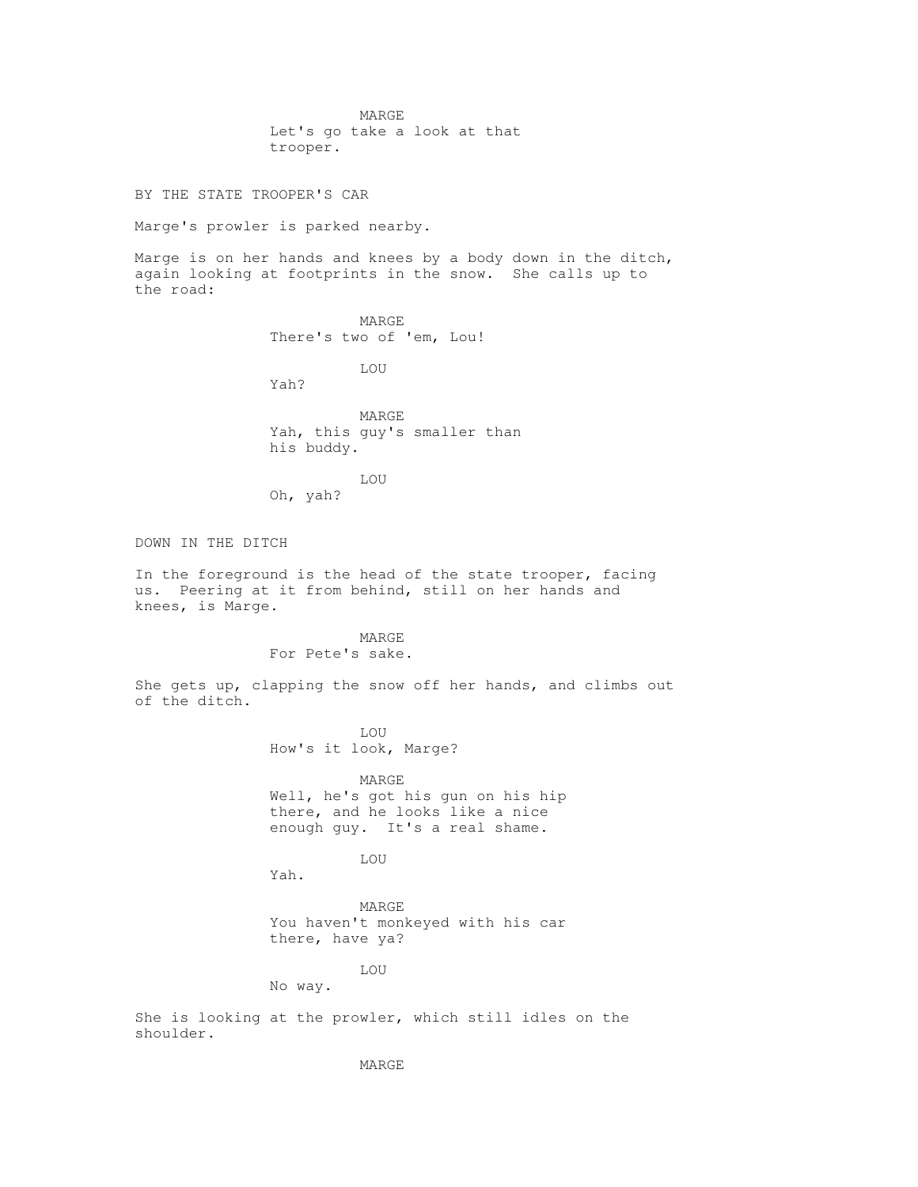MARGE Let's go take a look at that trooper.

BY THE STATE TROOPER'S CAR

Marge's prowler is parked nearby.

Marge is on her hands and knees by a body down in the ditch, again looking at footprints in the snow. She calls up to the road:

### MARGE

There's two of 'em, Lou!

LOU

Yah?

 MARGE Yah, this guy's smaller than his buddy.

LOU

Oh, yah?

DOWN IN THE DITCH

In the foreground is the head of the state trooper, facing us. Peering at it from behind, still on her hands and knees, is Marge.

> MARGE For Pete's sake.

She gets up, clapping the snow off her hands, and climbs out of the ditch.

> LOU How's it look, Marge?

 MARGE Well, he's got his gun on his hip there, and he looks like a nice enough guy. It's a real shame.

LOU

Yah.

 MARGE You haven't monkeyed with his car there, have ya?

LOU

No way.

She is looking at the prowler, which still idles on the shoulder.

MARGE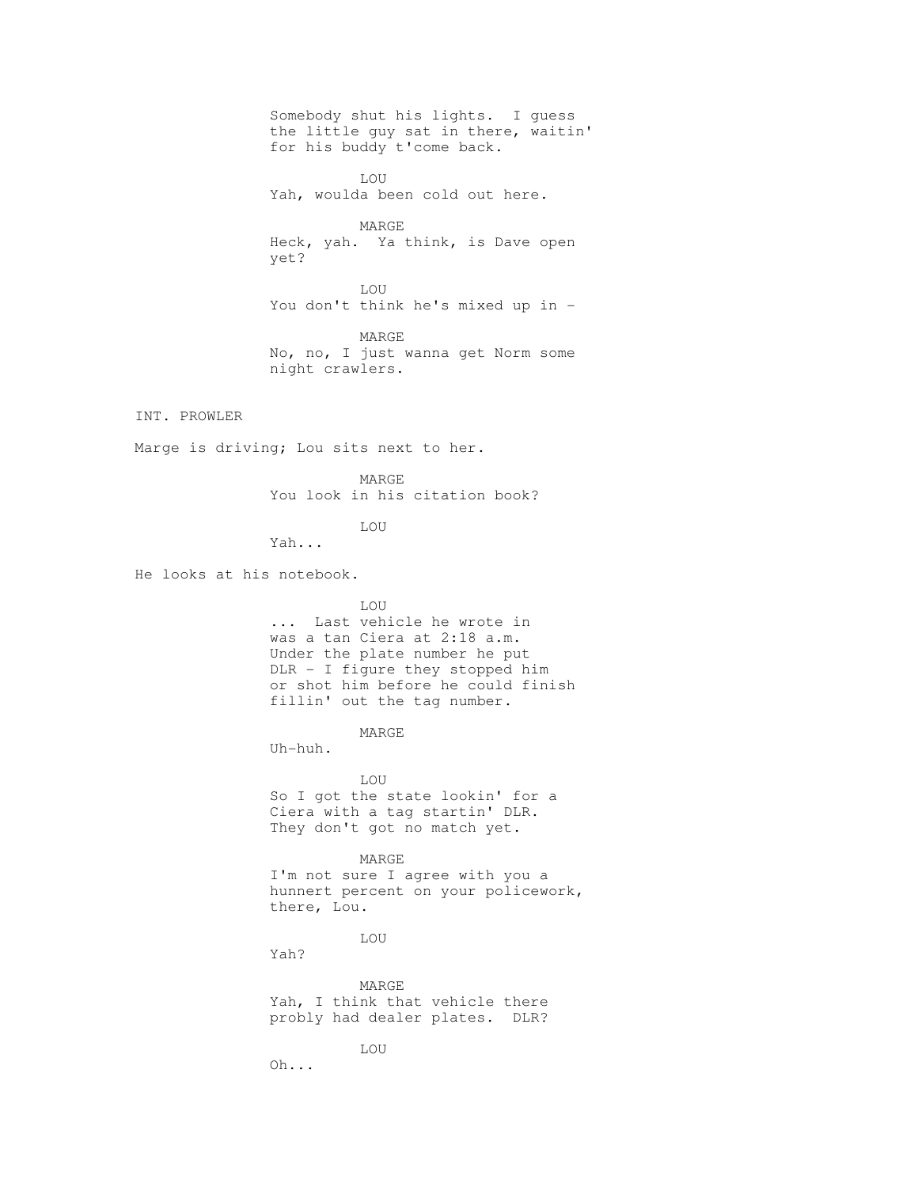Somebody shut his lights. I guess the little guy sat in there, waitin' for his buddy t'come back.

 LOU Yah, woulda been cold out here.

 MARGE Heck, yah. Ya think, is Dave open yet?

 LOU You don't think he's mixed up in -

 MARGE No, no, I just wanna get Norm some night crawlers.

### INT. PROWLER

Marge is driving; Lou sits next to her.

 MARGE You look in his citation book?

LOU

Yah...

He looks at his notebook.

 LOU ... Last vehicle he wrote in was a tan Ciera at 2:18 a.m. Under the plate number he put DLR - I figure they stopped him or shot him before he could finish fillin' out the tag number.

# MARGE

Uh-huh.

 LOU So I got the state lookin' for a Ciera with a tag startin' DLR. They don't got no match yet.

 MARGE I'm not sure I agree with you a hunnert percent on your policework, there, Lou.

LOU

Yah?

 MARGE Yah, I think that vehicle there probly had dealer plates. DLR?

LOU

Oh...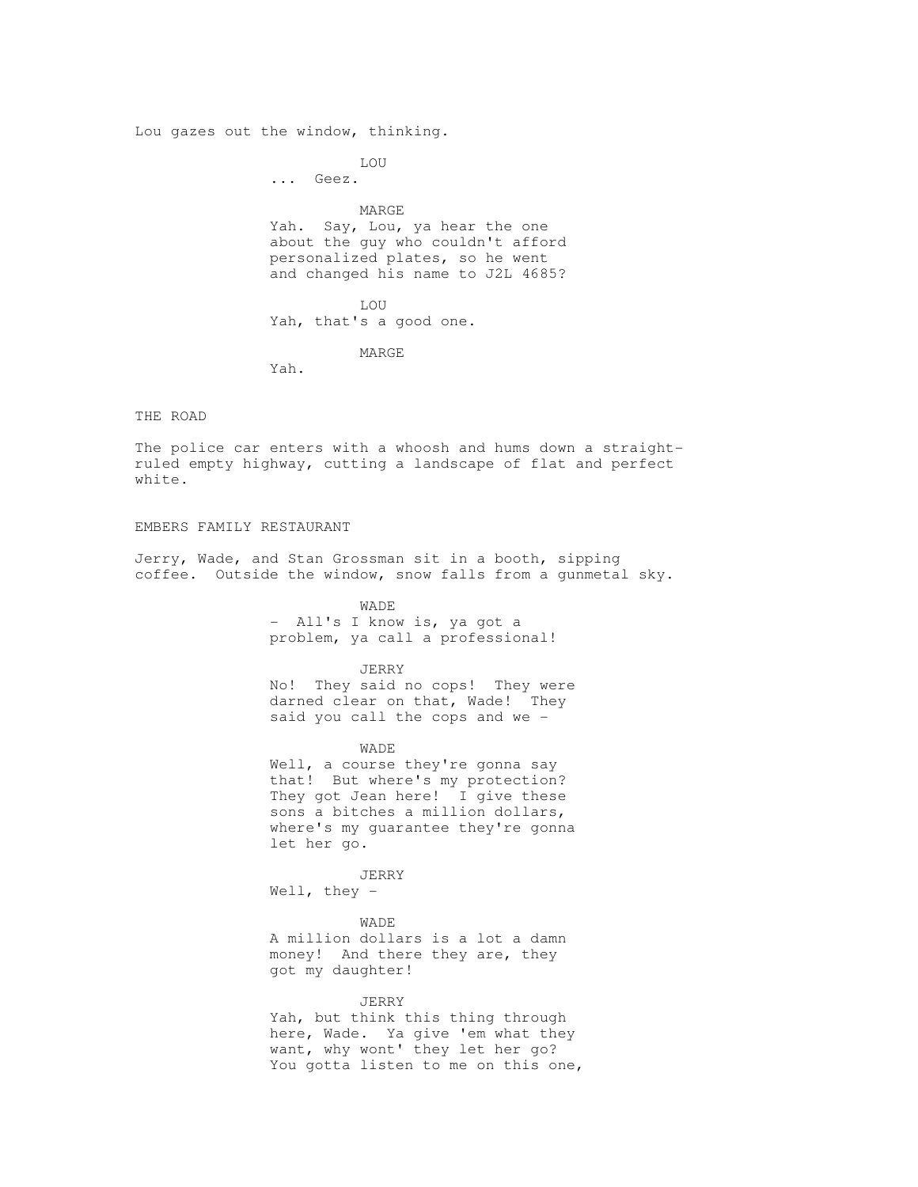Lou gazes out the window, thinking.

 LOU ... Geez. MARGE Yah. Say, Lou, ya hear the one about the guy who couldn't afford personalized plates, so he went and changed his name to J2L 4685? LOU

Yah, that's a good one.

MARGE

Yah.

### THE ROAD

The police car enters with a whoosh and hums down a straightruled empty highway, cutting a landscape of flat and perfect white.

### EMBERS FAMILY RESTAURANT

Jerry, Wade, and Stan Grossman sit in a booth, sipping coffee. Outside the window, snow falls from a gunmetal sky.

# WADE - All's I know is, ya got a problem, ya call a professional!

#### JERRY

 No! They said no cops! They were darned clear on that, Wade! They said you call the cops and we -

### WADE

 Well, a course they're gonna say that! But where's my protection? They got Jean here! I give these sons a bitches a million dollars, where's my guarantee they're gonna let her go.

JERRY

Well, they -

 WADE A million dollars is a lot a damn money! And there they are, they got my daughter!

#### JERRY

 Yah, but think this thing through here, Wade. Ya give 'em what they want, why wont' they let her go? You gotta listen to me on this one,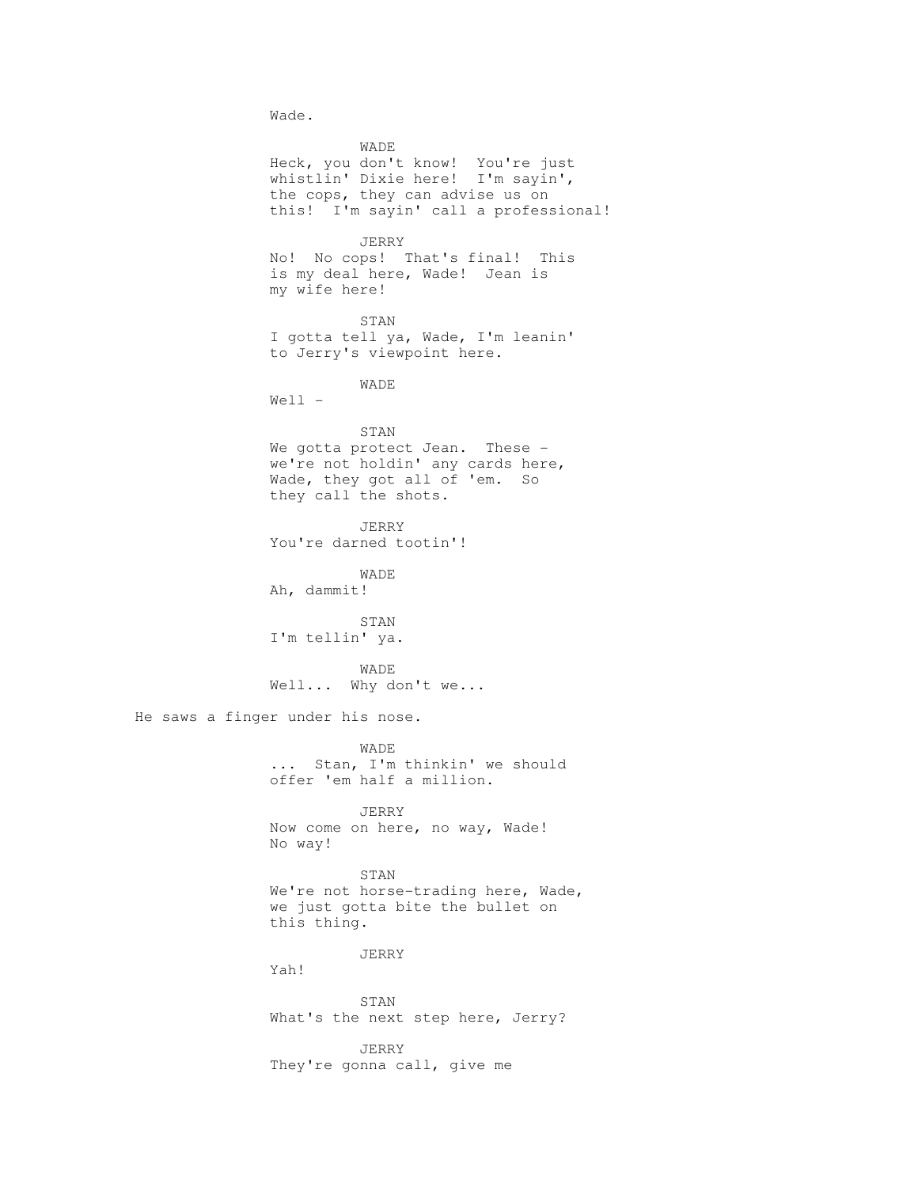Wade.

 WADE Heck, you don't know! You're just whistlin' Dixie here! I'm sayin', the cops, they can advise us on this! I'm sayin' call a professional! JERRY No! No cops! That's final! This is my deal here, Wade! Jean is my wife here! STAN I gotta tell ya, Wade, I'm leanin' to Jerry's viewpoint here. WADE  $Well1 -$  STAN We gotta protect Jean. These we're not holdin' any cards here, Wade, they got all of 'em. So they call the shots. JERRY You're darned tootin'! WADE Ah, dammit! STAN I'm tellin' ya. WADE Well... Why don't we... He saws a finger under his nose. WADE ... Stan, I'm thinkin' we should offer 'em half a million. JERRY Now come on here, no way, Wade! No way! STAN We're not horse-trading here, Wade, we just gotta bite the bullet on this thing. JERRY Yah! STAN What's the next step here, Jerry? JERRY They're gonna call, give me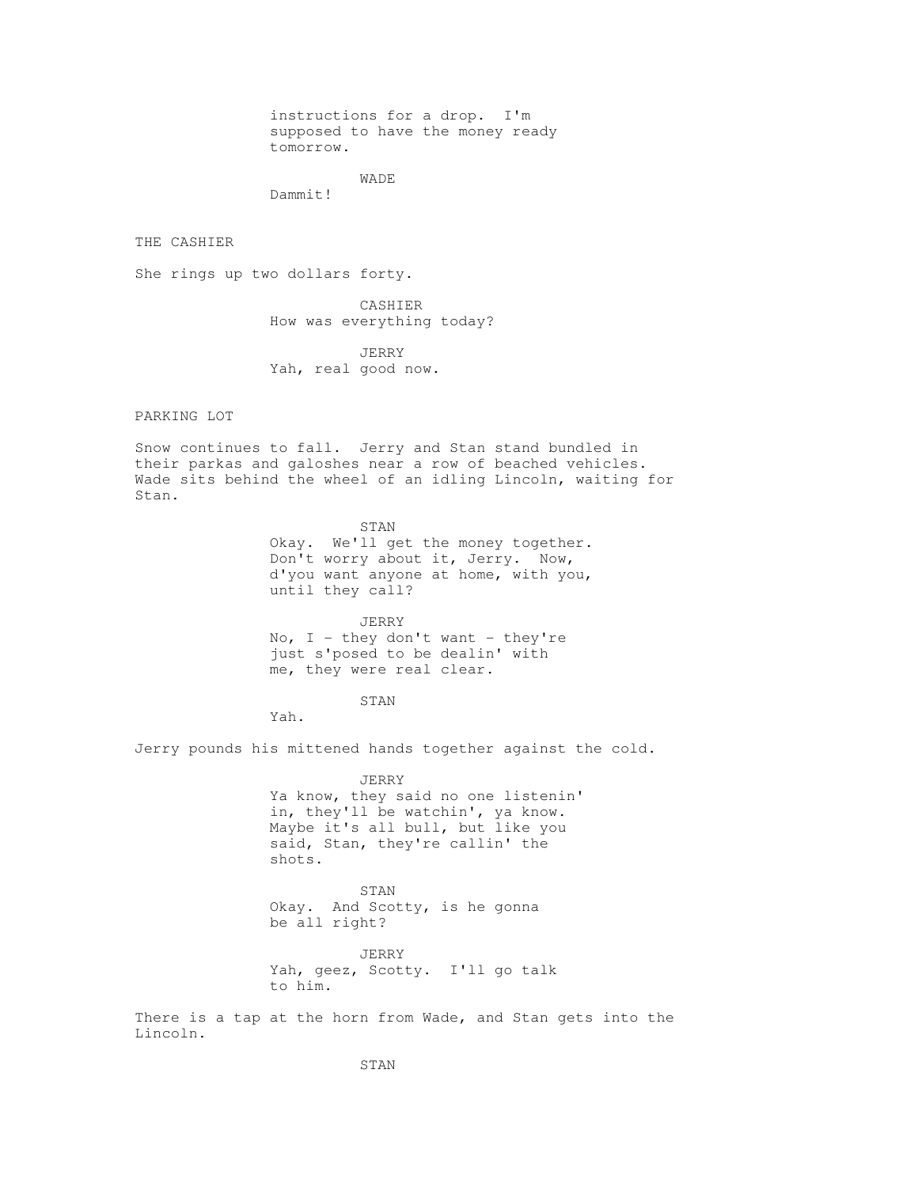instructions for a drop. I'm supposed to have the money ready tomorrow.

WADE

Dammit!

THE CASHIER

She rings up two dollars forty.

 CASHIER How was everything today?

 JERRY Yah, real good now.

PARKING LOT

Snow continues to fall. Jerry and Stan stand bundled in their parkas and galoshes near a row of beached vehicles. Wade sits behind the wheel of an idling Lincoln, waiting for Stan.

> STAN Okay. We'll get the money together. Don't worry about it, Jerry. Now, d'you want anyone at home, with you, until they call?

 JERRY No,  $I -$  they don't want - they're just s'posed to be dealin' with me, they were real clear.

## STAN

Yah.

Jerry pounds his mittened hands together against the cold.

 JERRY Ya know, they said no one listenin' in, they'll be watchin', ya know. Maybe it's all bull, but like you said, Stan, they're callin' the shots.

 STAN Okay. And Scotty, is he gonna be all right?

 JERRY Yah, geez, Scotty. I'll go talk to him.

There is a tap at the horn from Wade, and Stan gets into the Lincoln.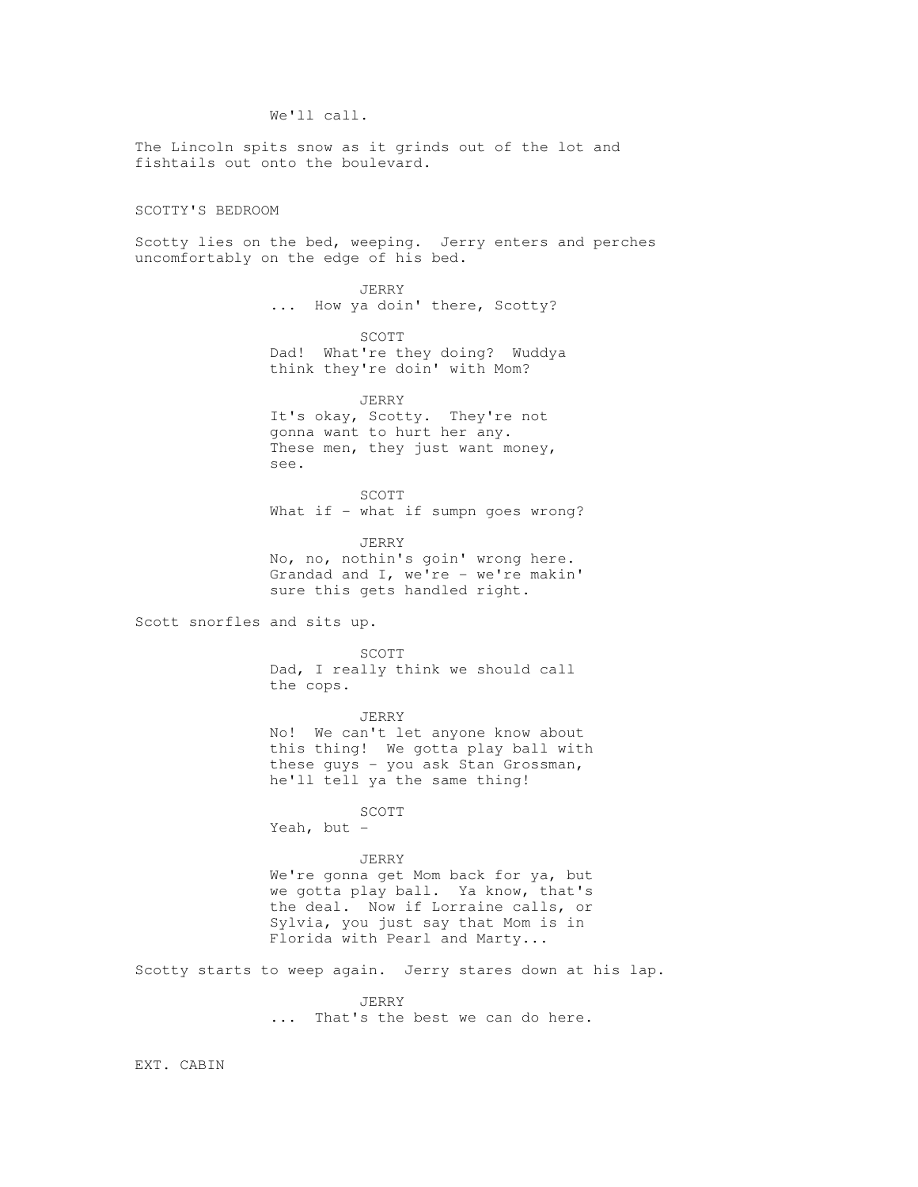We'll call.

The Lincoln spits snow as it grinds out of the lot and fishtails out onto the boulevard.

#### SCOTTY'S BEDROOM

Scotty lies on the bed, weeping. Jerry enters and perches uncomfortably on the edge of his bed.

> JERRY ... How ya doin' there, Scotty?

 SCOTT Dad! What're they doing? Wuddya think they're doin' with Mom?

 JERRY It's okay, Scotty. They're not gonna want to hurt her any. These men, they just want money, see.

 SCOTT What if  $-$  what if sumpn goes wrong?

 JERRY No, no, nothin's goin' wrong here. Grandad and I, we're - we're makin' sure this gets handled right.

Scott snorfles and sits up.

 SCOTT Dad, I really think we should call the cops.

JERRY

 No! We can't let anyone know about this thing! We gotta play ball with these guys - you ask Stan Grossman, he'll tell ya the same thing!

 SCOTT Yeah, but -

JERRY

 We're gonna get Mom back for ya, but we gotta play ball. Ya know, that's the deal. Now if Lorraine calls, or Sylvia, you just say that Mom is in Florida with Pearl and Marty...

Scotty starts to weep again. Jerry stares down at his lap.

 JERRY ... That's the best we can do here.

EXT. CABIN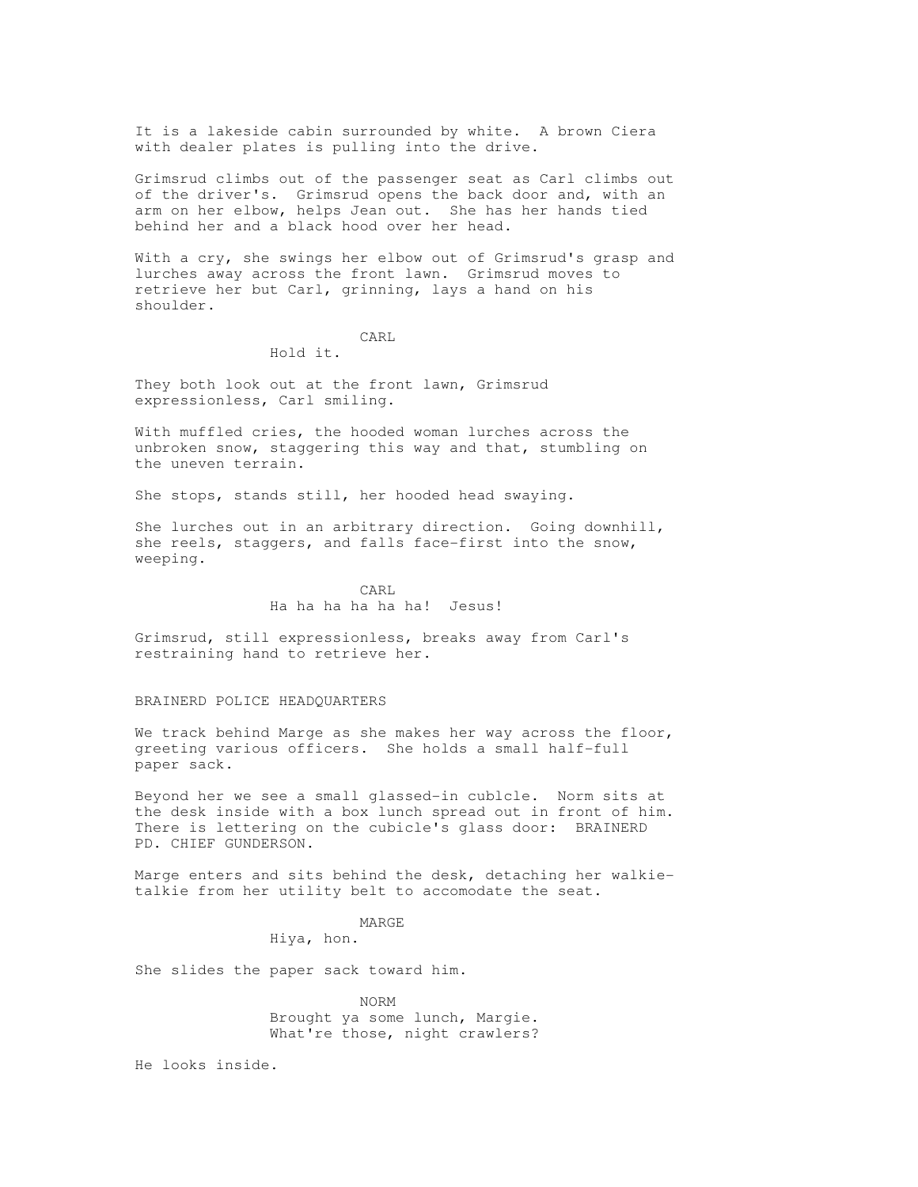It is a lakeside cabin surrounded by white. A brown Ciera with dealer plates is pulling into the drive.

Grimsrud climbs out of the passenger seat as Carl climbs out of the driver's. Grimsrud opens the back door and, with an arm on her elbow, helps Jean out. She has her hands tied behind her and a black hood over her head.

With a cry, she swings her elbow out of Grimsrud's grasp and lurches away across the front lawn. Grimsrud moves to retrieve her but Carl, grinning, lays a hand on his shoulder.

## CARL

Hold it.

They both look out at the front lawn, Grimsrud expressionless, Carl smiling.

With muffled cries, the hooded woman lurches across the unbroken snow, staggering this way and that, stumbling on the uneven terrain.

She stops, stands still, her hooded head swaying.

She lurches out in an arbitrary direction. Going downhill, she reels, staggers, and falls face-first into the snow, weeping.

# CARL Ha ha ha ha ha ha! Jesus!

Grimsrud, still expressionless, breaks away from Carl's restraining hand to retrieve her.

## BRAINERD POLICE HEADQUARTERS

We track behind Marge as she makes her way across the floor, greeting various officers. She holds a small half-full paper sack.

Beyond her we see a small glassed-in cublcle. Norm sits at the desk inside with a box lunch spread out in front of him. There is lettering on the cubicle's glass door: BRAINERD PD. CHIEF GUNDERSON.

Marge enters and sits behind the desk, detaching her walkietalkie from her utility belt to accomodate the seat.

MARGE

Hiya, hon.

She slides the paper sack toward him.

 NORM Brought ya some lunch, Margie. What're those, night crawlers?

He looks inside.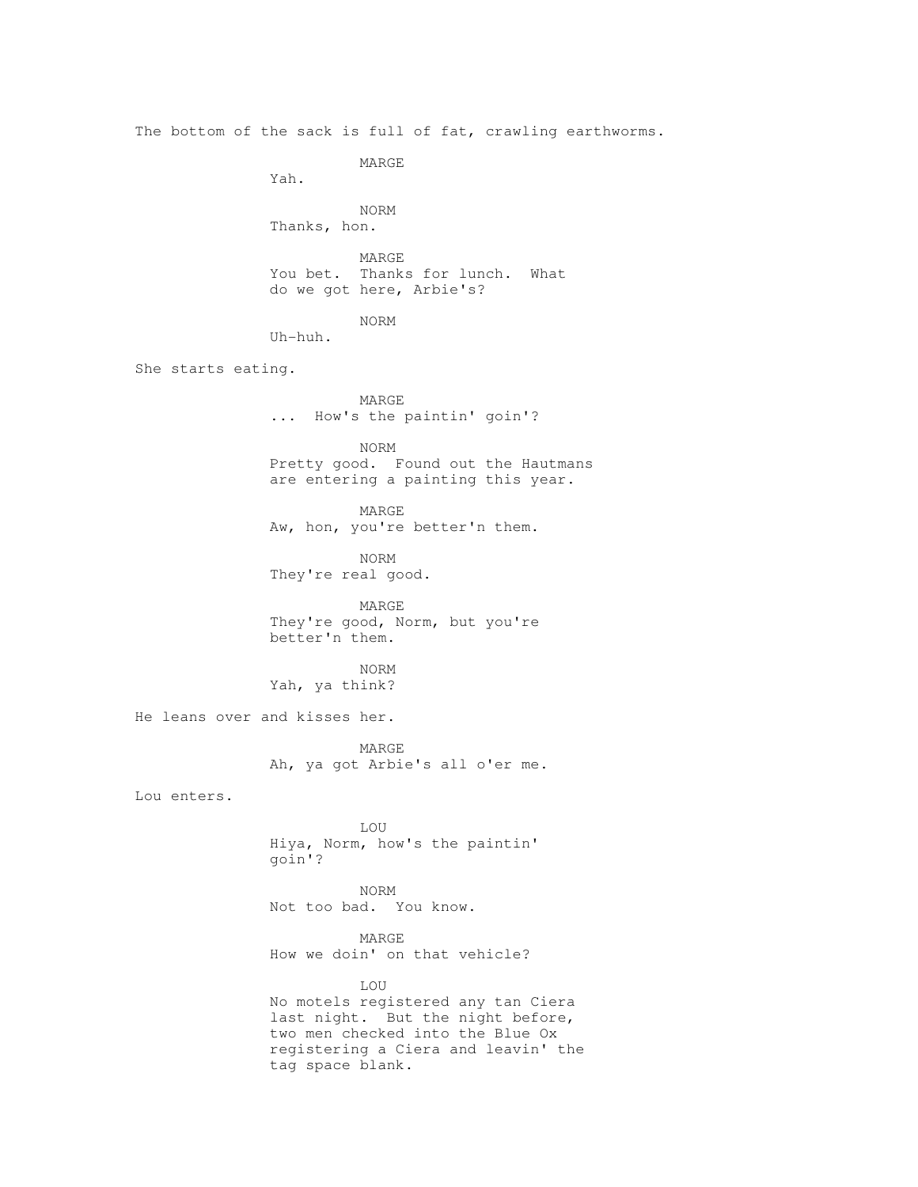The bottom of the sack is full of fat, crawling earthworms.

MARGE

Yah.

 NORM Thanks, hon.

 MARGE You bet. Thanks for lunch. What do we got here, Arbie's?

 NORM Uh-huh.

She starts eating.

 MARGE ... How's the paintin' goin'?

NORM

 Pretty good. Found out the Hautmans are entering a painting this year.

 MARGE Aw, hon, you're better'n them.

 NORM They're real good.

 MARGE They're good, Norm, but you're better'n them.

 NORM Yah, ya think?

He leans over and kisses her.

 MARGE Ah, ya got Arbie's all o'er me.

Lou enters.

 LOU Hiya, Norm, how's the paintin' goin'?

 NORM Not too bad. You know.

 MARGE How we doin' on that vehicle?

 LOU No motels registered any tan Ciera last night. But the night before, two men checked into the Blue Ox registering a Ciera and leavin' the tag space blank.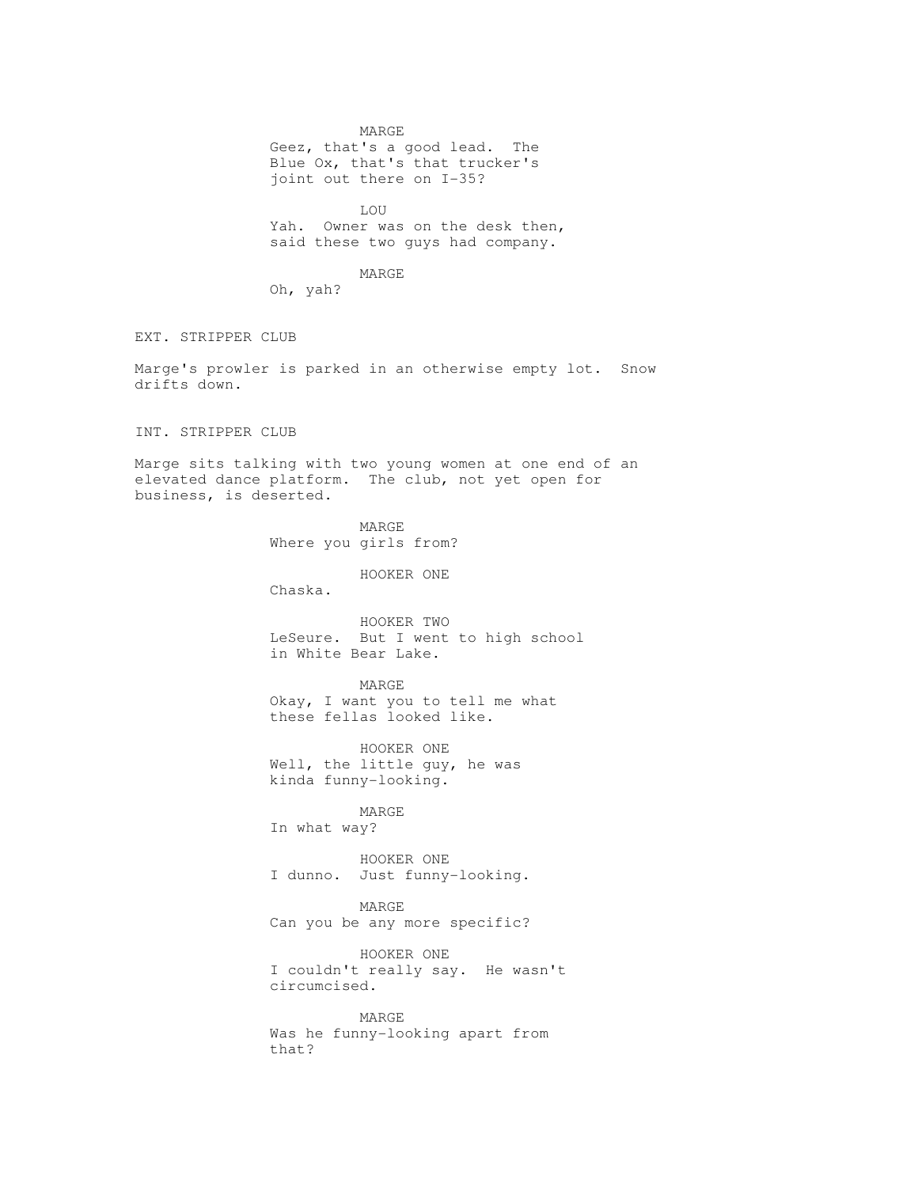#### MARGE

 Geez, that's a good lead. The Blue Ox, that's that trucker's joint out there on I-35?

 LOU Yah. Owner was on the desk then, said these two guys had company.

MARGE

Oh, yah?

EXT. STRIPPER CLUB

Marge's prowler is parked in an otherwise empty lot. Snow drifts down.

INT. STRIPPER CLUB

Marge sits talking with two young women at one end of an elevated dance platform. The club, not yet open for business, is deserted.

> MARGE Where you girls from?

> > HOOKER ONE

Chaska.

 HOOKER TWO LeSeure. But I went to high school in White Bear Lake.

 MARGE Okay, I want you to tell me what these fellas looked like.

 HOOKER ONE Well, the little guy, he was kinda funny-looking.

 MARGE In what way?

 HOOKER ONE I dunno. Just funny-looking.

 MARGE Can you be any more specific?

 HOOKER ONE I couldn't really say. He wasn't circumcised.

 MARGE Was he funny-looking apart from that?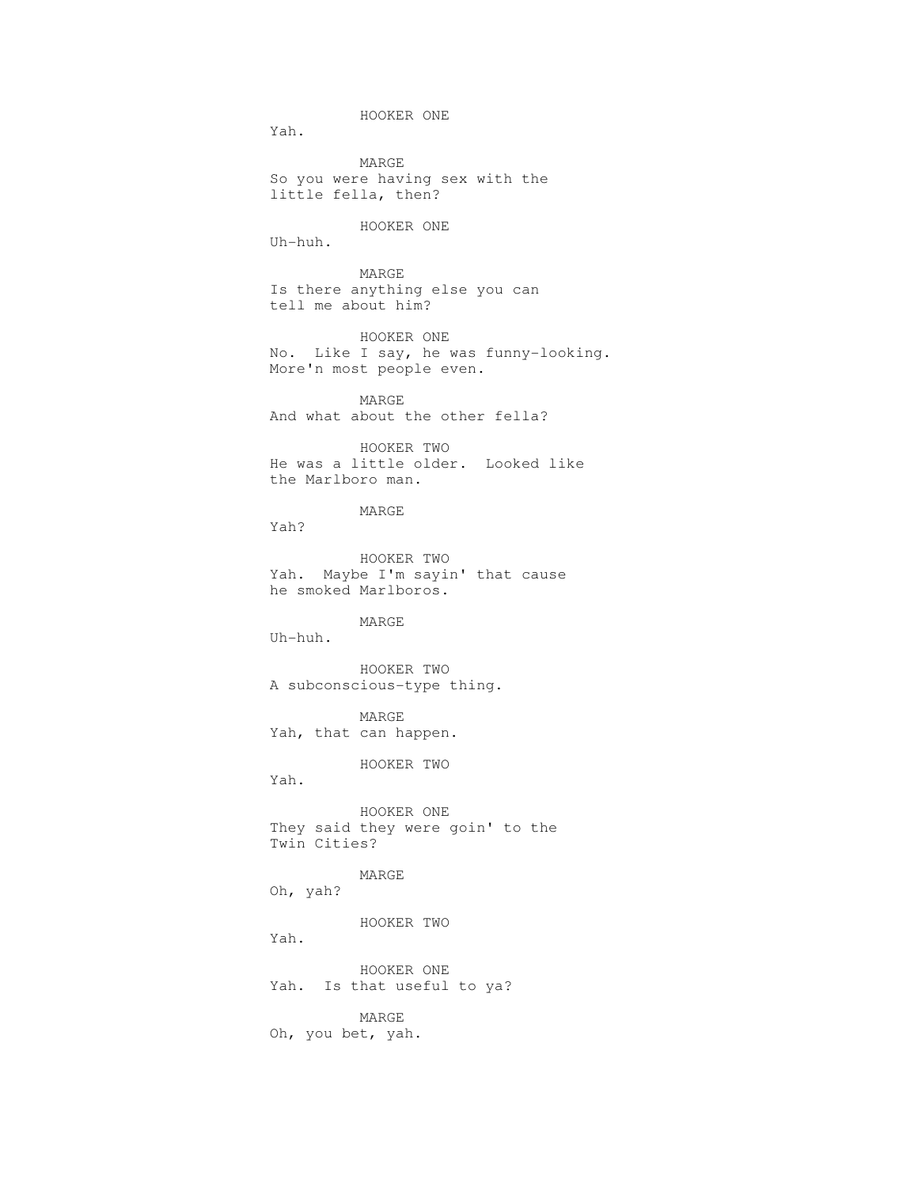HOOKER ONE

 MARGE So you were having sex with the little fella, then?

HOOKER ONE

Uh-huh.

Yah.

 MARGE Is there anything else you can tell me about him?

 HOOKER ONE No. Like I say, he was funny-looking. More'n most people even.

 MARGE And what about the other fella?

 HOOKER TWO He was a little older. Looked like the Marlboro man.

MARGE

Yah?

 HOOKER TWO Yah. Maybe I'm sayin' that cause he smoked Marlboros.

MARGE

Uh-huh.

 HOOKER TWO A subconscious-type thing.

 MARGE Yah, that can happen.

HOOKER TWO

Yah.

 HOOKER ONE They said they were goin' to the Twin Cities?

MARGE

Oh, yah?

HOOKER TWO

Yah.

 HOOKER ONE Yah. Is that useful to ya?

 MARGE Oh, you bet, yah.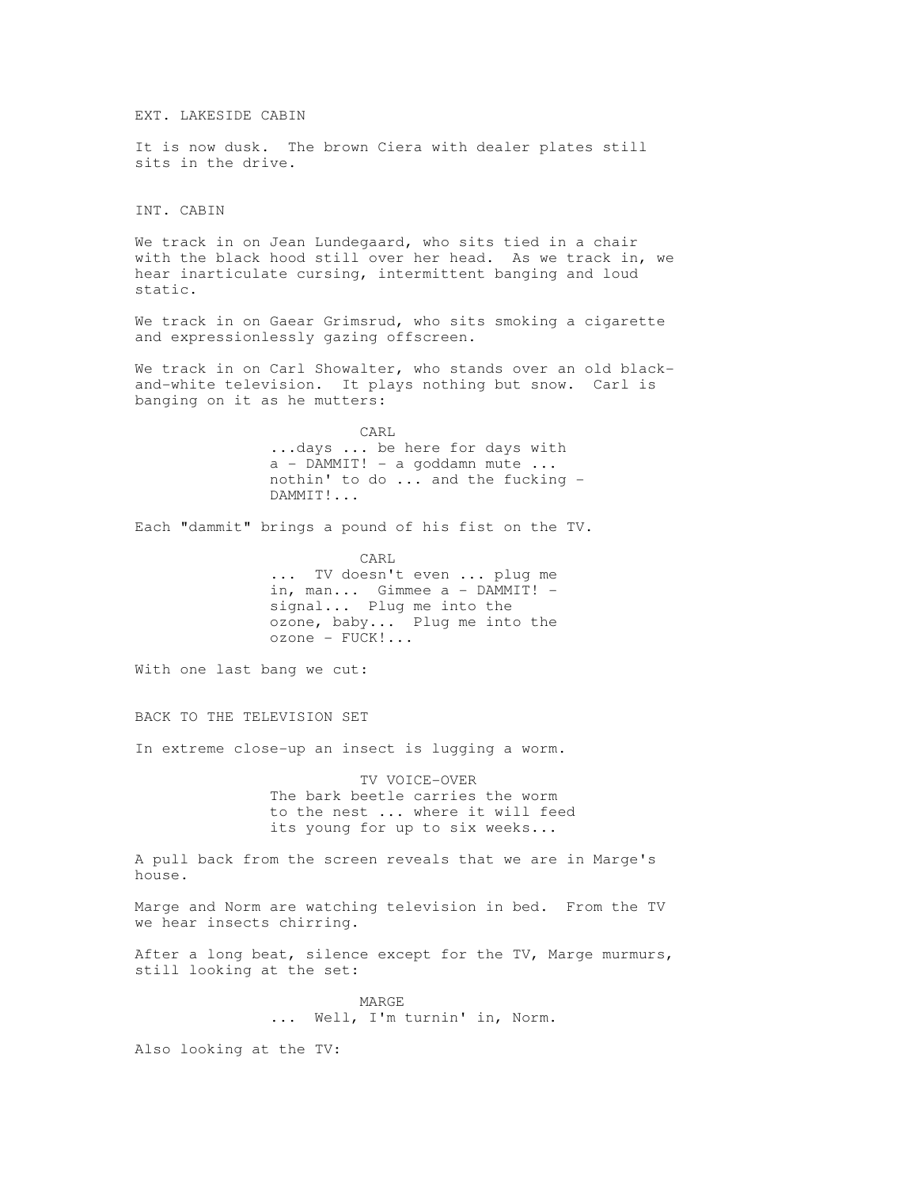EXT. LAKESIDE CABIN It is now dusk. The brown Ciera with dealer plates still sits in the drive. INT. CABIN We track in on Jean Lundegaard, who sits tied in a chair with the black hood still over her head. As we track in, we hear inarticulate cursing, intermittent banging and loud static. We track in on Gaear Grimsrud, who sits smoking a cigarette and expressionlessly gazing offscreen. We track in on Carl Showalter, who stands over an old blackand-white television. It plays nothing but snow. Carl is banging on it as he mutters: CARL ...days ... be here for days with  $a -$  DAMMIT! - a goddamn mute ... nothin' to do ... and the fucking - DAMMIT!... Each "dammit" brings a pound of his fist on the TV. CARL ... TV doesn't even ... plug me in, man... Gimmee a - DAMMIT! signal... Plug me into the ozone, baby... Plug me into the ozone - FUCK!... With one last bang we cut: BACK TO THE TELEVISION SET In extreme close-up an insect is lugging a worm. TV VOICE-OVER The bark beetle carries the worm to the nest ... where it will feed its young for up to six weeks... A pull back from the screen reveals that we are in Marge's house. Marge and Norm are watching television in bed. From the TV we hear insects chirring. After a long beat, silence except for the TV, Marge murmurs, still looking at the set: MARGE ... Well, I'm turnin' in, Norm. Also looking at the TV: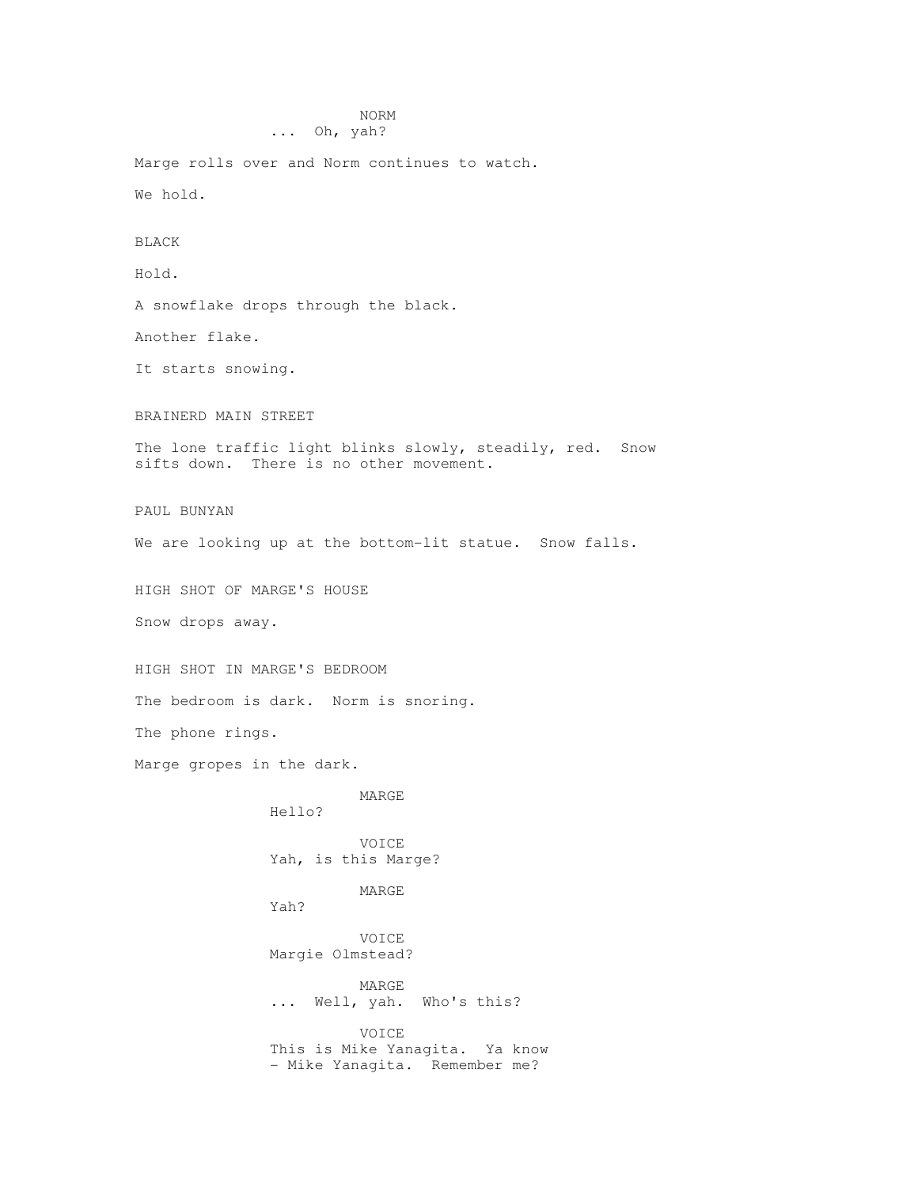# NORM

 ... Oh, yah? Marge rolls over and Norm continues to watch. We hold. BLACK Hold. A snowflake drops through the black. Another flake. It starts snowing. BRAINERD MAIN STREET The lone traffic light blinks slowly, steadily, red. Snow sifts down. There is no other movement. PAUL BUNYAN We are looking up at the bottom-lit statue. Snow falls. HIGH SHOT OF MARGE'S HOUSE Snow drops away. HIGH SHOT IN MARGE'S BEDROOM The bedroom is dark. Norm is snoring. The phone rings. Marge gropes in the dark. MARGE Hello? VOICE Yah, is this Marge? MARGE Yah? VOICE Margie Olmstead? MARGE ... Well, yah. Who's this? VOICE This is Mike Yanagita. Ya know - Mike Yanagita. Remember me?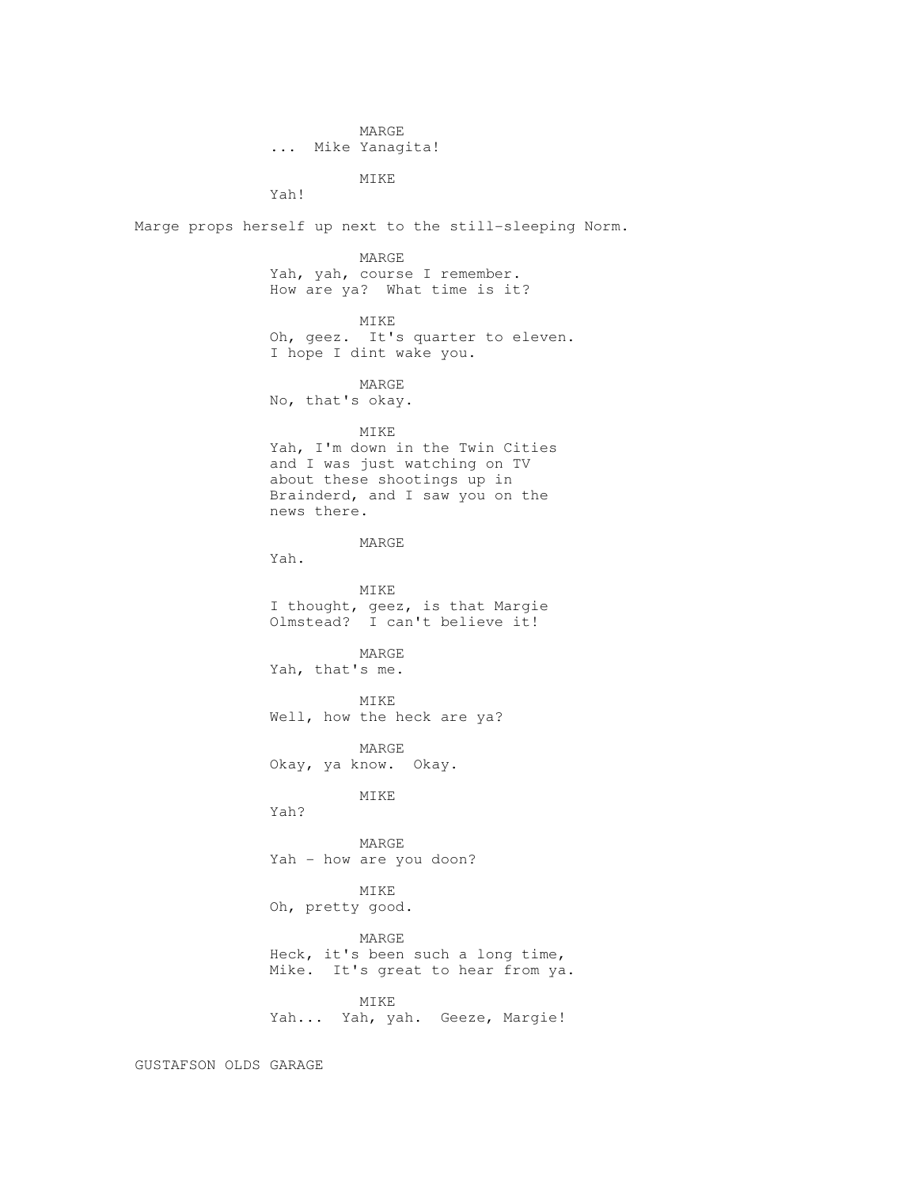MARGE ... Mike Yanagita! MIKE

Yah!

Marge props herself up next to the still-sleeping Norm.

 MARGE Yah, yah, course I remember. How are ya? What time is it?

MIKE

 Oh, geez. It's quarter to eleven. I hope I dint wake you.

 MARGE No, that's okay.

 MIKE Yah, I'm down in the Twin Cities and I was just watching on TV about these shootings up in Brainderd, and I saw you on the news there.

MARGE

Yah.

 MIKE I thought, geez, is that Margie Olmstead? I can't believe it!

> MARGE Yah, that's me.

 MIKE Well, how the heck are ya?

 MARGE Okay, ya know. Okay.

MIKE

Yah?

 MARGE Yah - how are you doon?

 MIKE Oh, pretty good.

MARGE

 Heck, it's been such a long time, Mike. It's great to hear from ya.

 MIKE Yah... Yah, yah. Geeze, Margie!

GUSTAFSON OLDS GARAGE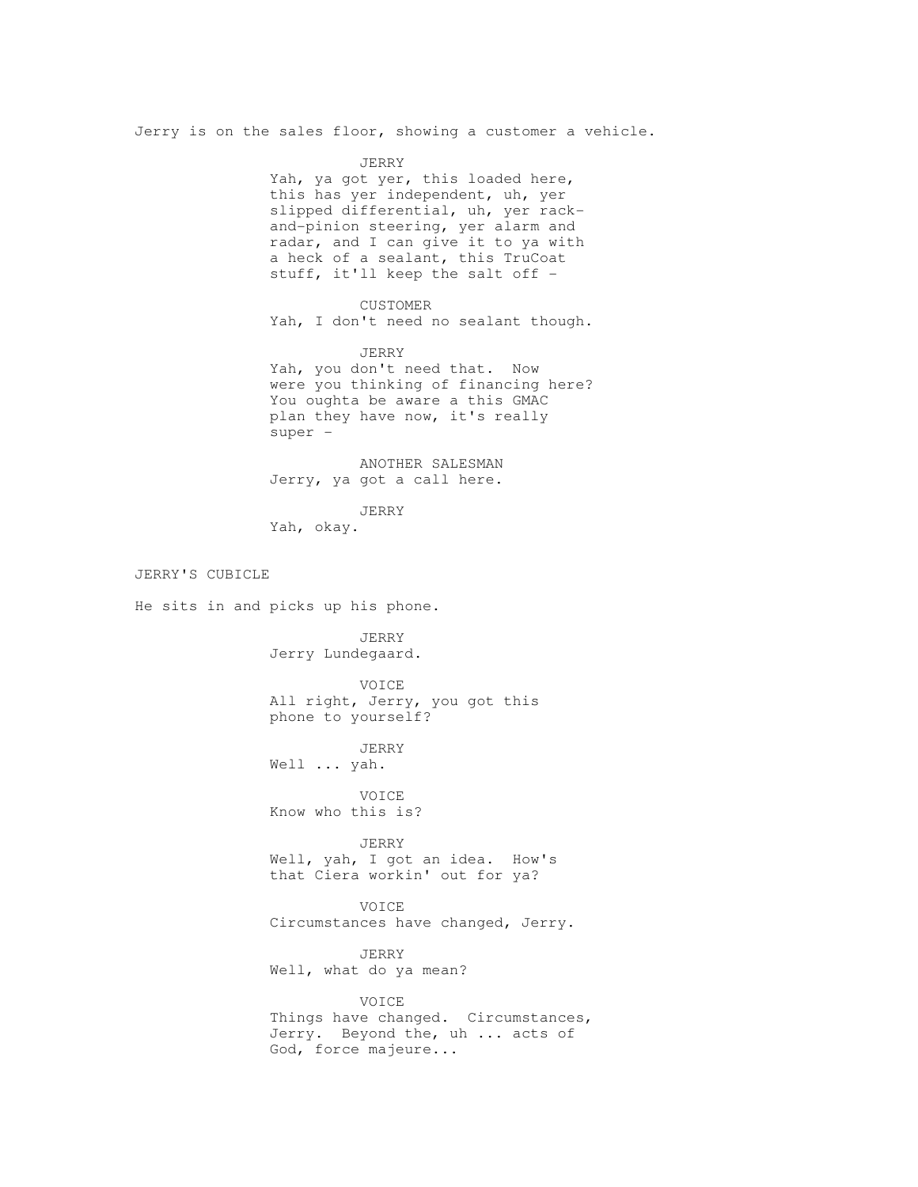Jerry is on the sales floor, showing a customer a vehicle.

 JERRY Yah, ya got yer, this loaded here, this has yer independent, uh, yer slipped differential, uh, yer rack and-pinion steering, yer alarm and radar, and I can give it to ya with a heck of a sealant, this TruCoat stuff, it'll keep the salt off -

 CUSTOMER Yah, I don't need no sealant though.

 JERRY Yah, you don't need that. Now were you thinking of financing here? You oughta be aware a this GMAC plan they have now, it's really super -

 ANOTHER SALESMAN Jerry, ya got a call here.

JERRY

Yah, okay.

JERRY'S CUBICLE

He sits in and picks up his phone.

 JERRY Jerry Lundegaard.

 VOICE All right, Jerry, you got this phone to yourself?

 JERRY Well ... yah.

 VOICE Know who this is?

 JERRY Well, yah, I got an idea. How's that Ciera workin' out for ya?

 VOICE Circumstances have changed, Jerry.

 JERRY Well, what do ya mean?

 VOICE Things have changed. Circumstances, Jerry. Beyond the, uh ... acts of God, force majeure...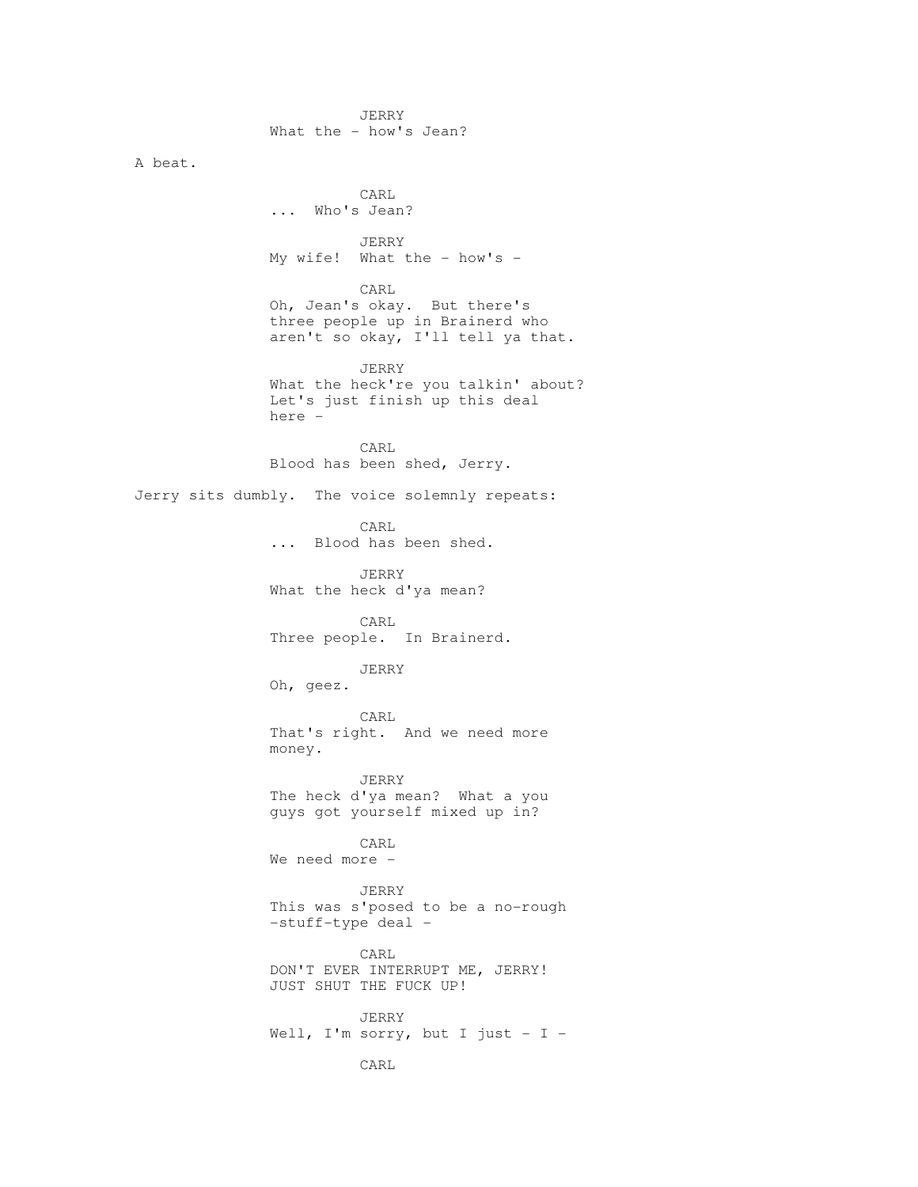JERRY What the - how's Jean? A beat. CARL ... Who's Jean? JERRY My wife! What the - how's - CARL Oh, Jean's okay. But there's three people up in Brainerd who aren't so okay, I'll tell ya that. JERRY What the heck're you talkin' about? Let's just finish up this deal here - CARL Blood has been shed, Jerry. Jerry sits dumbly. The voice solemnly repeats: CARL ... Blood has been shed. JERRY What the heck d'ya mean? CARL Three people. In Brainerd. JERRY Oh, geez. CARL That's right. And we need more money. JERRY The heck d'ya mean? What a you guys got yourself mixed up in? CARL We need more - JERRY This was s'posed to be a no-rough -stuff-type deal - CARL DON'T EVER INTERRUPT ME, JERRY! JUST SHUT THE FUCK UP! JERRY Well, I'm sorry, but I just - I -CARL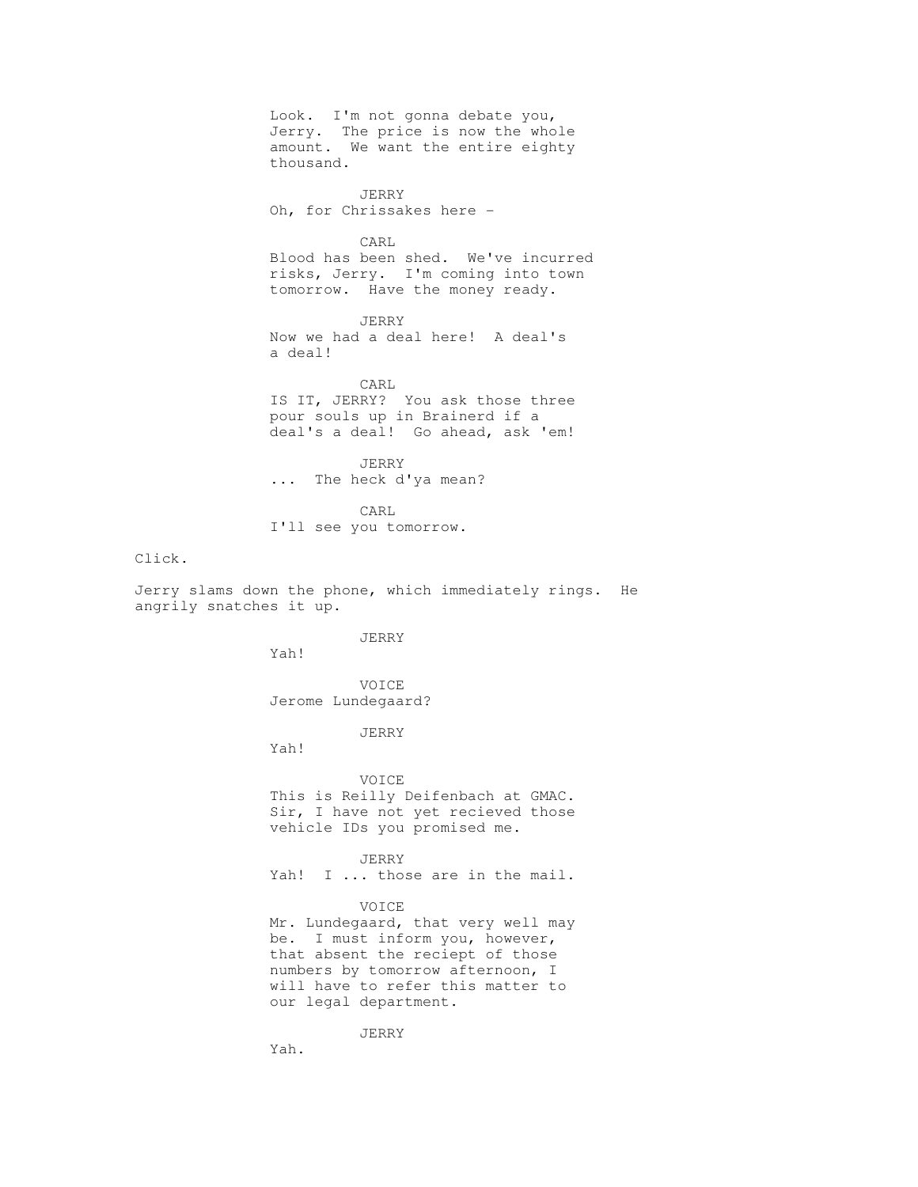Look. I'm not gonna debate you, Jerry. The price is now the whole amount. We want the entire eighty thousand. JERRY Oh, for Chrissakes here - CARL Blood has been shed. We've incurred risks, Jerry. I'm coming into town tomorrow. Have the money ready. JERRY Now we had a deal here! A deal's a deal! CARL IS IT, JERRY? You ask those three pour souls up in Brainerd if a deal's a deal! Go ahead, ask 'em! JERRY ... The heck d'ya mean? CARL I'll see you tomorrow. Jerry slams down the phone, which immediately rings. He angrily snatches it up. JERRY Yah! VOICE Jerome Lundegaard? JERRY Yah! VOICE This is Reilly Deifenbach at GMAC. Sir, I have not yet recieved those vehicle IDs you promised me. JERRY Yah! I ... those are in the mail. VOICE Mr. Lundegaard, that very well may be. I must inform you, however, that absent the reciept of those numbers by tomorrow afternoon, I will have to refer this matter to our legal department.

JERRY

Yah.

Click.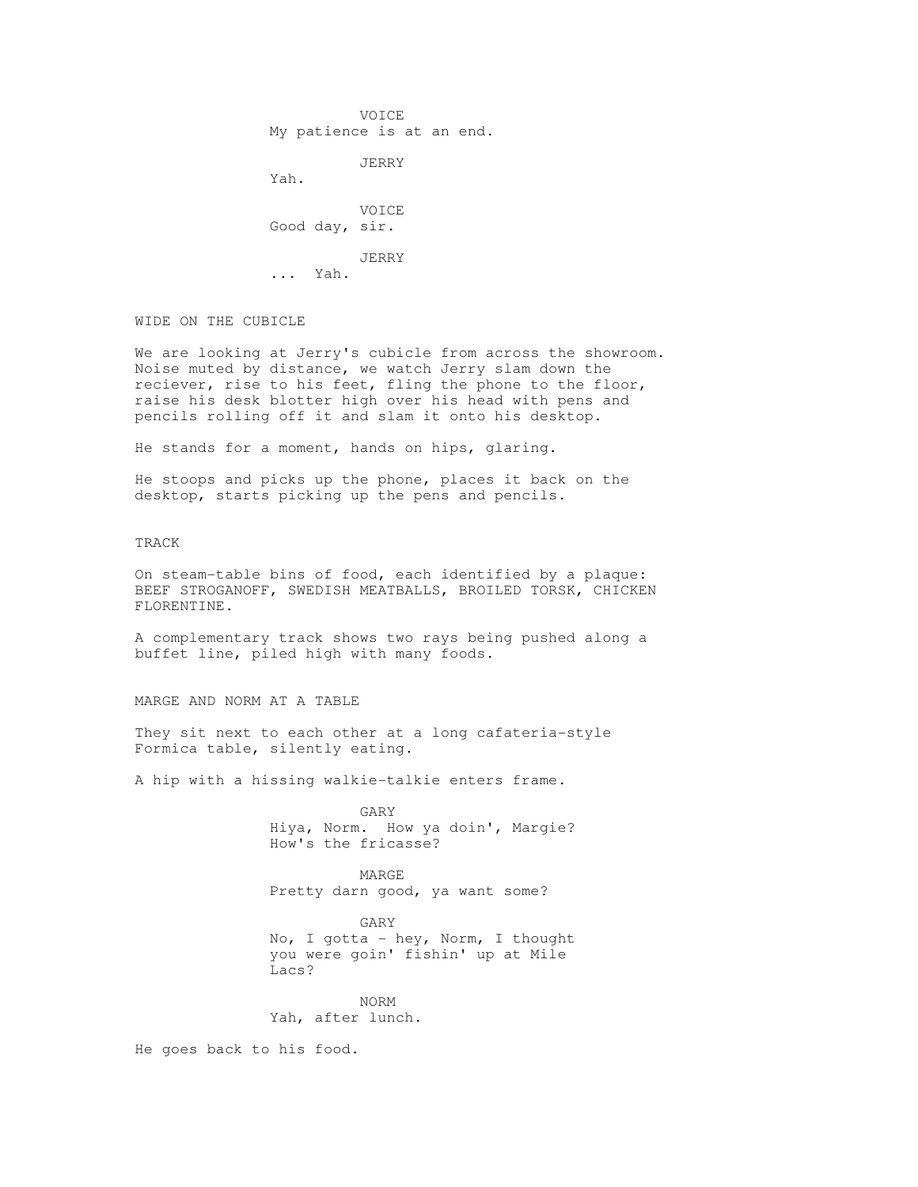VOICE My patience is at an end. JERRY Yah. VOICE Good day, sir. JERRY ... Yah.

WIDE ON THE CUBICLE

We are looking at Jerry's cubicle from across the showroom. Noise muted by distance, we watch Jerry slam down the reciever, rise to his feet, fling the phone to the floor, raise his desk blotter high over his head with pens and pencils rolling off it and slam it onto his desktop.

He stands for a moment, hands on hips, glaring.

He stoops and picks up the phone, places it back on the desktop, starts picking up the pens and pencils.

## TRACK

On steam-table bins of food, each identified by a plaque: BEEF STROGANOFF, SWEDISH MEATBALLS, BROILED TORSK, CHICKEN FLORENTINE.

A complementary track shows two rays being pushed along a buffet line, piled high with many foods.

MARGE AND NORM AT A TABLE

They sit next to each other at a long cafateria-style Formica table, silently eating.

A hip with a hissing walkie-talkie enters frame.

 GARY Hiya, Norm. How ya doin', Margie? How's the fricasse?

 MARGE Pretty darn good, ya want some?

 GARY No, I gotta - hey, Norm, I thought you were goin' fishin' up at Mile Lacs?

 NORM Yah, after lunch.

He goes back to his food.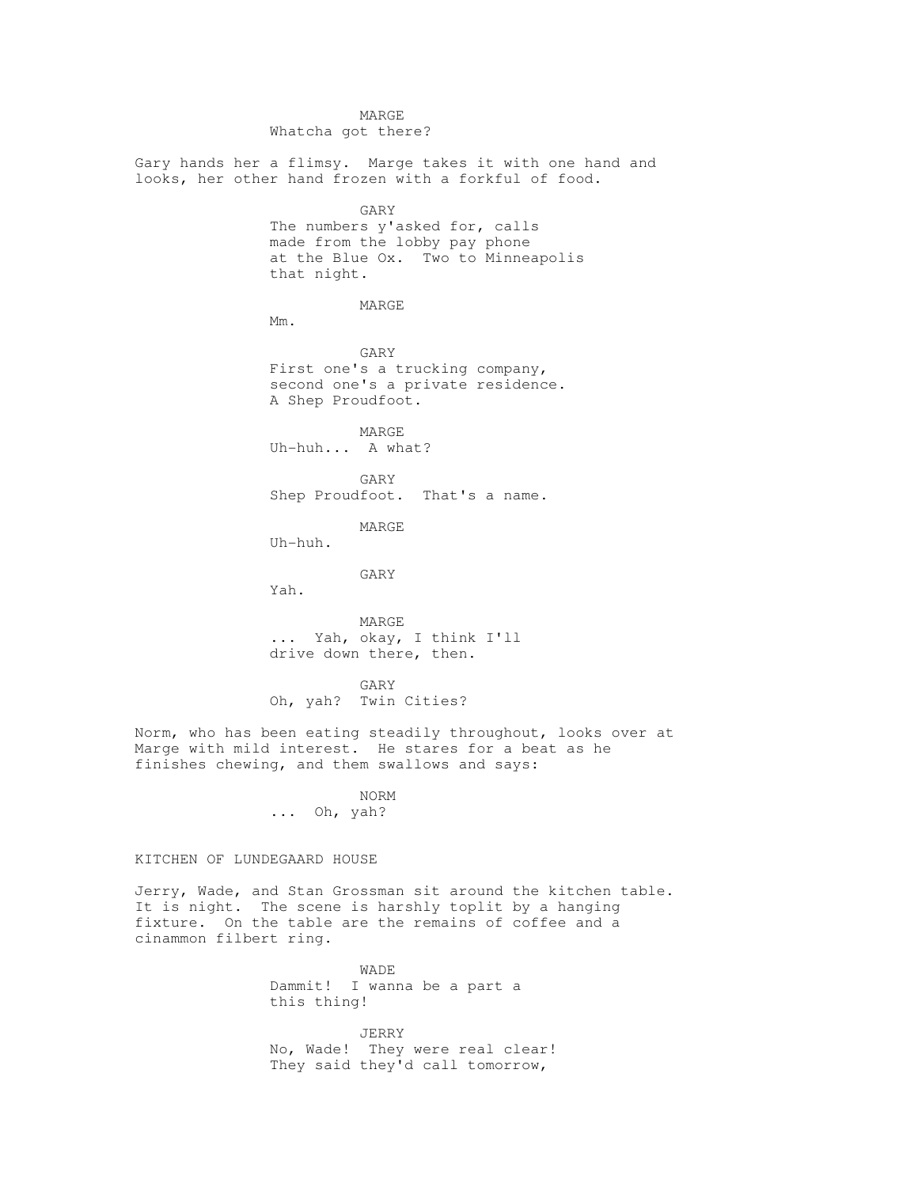Whatcha got there? Gary hands her a flimsy. Marge takes it with one hand and looks, her other hand frozen with a forkful of food. GARY The numbers y'asked for, calls made from the lobby pay phone at the Blue Ox. Two to Minneapolis that night. MARGE Mm. GARY First one's a trucking company, second one's a private residence. A Shep Proudfoot. MARGE Uh-huh... A what? GARY Shep Proudfoot. That's a name. MARGE Uh-huh. GARY Yah. MARGE ... Yah, okay, I think I'll drive down there, then. GARY Oh, yah? Twin Cities? Norm, who has been eating steadily throughout, looks over at Marge with mild interest. He stares for a beat as he finishes chewing, and them swallows and says: NORM ... Oh, yah? KITCHEN OF LUNDEGAARD HOUSE

MARGE

Jerry, Wade, and Stan Grossman sit around the kitchen table. It is night. The scene is harshly toplit by a hanging fixture. On the table are the remains of coffee and a cinammon filbert ring.

> WADE Dammit! I wanna be a part a this thing!

 JERRY No, Wade! They were real clear! They said they'd call tomorrow,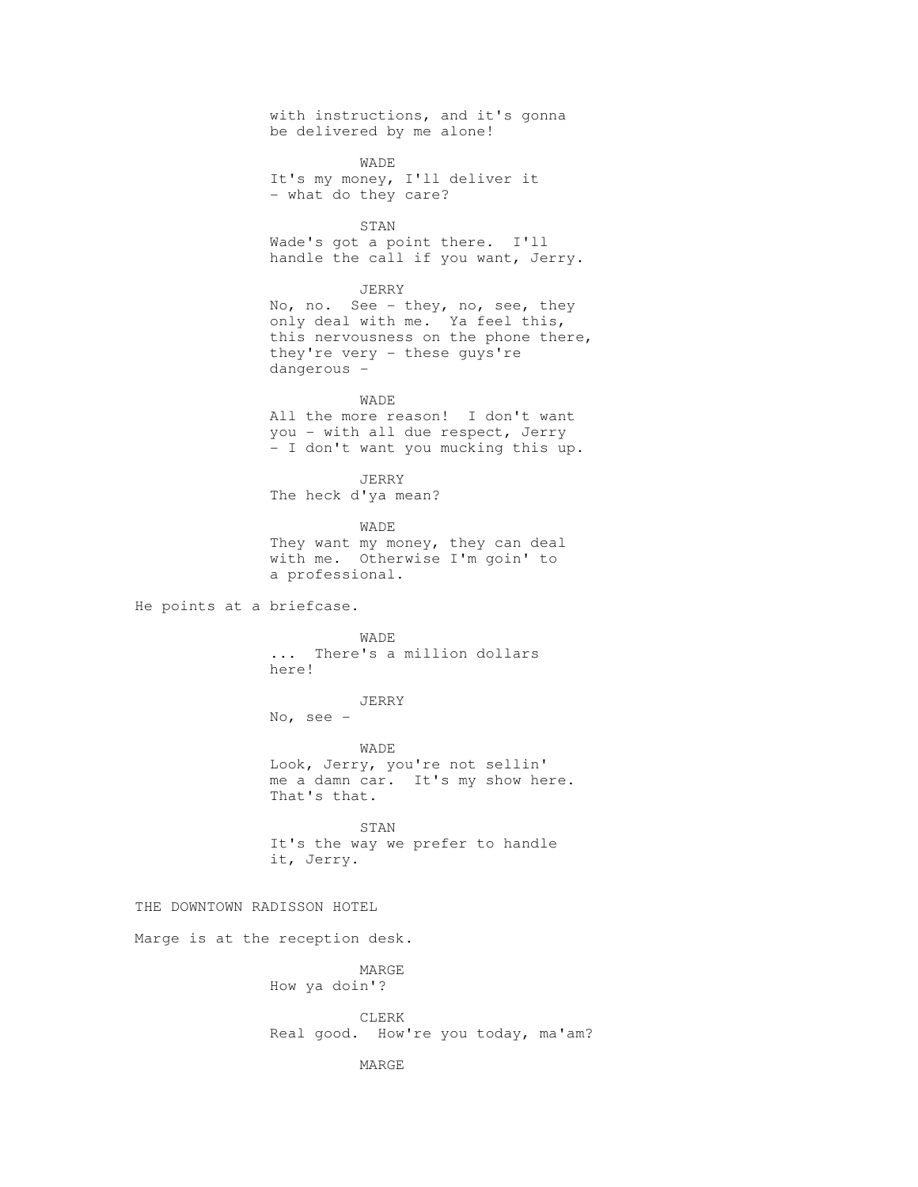with instructions, and it's gonna be delivered by me alone! WADE It's my money, I'll deliver it - what do they care? STAN Wade's got a point there. I'll handle the call if you want, Jerry. JERRY No, no. See - they, no, see, they only deal with me. Ya feel this, this nervousness on the phone there, they're very - these guys're dangerous - WADE All the more reason! I don't want you - with all due respect, Jerry - I don't want you mucking this up. JERRY The heck d'ya mean? WADE They want my money, they can deal with me. Otherwise I'm goin' to a professional. He points at a briefcase. WADE ... There's a million dollars here! JERRY No, see - WADE Look, Jerry, you're not sellin' me a damn car. It's my show here. That's that. STAN It's the way we prefer to handle it, Jerry. THE DOWNTOWN RADISSON HOTEL Marge is at the reception desk. MARGE How ya doin'? CLERK Real good. How're you today, ma'am? MARGE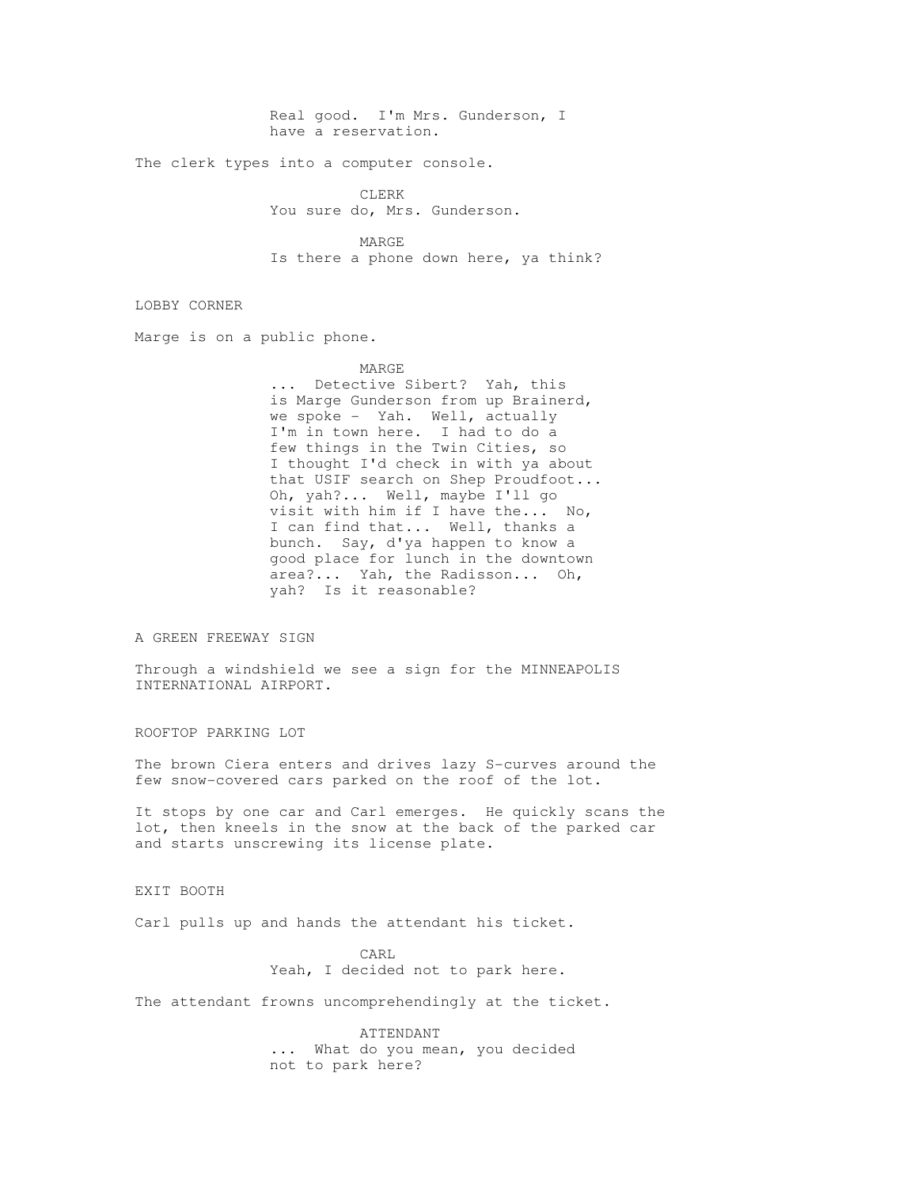Real good. I'm Mrs. Gunderson, I have a reservation.

The clerk types into a computer console.

 CLERK You sure do, Mrs. Gunderson.

 MARGE Is there a phone down here, ya think?

LOBBY CORNER

Marge is on a public phone.

 MARGE ... Detective Sibert? Yah, this is Marge Gunderson from up Brainerd, we spoke - Yah. Well, actually I'm in town here. I had to do a few things in the Twin Cities, so I thought I'd check in with ya about that USIF search on Shep Proudfoot... Oh, yah?... Well, maybe I'll go visit with him if I have the... No, I can find that... Well, thanks a bunch. Say, d'ya happen to know a good place for lunch in the downtown area?... Yah, the Radisson... Oh, yah? Is it reasonable?

A GREEN FREEWAY SIGN

Through a windshield we see a sign for the MINNEAPOLIS INTERNATIONAL AIRPORT.

ROOFTOP PARKING LOT

The brown Ciera enters and drives lazy S-curves around the few snow-covered cars parked on the roof of the lot.

It stops by one car and Carl emerges. He quickly scans the lot, then kneels in the snow at the back of the parked car and starts unscrewing its license plate.

EXIT BOOTH

Carl pulls up and hands the attendant his ticket.

 CARL Yeah, I decided not to park here.

The attendant frowns uncomprehendingly at the ticket.

 ATTENDANT ... What do you mean, you decided not to park here?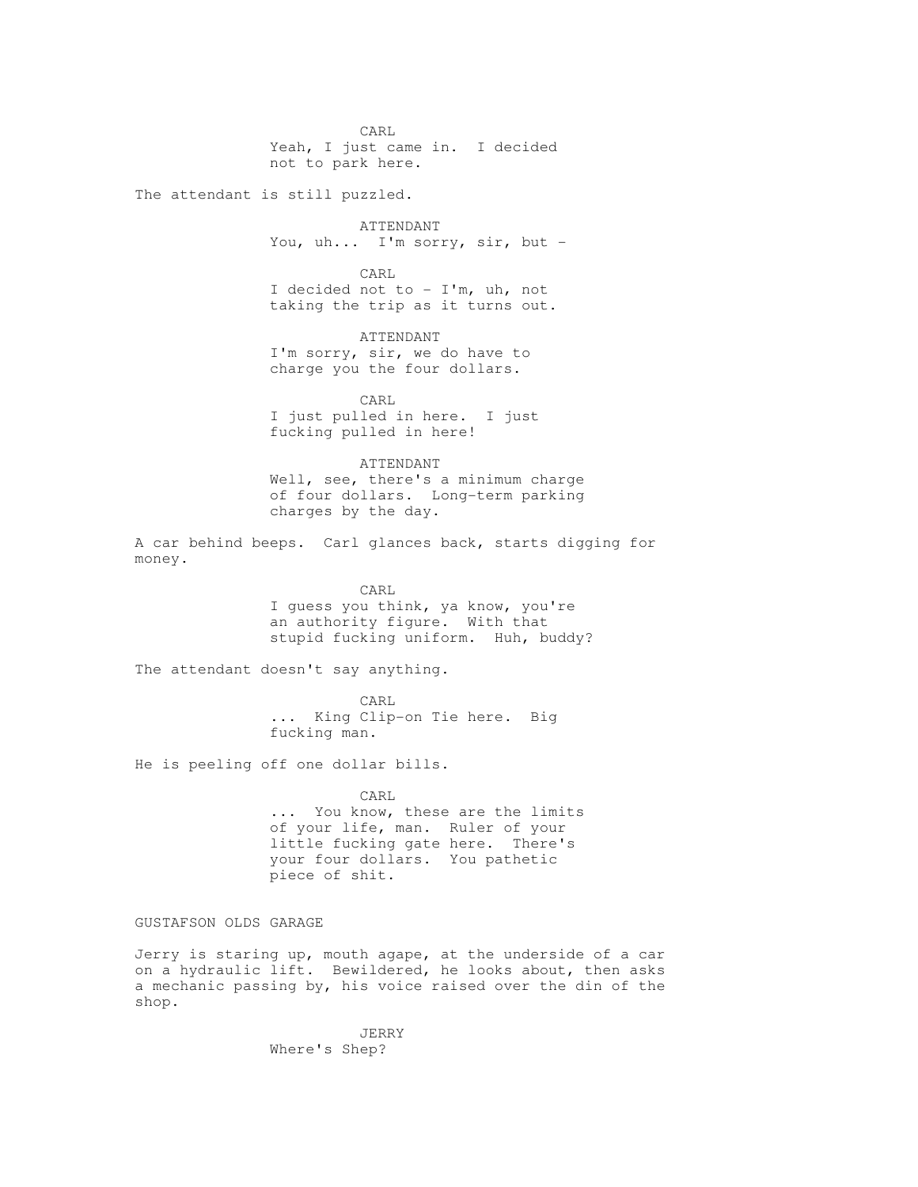CARL Yeah, I just came in. I decided not to park here.

The attendant is still puzzled.

 ATTENDANT You, uh... I'm sorry, sir, but -

 CARL I decided not to - I'm, uh, not taking the trip as it turns out.

 ATTENDANT I'm sorry, sir, we do have to charge you the four dollars.

 CARL I just pulled in here. I just fucking pulled in here!

 ATTENDANT Well, see, there's a minimum charge of four dollars. Long-term parking charges by the day.

A car behind beeps. Carl glances back, starts digging for money.

> CARL I guess you think, ya know, you're an authority figure. With that stupid fucking uniform. Huh, buddy?

The attendant doesn't say anything.

 CARL ... King Clip-on Tie here. Big fucking man.

He is peeling off one dollar bills.

 CARL ... You know, these are the limits of your life, man. Ruler of your little fucking gate here. There's your four dollars. You pathetic piece of shit.

GUSTAFSON OLDS GARAGE

Jerry is staring up, mouth agape, at the underside of a car on a hydraulic lift. Bewildered, he looks about, then asks a mechanic passing by, his voice raised over the din of the shop.

> JERRY Where's Shep?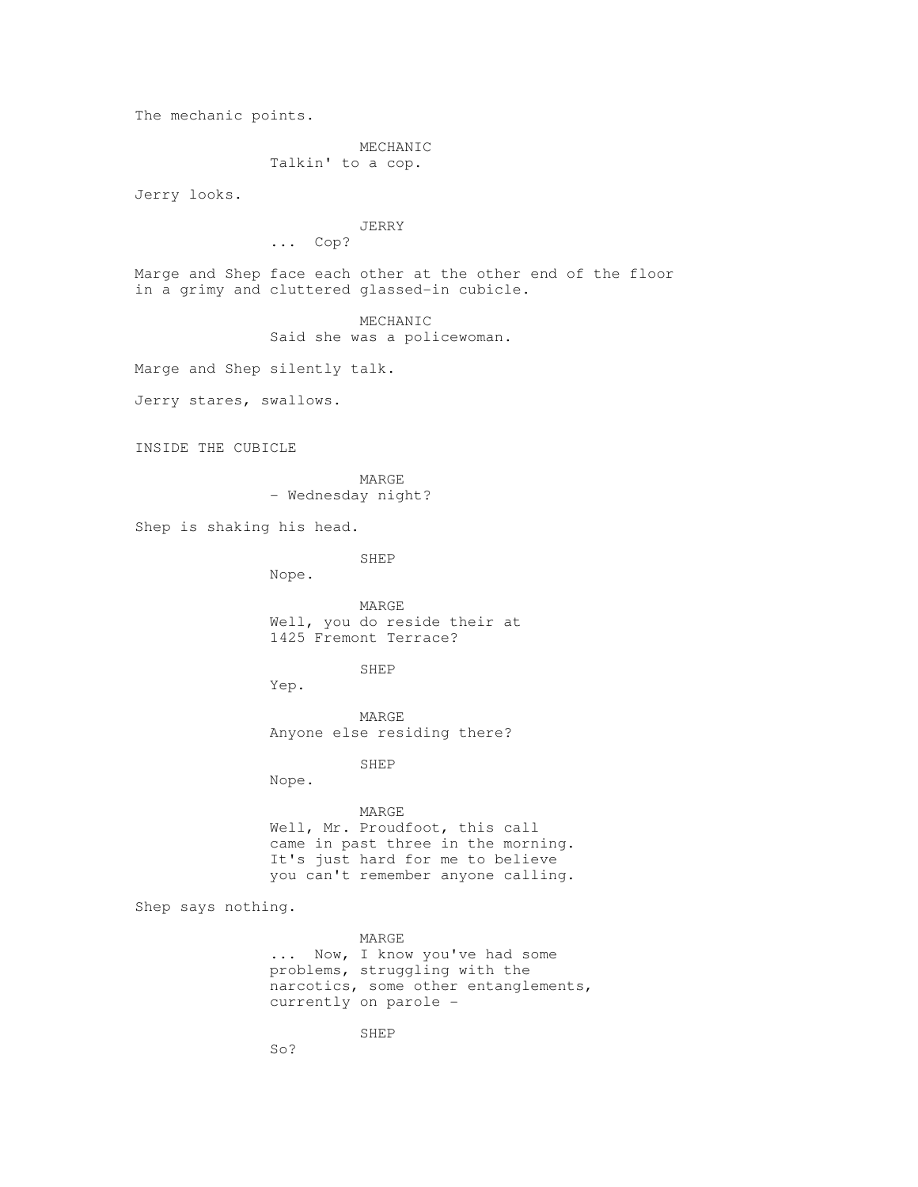The mechanic points. MECHANIC Talkin' to a cop. Jerry looks. JERRY ... Cop? Marge and Shep face each other at the other end of the floor in a grimy and cluttered glassed-in cubicle. MECHANIC Said she was a policewoman. Marge and Shep silently talk. Jerry stares, swallows. INSIDE THE CUBICLE MARGE - Wednesday night? Shep is shaking his head. SHEP Nope. MARGE Well, you do reside their at 1425 Fremont Terrace? SHEP Yep. MARGE Anyone else residing there? SHEP Nope. MARGE Well, Mr. Proudfoot, this call came in past three in the morning. It's just hard for me to believe you can't remember anyone calling. Shep says nothing. MARGE ... Now, I know you've had some problems, struggling with the narcotics, some other entanglements, currently on parole -

SHEP

So?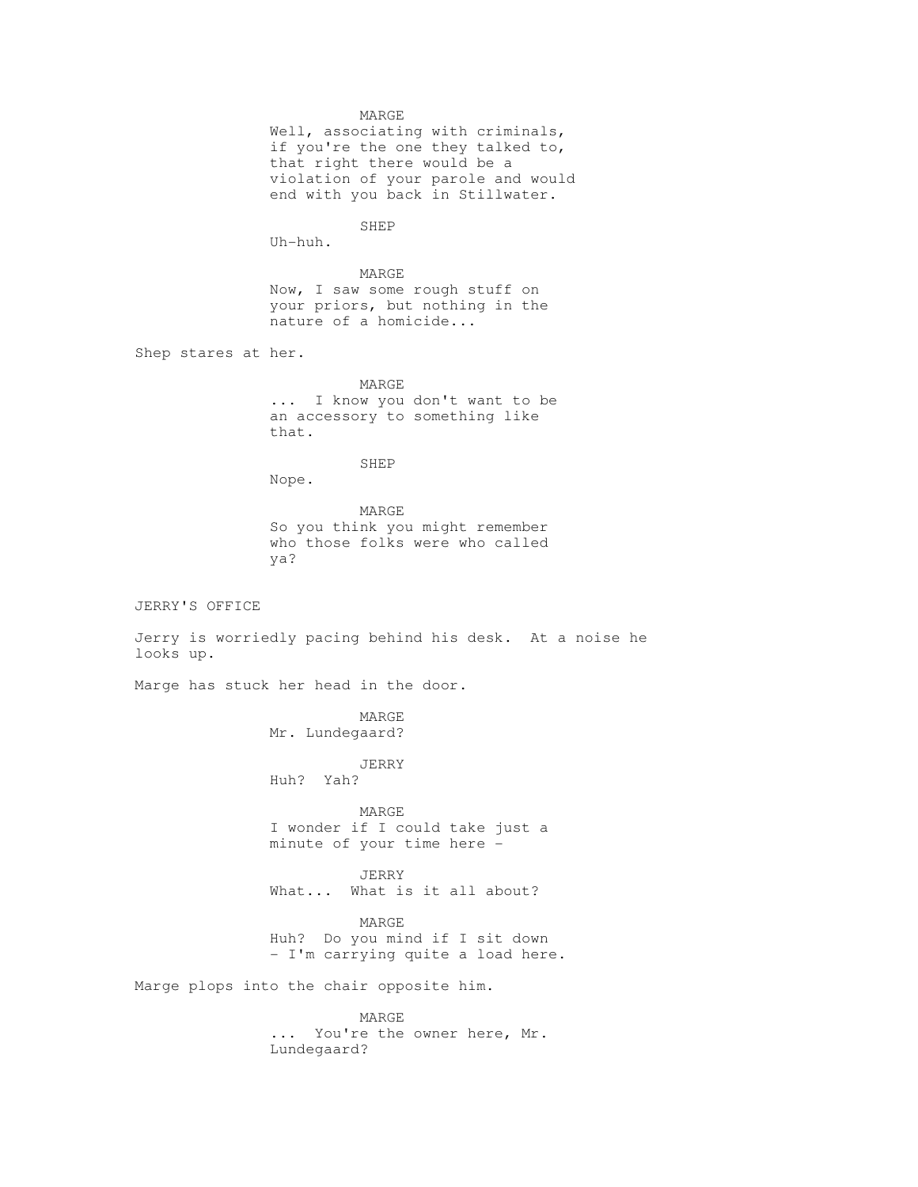MARGE

 Well, associating with criminals, if you're the one they talked to, that right there would be a violation of your parole and would end with you back in Stillwater.

SHEP

Uh-huh.

 MARGE Now, I saw some rough stuff on your priors, but nothing in the nature of a homicide...

Shep stares at her.

 MARGE ... I know you don't want to be an accessory to something like that.

SHEP

Nope.

 MARGE So you think you might remember who those folks were who called ya?

JERRY'S OFFICE

Jerry is worriedly pacing behind his desk. At a noise he looks up.

Marge has stuck her head in the door.

 MARGE Mr. Lundegaard?

 JERRY Huh? Yah?

 MARGE I wonder if I could take just a minute of your time here -

 JERRY What... What is it all about?

 MARGE Huh? Do you mind if I sit down - I'm carrying quite a load here.

Marge plops into the chair opposite him.

 MARGE ... You're the owner here, Mr. Lundegaard?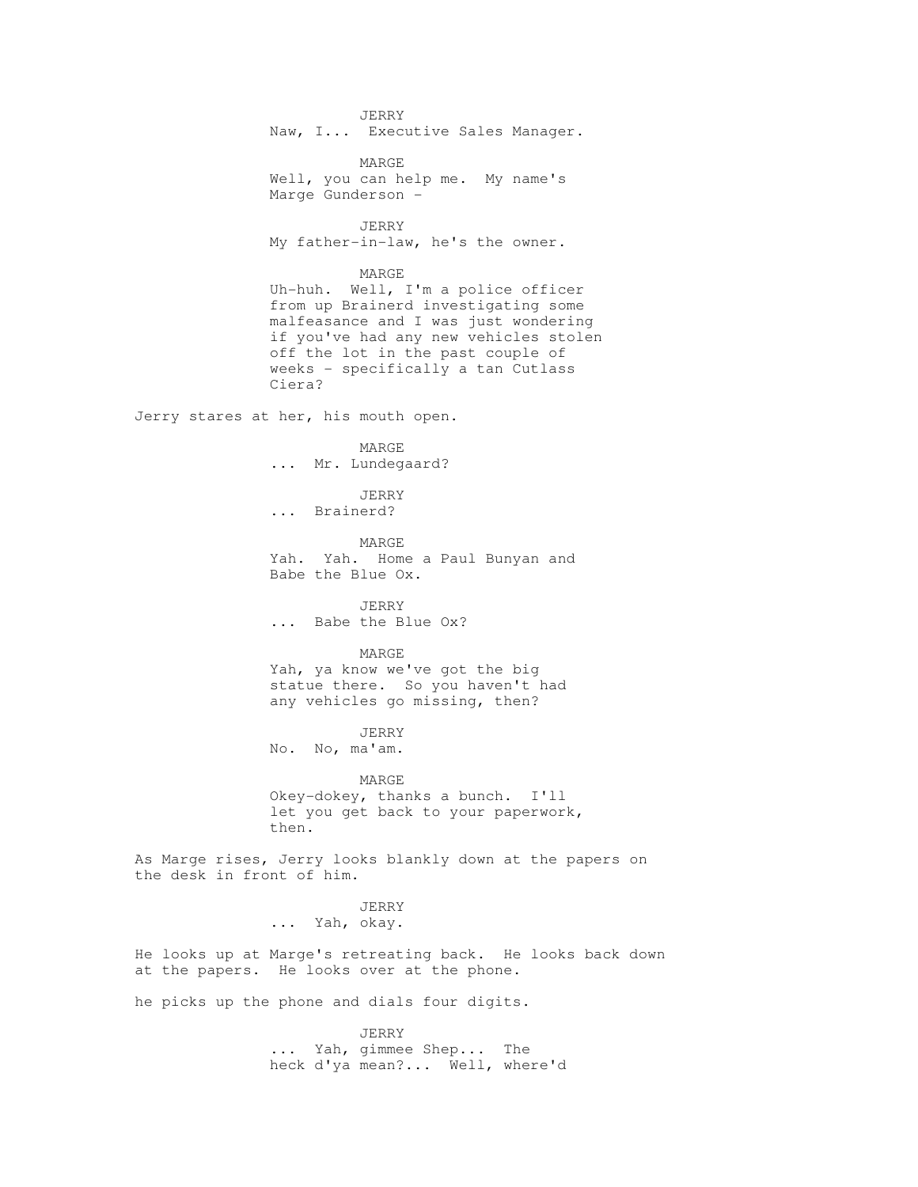JERRY Naw, I... Executive Sales Manager. MARGE Well, you can help me. My name's Marge Gunderson - JERRY My father-in-law, he's the owner. MARGE Uh-huh. Well, I'm a police officer from up Brainerd investigating some malfeasance and I was just wondering if you've had any new vehicles stolen off the lot in the past couple of weeks - specifically a tan Cutlass Ciera? Jerry stares at her, his mouth open. MARGE ... Mr. Lundegaard? JERRY ... Brainerd? MARGE Yah. Yah. Home a Paul Bunyan and Babe the Blue Ox. JERRY ... Babe the Blue Ox? MARGE Yah, ya know we've got the big statue there. So you haven't had any vehicles go missing, then? JERRY No. No, ma'am. MARGE Okey-dokey, thanks a bunch. I'll let you get back to your paperwork, then. As Marge rises, Jerry looks blankly down at the papers on the desk in front of him. JERRY ... Yah, okay. He looks up at Marge's retreating back. He looks back down at the papers. He looks over at the phone. he picks up the phone and dials four digits.

 JERRY ... Yah, gimmee Shep... The heck d'ya mean?... Well, where'd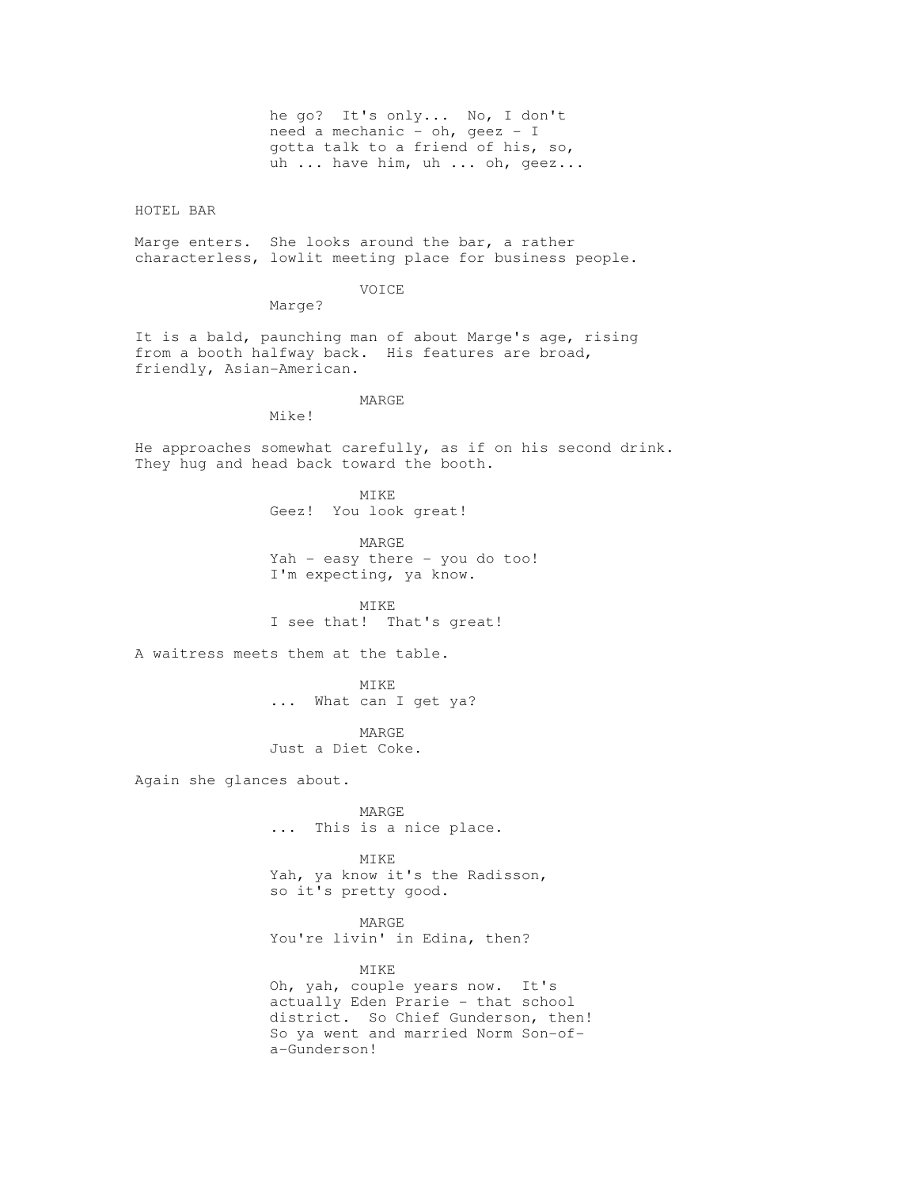he go? It's only... No, I don't need a mechanic -  $oh$ , geez - I gotta talk to a friend of his, so, uh ... have him, uh ... oh, geez...

HOTEL BAR

Marge enters. She looks around the bar, a rather characterless, lowlit meeting place for business people.

## VOICE

Marge?

It is a bald, paunching man of about Marge's age, rising from a booth halfway back. His features are broad, friendly, Asian-American.

# MARGE

Mike!

He approaches somewhat carefully, as if on his second drink. They hug and head back toward the booth.

> MIKE Geez! You look great!

 MARGE Yah - easy there - you do too! I'm expecting, ya know.

 MIKE I see that! That's great!

A waitress meets them at the table.

 MIKE ... What can I get ya?

 MARGE Just a Diet Coke.

Again she glances about.

 MARGE ... This is a nice place.

 MIKE Yah, ya know it's the Radisson, so it's pretty good.

 MARGE You're livin' in Edina, then?

 MIKE Oh, yah, couple years now. It's actually Eden Prarie - that school district. So Chief Gunderson, then! So ya went and married Norm Son-of a-Gunderson!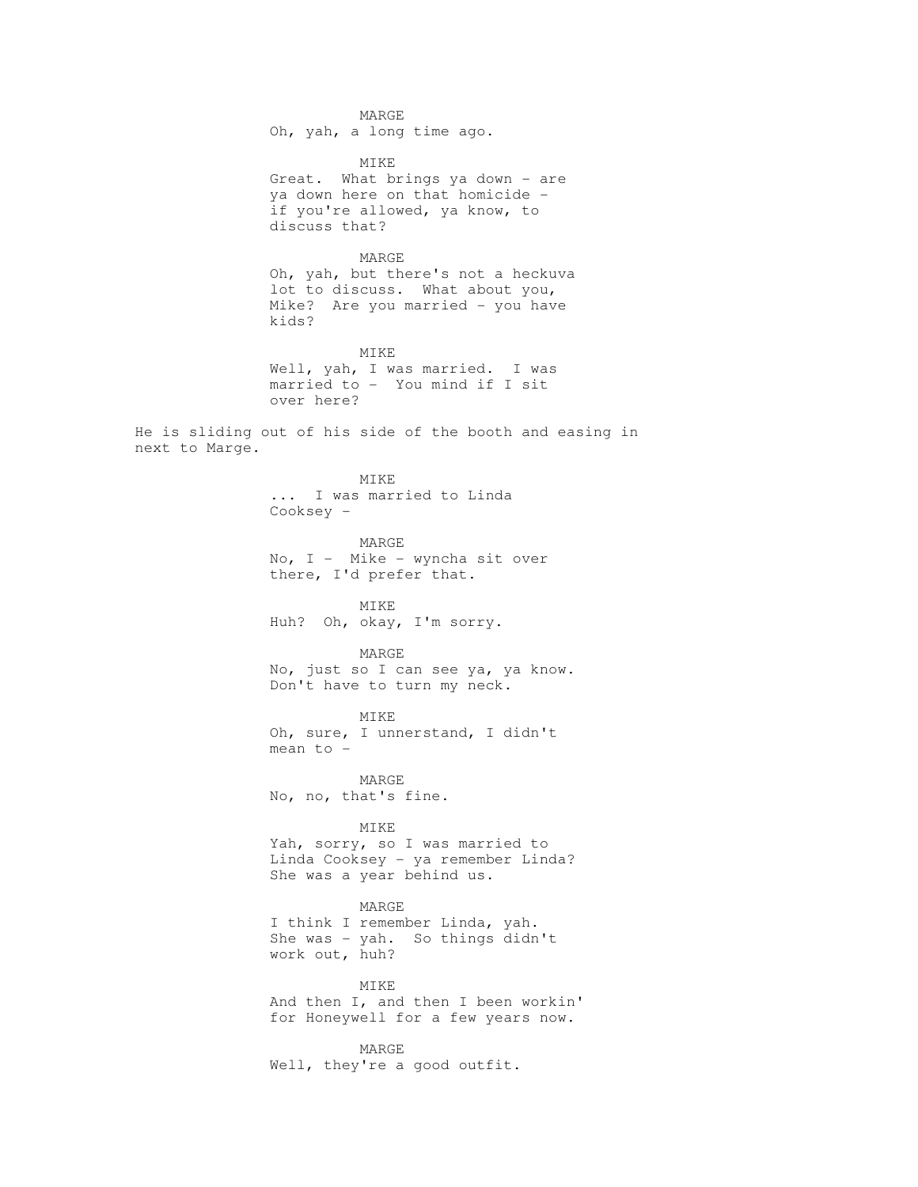MARGE Oh, yah, a long time ago. MIKE Great. What brings ya down - are ya down here on that homicide if you're allowed, ya know, to discuss that? MARGE Oh, yah, but there's not a heckuva lot to discuss. What about you, Mike? Are you married - you have kids? MIKE Well, yah, I was married. I was married to - You mind if I sit over here? He is sliding out of his side of the booth and easing in next to Marge. MIKE ... I was married to Linda Cooksey - MARGE No, I - Mike - wyncha sit over there, I'd prefer that. MIKE Huh? Oh, okay, I'm sorry. MARGE No, just so I can see ya, ya know. Don't have to turn my neck. MIKE Oh, sure, I unnerstand, I didn't mean to - MARGE No, no, that's fine. MIKE Yah, sorry, so I was married to Linda Cooksey - ya remember Linda? She was a year behind us. MARGE I think I remember Linda, yah. She was - yah. So things didn't work out, huh? MIKE And then I, and then I been workin' for Honeywell for a few years now. MARGE Well, they're a good outfit.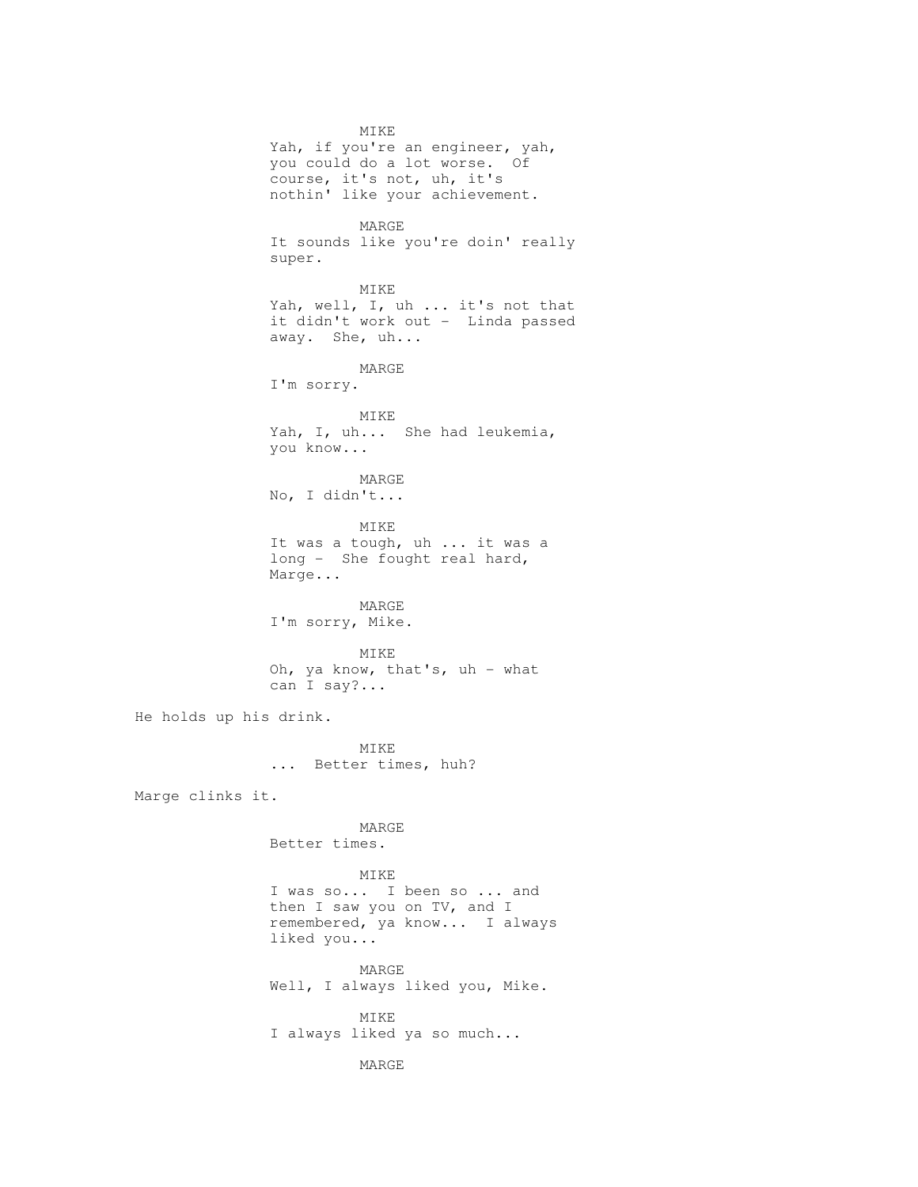MIKE Yah, if you're an engineer, yah, you could do a lot worse. Of course, it's not, uh, it's nothin' like your achievement. MARGE It sounds like you're doin' really super. MIKE Yah, well, I, uh ... it's not that it didn't work out - Linda passed away. She, uh... MARGE I'm sorry. MIKE Yah, I, uh... She had leukemia, you know... MARGE No, I didn't... MIKE It was a tough, uh ... it was a long - She fought real hard, Marge... MARGE I'm sorry, Mike. MIKE Oh, ya know, that's, uh - what can I say?... He holds up his drink. MIKE ... Better times, huh? Marge clinks it. MARGE Better times. MIKE I was so... I been so ... and then I saw you on TV, and I remembered, ya know... I always liked you... MARGE Well, I always liked you, Mike. MIKE I always liked ya so much... MARGE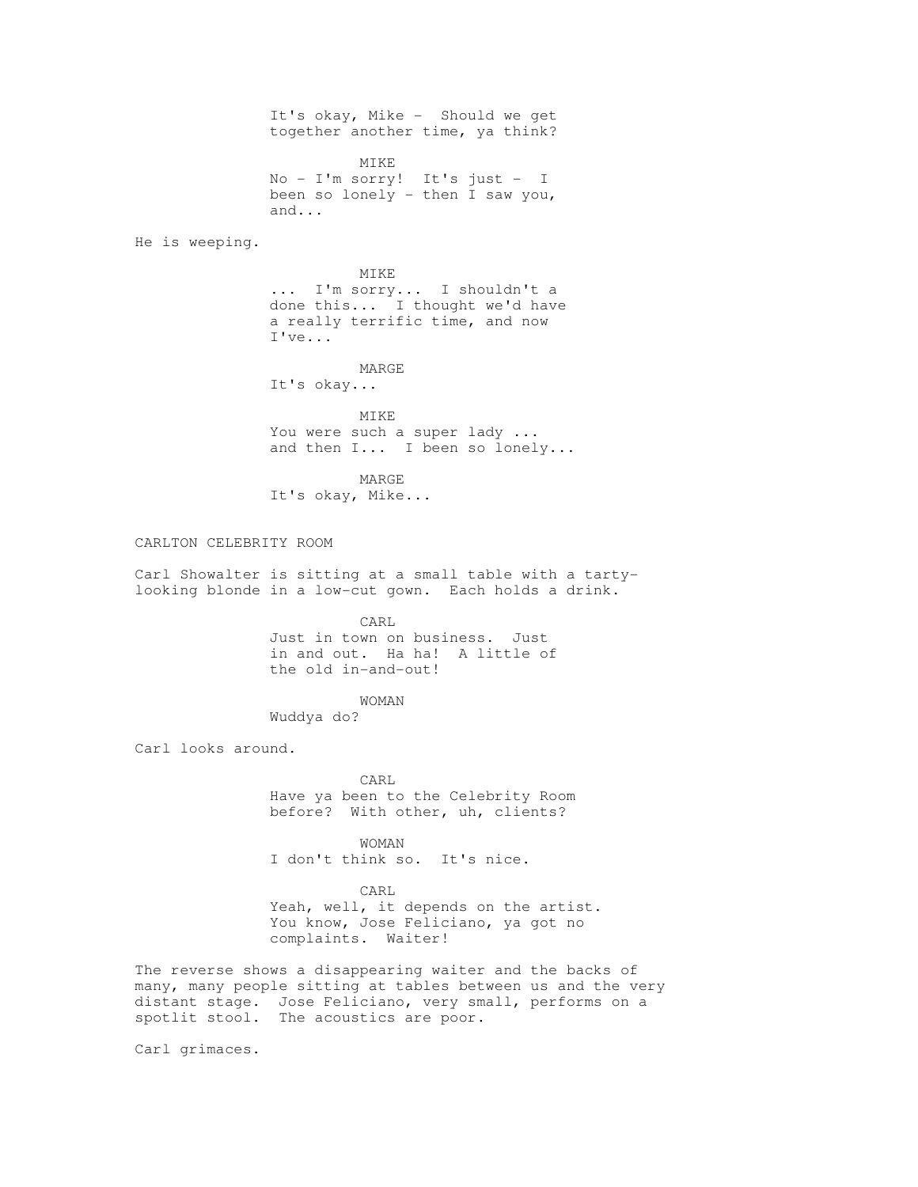It's okay, Mike - Should we get together another time, ya think? MIKE No - I'm sorry! It's just - I been so lonely - then I saw you, and... He is weeping. MIKE ... I'm sorry... I shouldn't a done this... I thought we'd have a really terrific time, and now I've... MARGE It's okay... MIKE You were such a super lady ... and then I... I been so lonely... MARGE It's okay, Mike... CARLTON CELEBRITY ROOM Carl Showalter is sitting at a small table with a tartylooking blonde in a low-cut gown. Each holds a drink. CARL Just in town on business. Just in and out. Ha ha! A little of the old in-and-out! WOMAN Wuddya do? Carl looks around. CARL Have ya been to the Celebrity Room before? With other, uh, clients? WOMAN I don't think so. It's nice. CARL Yeah, well, it depends on the artist. You know, Jose Feliciano, ya got no complaints. Waiter!

The reverse shows a disappearing waiter and the backs of many, many people sitting at tables between us and the very distant stage. Jose Feliciano, very small, performs on a spotlit stool. The acoustics are poor.

Carl grimaces.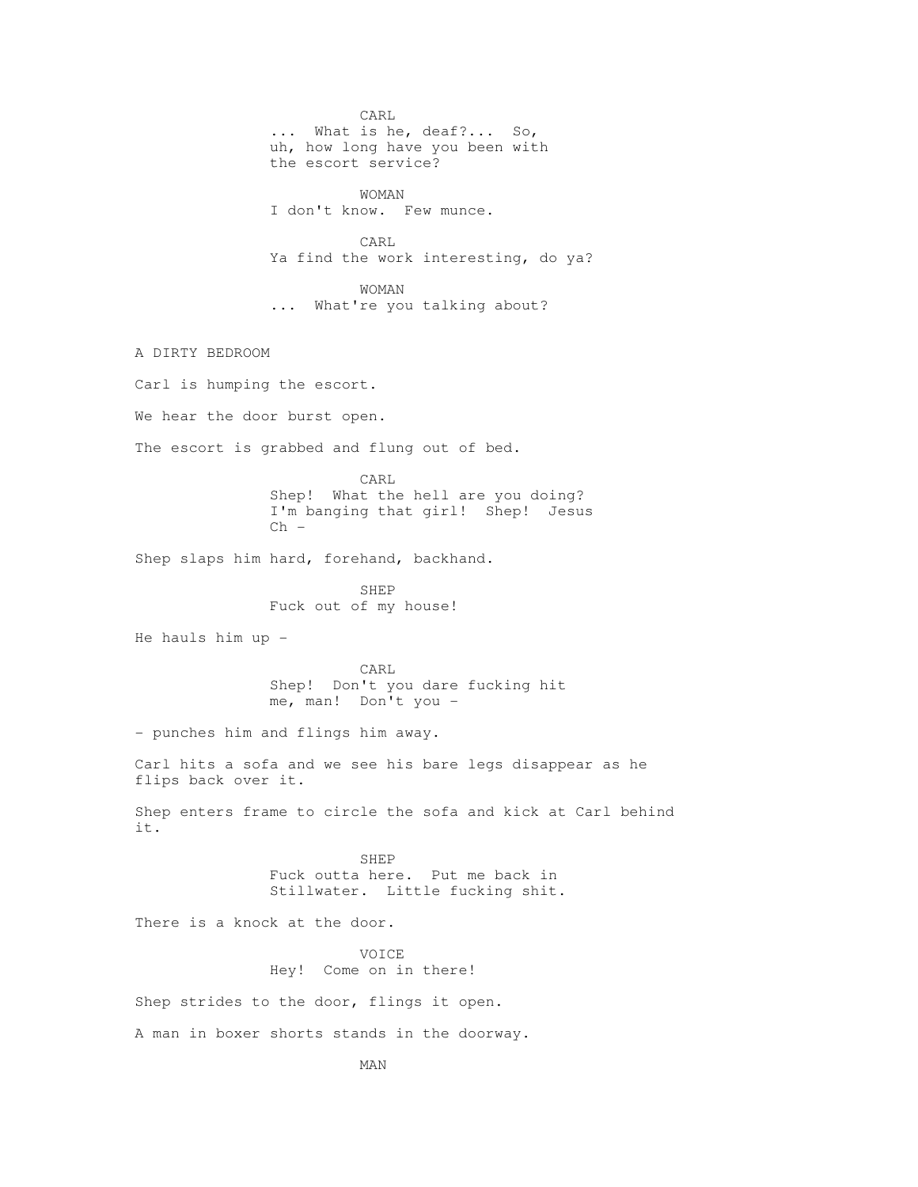CARL ... What is he, deaf?... So, uh, how long have you been with the escort service? WOMAN I don't know. Few munce. CARL Ya find the work interesting, do ya? WOMAN ... What're you talking about? A DIRTY BEDROOM Carl is humping the escort. We hear the door burst open. The escort is grabbed and flung out of bed. CARL Shep! What the hell are you doing? I'm banging that girl! Shep! Jesus  $Ch -$ Shep slaps him hard, forehand, backhand. SHEP Fuck out of my house! He hauls him up - CARL Shep! Don't you dare fucking hit me, man! Don't you - - punches him and flings him away. Carl hits a sofa and we see his bare legs disappear as he flips back over it. Shep enters frame to circle the sofa and kick at Carl behind it. SHEP Fuck outta here. Put me back in Stillwater. Little fucking shit. There is a knock at the door. VOICE Hey! Come on in there! Shep strides to the door, flings it open. A man in boxer shorts stands in the doorway. MAN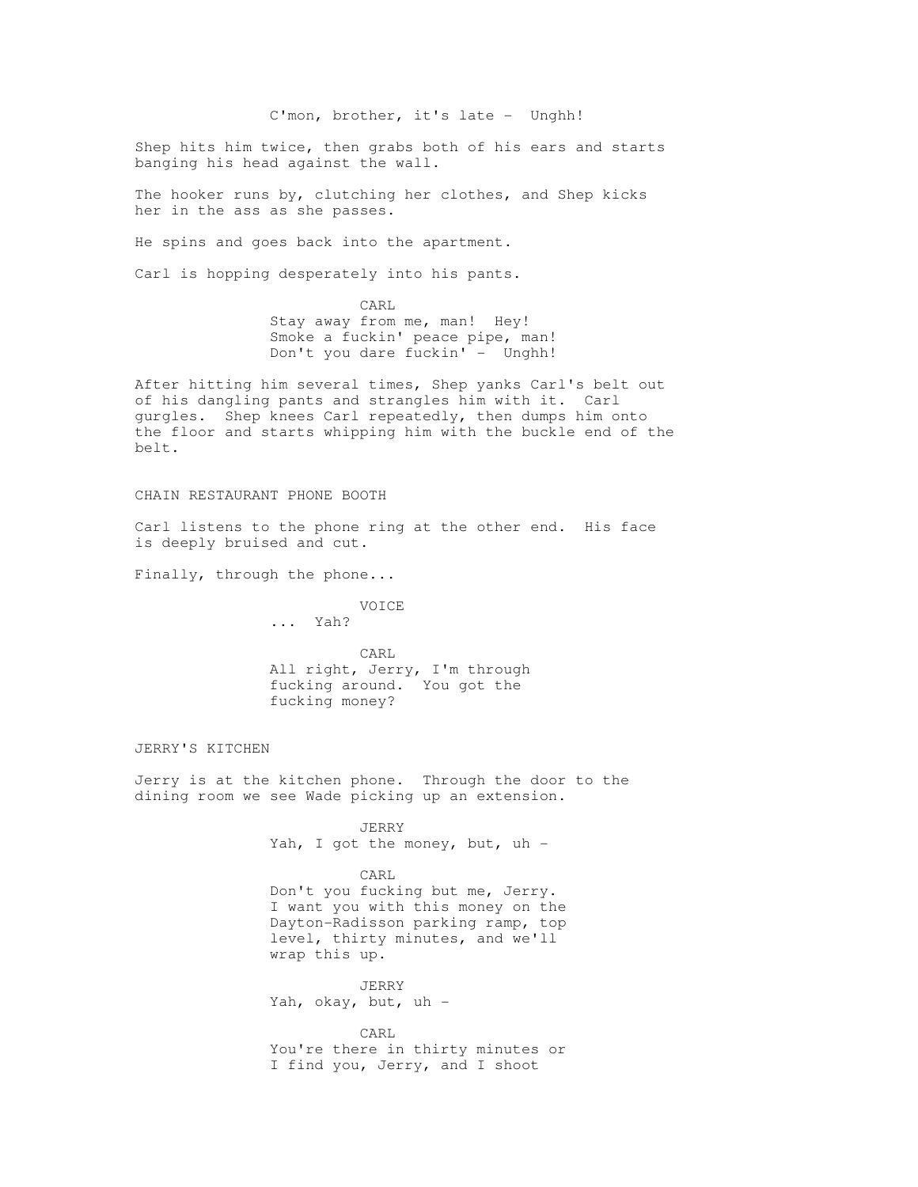C'mon, brother, it's late - Unghh!

Shep hits him twice, then grabs both of his ears and starts banging his head against the wall.

The hooker runs by, clutching her clothes, and Shep kicks her in the ass as she passes.

He spins and goes back into the apartment.

Carl is hopping desperately into his pants.

 CARL Stay away from me, man! Hey! Smoke a fuckin' peace pipe, man! Don't you dare fuckin' - Unghh!

After hitting him several times, Shep yanks Carl's belt out of his dangling pants and strangles him with it. Carl gurgles. Shep knees Carl repeatedly, then dumps him onto the floor and starts whipping him with the buckle end of the belt.

#### CHAIN RESTAURANT PHONE BOOTH

Carl listens to the phone ring at the other end. His face is deeply bruised and cut.

Finally, through the phone...

VOICE

... Yah?

 CARL All right, Jerry, I'm through fucking around. You got the fucking money?

JERRY'S KITCHEN

Jerry is at the kitchen phone. Through the door to the dining room we see Wade picking up an extension.

> JERRY Yah, I got the money, but, uh -

 CARL Don't you fucking but me, Jerry. I want you with this money on the Dayton-Radisson parking ramp, top level, thirty minutes, and we'll wrap this up.

 JERRY Yah, okay, but, uh -

 CARL You're there in thirty minutes or I find you, Jerry, and I shoot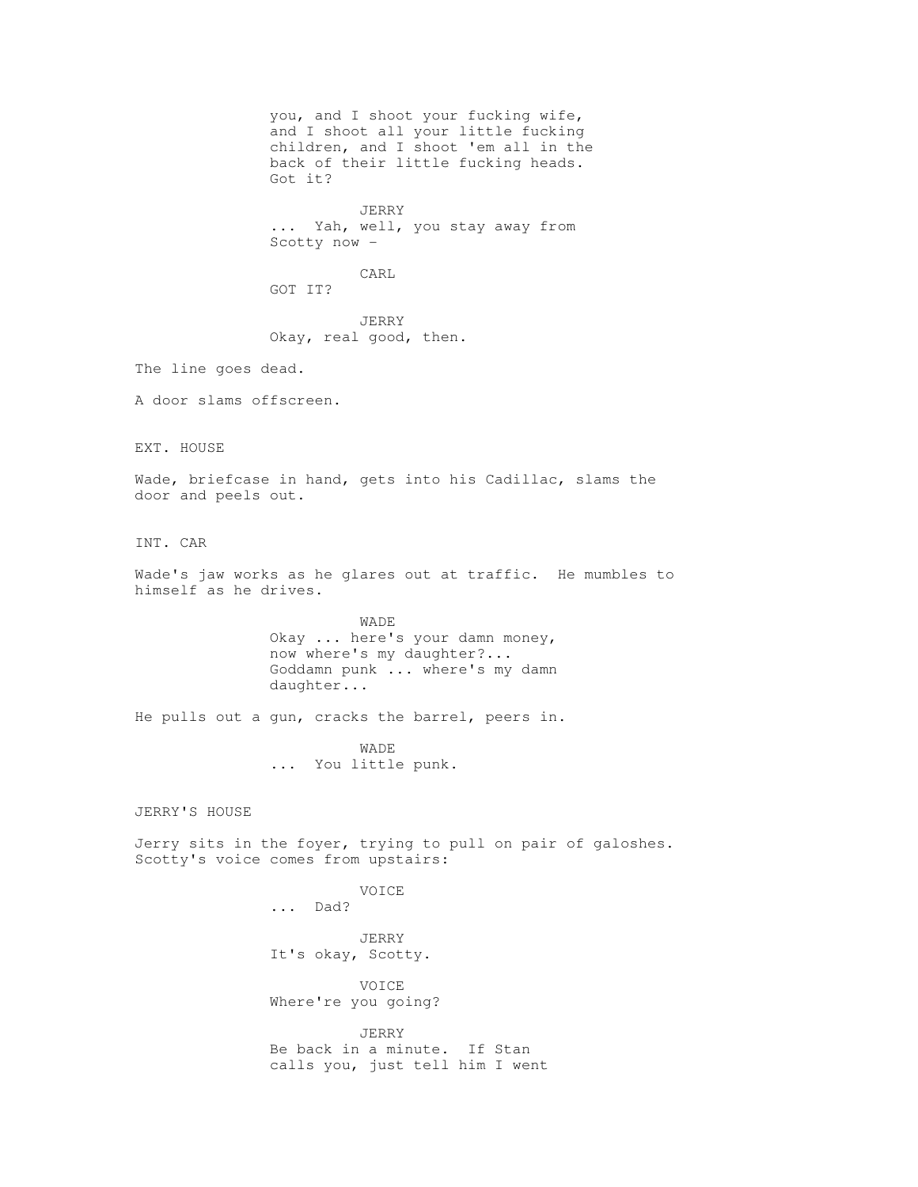you, and I shoot your fucking wife, and I shoot all your little fucking children, and I shoot 'em all in the back of their little fucking heads. Got it? JERRY ... Yah, well, you stay away from Scotty now - CARL GOT IT? JERRY Okay, real good, then. The line goes dead. A door slams offscreen. EXT. HOUSE Wade, briefcase in hand, gets into his Cadillac, slams the door and peels out. INT. CAR Wade's jaw works as he glares out at traffic. He mumbles to himself as he drives. WADE Okay ... here's your damn money, now where's my daughter?... Goddamn punk ... where's my damn daughter... He pulls out a gun, cracks the barrel, peers in. WADE ... You little punk. JERRY'S HOUSE Jerry sits in the foyer, trying to pull on pair of galoshes. Scotty's voice comes from upstairs: VOICE ... Dad? JERRY It's okay, Scotty. VOICE Where're you going? JERRY

 Be back in a minute. If Stan calls you, just tell him I went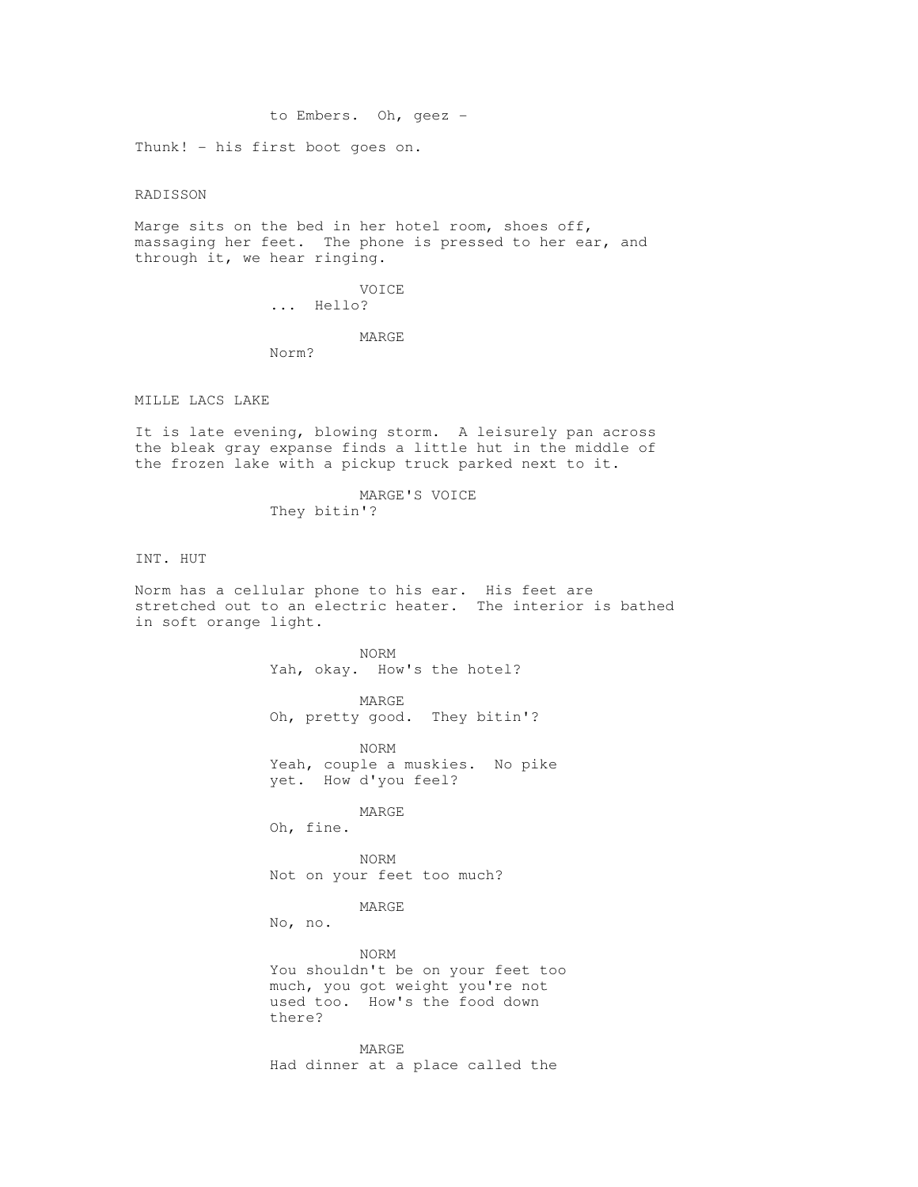to Embers. Oh, geez -

Thunk! - his first boot goes on.

RADISSON

Marge sits on the bed in her hotel room, shoes off, massaging her feet. The phone is pressed to her ear, and through it, we hear ringing.

> VOICE ... Hello?

> > MARGE

Norm?

MILLE LACS LAKE

It is late evening, blowing storm. A leisurely pan across the bleak gray expanse finds a little hut in the middle of the frozen lake with a pickup truck parked next to it.

> MARGE'S VOICE They bitin'?

INT. HUT

Norm has a cellular phone to his ear. His feet are stretched out to an electric heater. The interior is bathed in soft orange light.

> NORM Yah, okay. How's the hotel?

 MARGE Oh, pretty good. They bitin'?

 NORM Yeah, couple a muskies. No pike yet. How d'you feel?

MARGE

Oh, fine.

 NORM Not on your feet too much?

MARGE

No, no.

 NORM You shouldn't be on your feet too much, you got weight you're not used too. How's the food down there?

 MARGE Had dinner at a place called the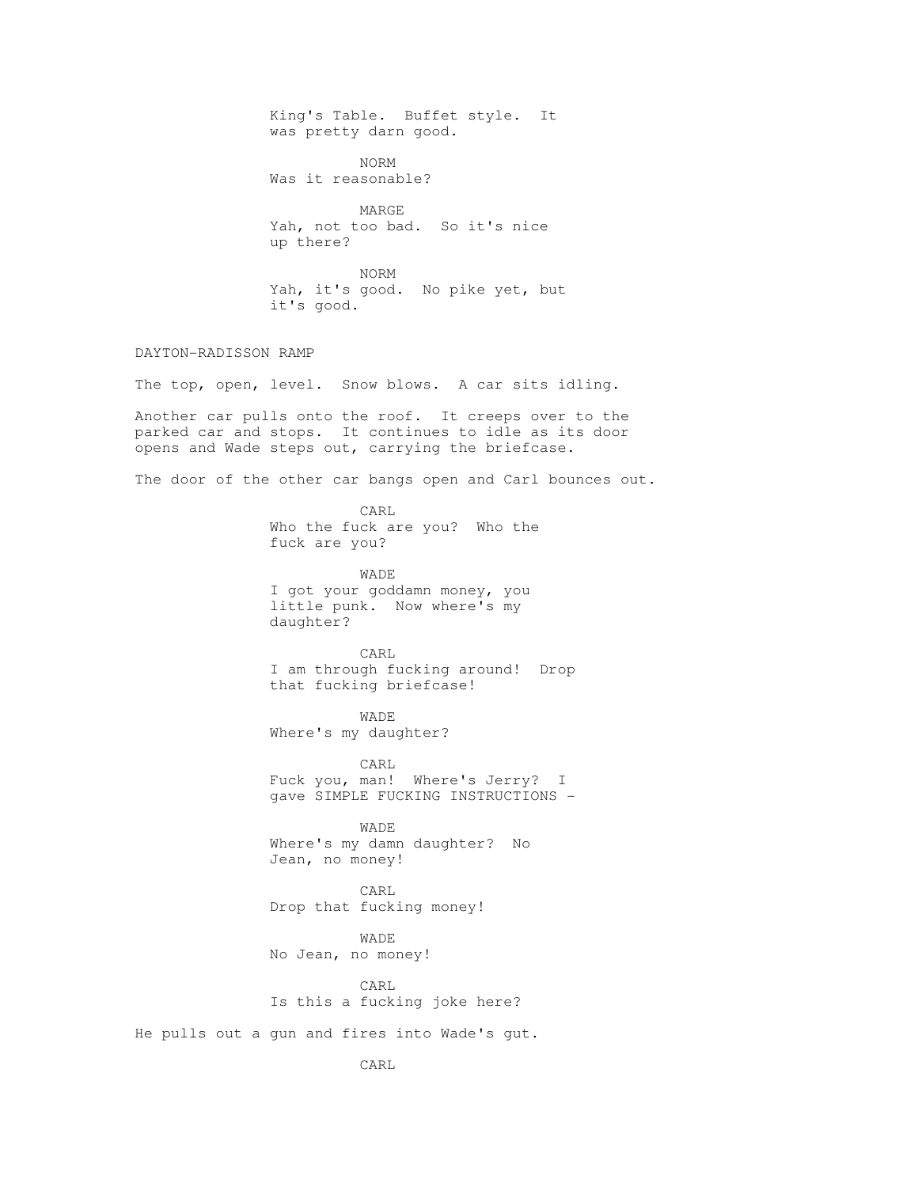King's Table. Buffet style. It was pretty darn good. NORM Was it reasonable? MARGE Yah, not too bad. So it's nice up there? NORM Yah, it's good. No pike yet, but it's good. DAYTON-RADISSON RAMP The top, open, level. Snow blows. A car sits idling. Another car pulls onto the roof. It creeps over to the parked car and stops. It continues to idle as its door opens and Wade steps out, carrying the briefcase. The door of the other car bangs open and Carl bounces out. CARL Who the fuck are you? Who the fuck are you? WADE I got your goddamn money, you little punk. Now where's my daughter? CARL I am through fucking around! Drop that fucking briefcase! WADE Where's my daughter? CARL Fuck you, man! Where's Jerry? I gave SIMPLE FUCKING INSTRUCTIONS - WADE Where's my damn daughter? No Jean, no money! CARL Drop that fucking money! WADE No Jean, no money! CARL Is this a fucking joke here? He pulls out a gun and fires into Wade's gut. CARL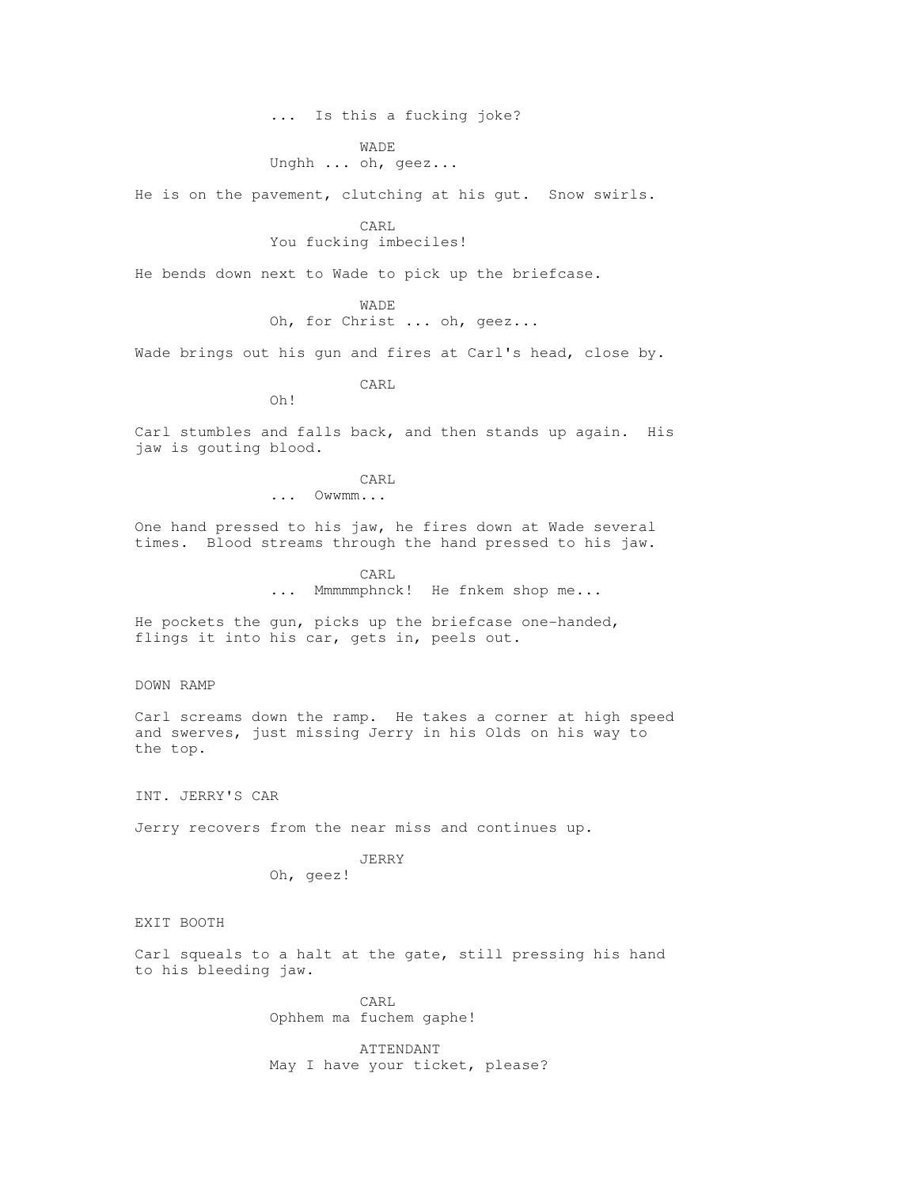... Is this a fucking joke?

WADE

Unghh ... oh, geez...

He is on the pavement, clutching at his gut. Snow swirls.

 CARL You fucking imbeciles!

He bends down next to Wade to pick up the briefcase.

 WADE Oh, for Christ ... oh, geez...

Wade brings out his gun and fires at Carl's head, close by.

CARL

Oh!

Carl stumbles and falls back, and then stands up again. His jaw is gouting blood.

> CARL ... Owwmm...

One hand pressed to his jaw, he fires down at Wade several times. Blood streams through the hand pressed to his jaw.

> CARL ... Mmmmmphnck! He fnkem shop me...

He pockets the gun, picks up the briefcase one-handed, flings it into his car, gets in, peels out.

DOWN RAMP

Carl screams down the ramp. He takes a corner at high speed and swerves, just missing Jerry in his Olds on his way to the top.

INT. JERRY'S CAR

Jerry recovers from the near miss and continues up.

 JERRY Oh, geez!

EXIT BOOTH

Carl squeals to a halt at the gate, still pressing his hand to his bleeding jaw.

> CARL Ophhem ma fuchem gaphe!

 ATTENDANT May I have your ticket, please?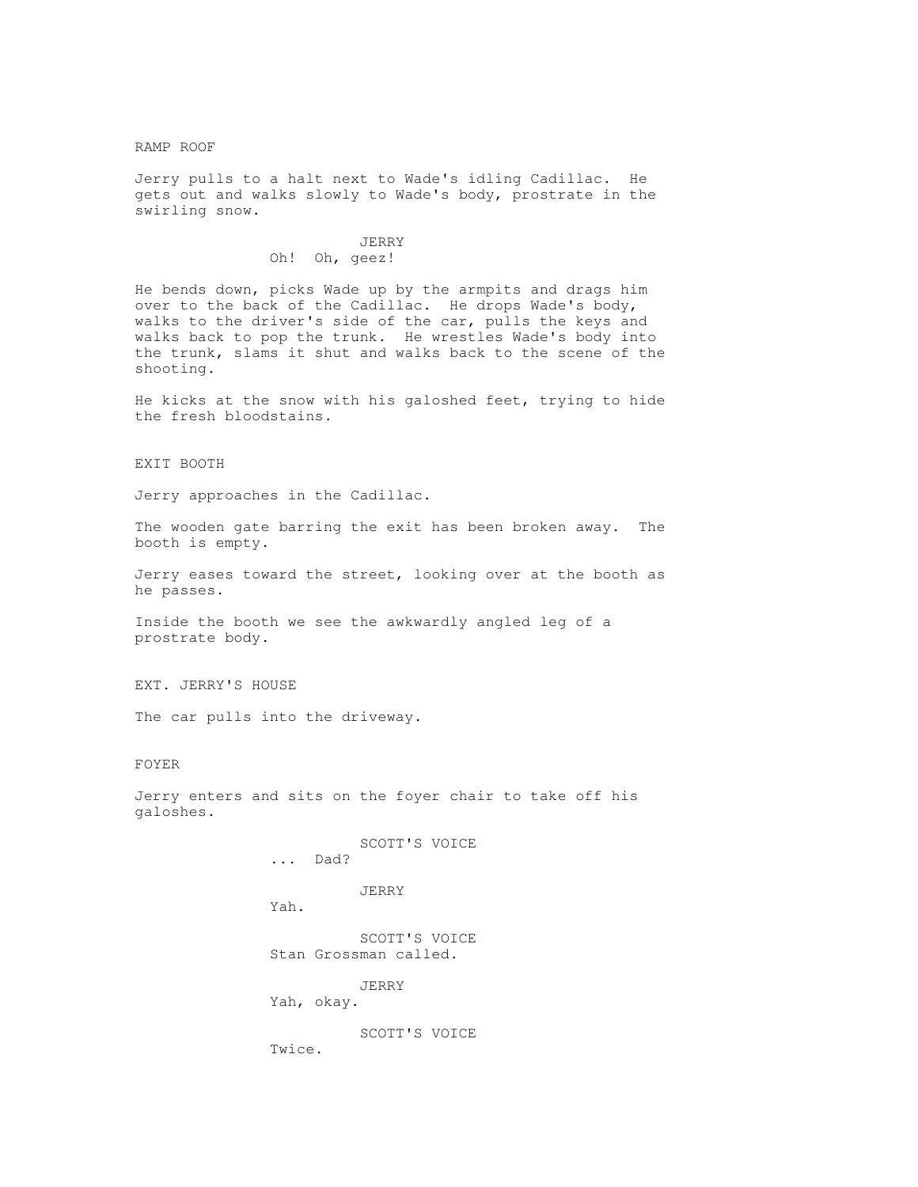## RAMP ROOF

Jerry pulls to a halt next to Wade's idling Cadillac. He gets out and walks slowly to Wade's body, prostrate in the swirling snow.

# JERRY

# Oh! Oh, geez!

He bends down, picks Wade up by the armpits and drags him over to the back of the Cadillac. He drops Wade's body, walks to the driver's side of the car, pulls the keys and walks back to pop the trunk. He wrestles Wade's body into the trunk, slams it shut and walks back to the scene of the shooting.

He kicks at the snow with his galoshed feet, trying to hide the fresh bloodstains.

EXIT BOOTH

Jerry approaches in the Cadillac.

The wooden gate barring the exit has been broken away. The booth is empty.

Jerry eases toward the street, looking over at the booth as he passes.

Inside the booth we see the awkwardly angled leg of a prostrate body.

EXT. JERRY'S HOUSE

The car pulls into the driveway.

FOYER

Jerry enters and sits on the foyer chair to take off his galoshes.

> SCOTT'S VOICE ... Dad?

JERRY

Yah.

 SCOTT'S VOICE Stan Grossman called.

JERRY

Yah, okay.

SCOTT'S VOICE

Twice.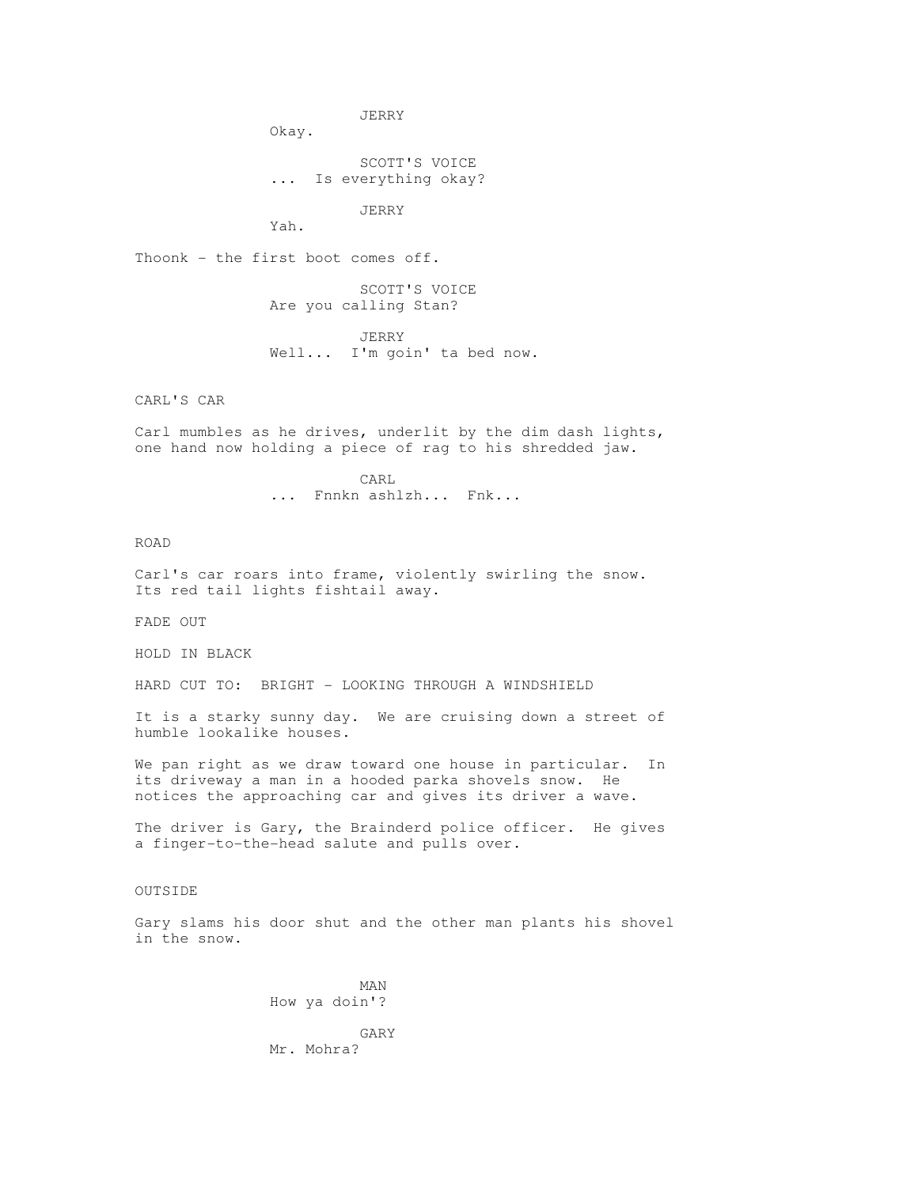JERRY

Okay.

 SCOTT'S VOICE ... Is everything okay?

JERRY

Yah.

Thoonk - the first boot comes off.

 SCOTT'S VOICE Are you calling Stan?

 JERRY Well... I'm goin' ta bed now.

CARL'S CAR

Carl mumbles as he drives, underlit by the dim dash lights, one hand now holding a piece of rag to his shredded jaw.

> CARL ... Fnnkn ashlzh... Fnk...

ROAD

Carl's car roars into frame, violently swirling the snow. Its red tail lights fishtail away.

FADE OUT

HOLD IN BLACK

HARD CUT TO: BRIGHT - LOOKING THROUGH A WINDSHIELD

It is a starky sunny day. We are cruising down a street of humble lookalike houses.

We pan right as we draw toward one house in particular. In its driveway a man in a hooded parka shovels snow. He notices the approaching car and gives its driver a wave.

The driver is Gary, the Brainderd police officer. He gives a finger-to-the-head salute and pulls over.

OUTSIDE

Gary slams his door shut and the other man plants his shovel in the snow.

 MAN How ya doin'?

> GARY Mr. Mohra?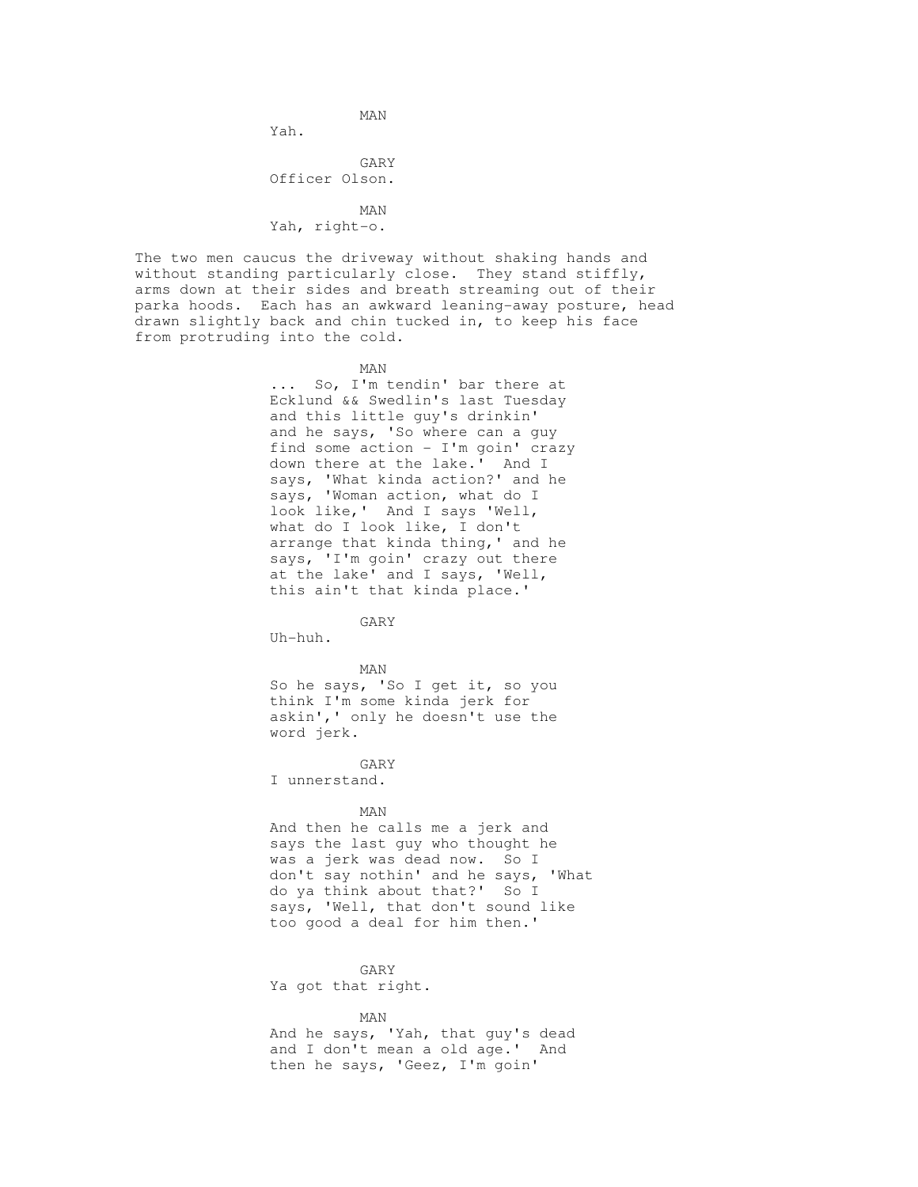Yah.

 GARY Officer Olson.

MAN

 MAN Yah, right-o.

The two men caucus the driveway without shaking hands and without standing particularly close. They stand stiffly, arms down at their sides and breath streaming out of their parka hoods. Each has an awkward leaning-away posture, head drawn slightly back and chin tucked in, to keep his face from protruding into the cold.

#### MAN

 ... So, I'm tendin' bar there at Ecklund && Swedlin's last Tuesday and this little guy's drinkin' and he says, 'So where can a guy find some action - I'm goin' crazy down there at the lake.' And I says, 'What kinda action?' and he says, 'Woman action, what do I look like,' And I says 'Well, what do I look like, I don't arrange that kinda thing,' and he says, 'I'm goin' crazy out there at the lake' and I says, 'Well, this ain't that kinda place.'

GARY

Uh-huh.

MAN

 So he says, 'So I get it, so you think I'm some kinda jerk for askin',' only he doesn't use the word jerk.

 GARY I unnerstand.

MAN

 And then he calls me a jerk and says the last guy who thought he was a jerk was dead now. So I don't say nothin' and he says, 'What do ya think about that?' So I says, 'Well, that don't sound like too good a deal for him then.'

 GARY Ya got that right.

MAN

 And he says, 'Yah, that guy's dead and I don't mean a old age.' And then he says, 'Geez, I'm goin'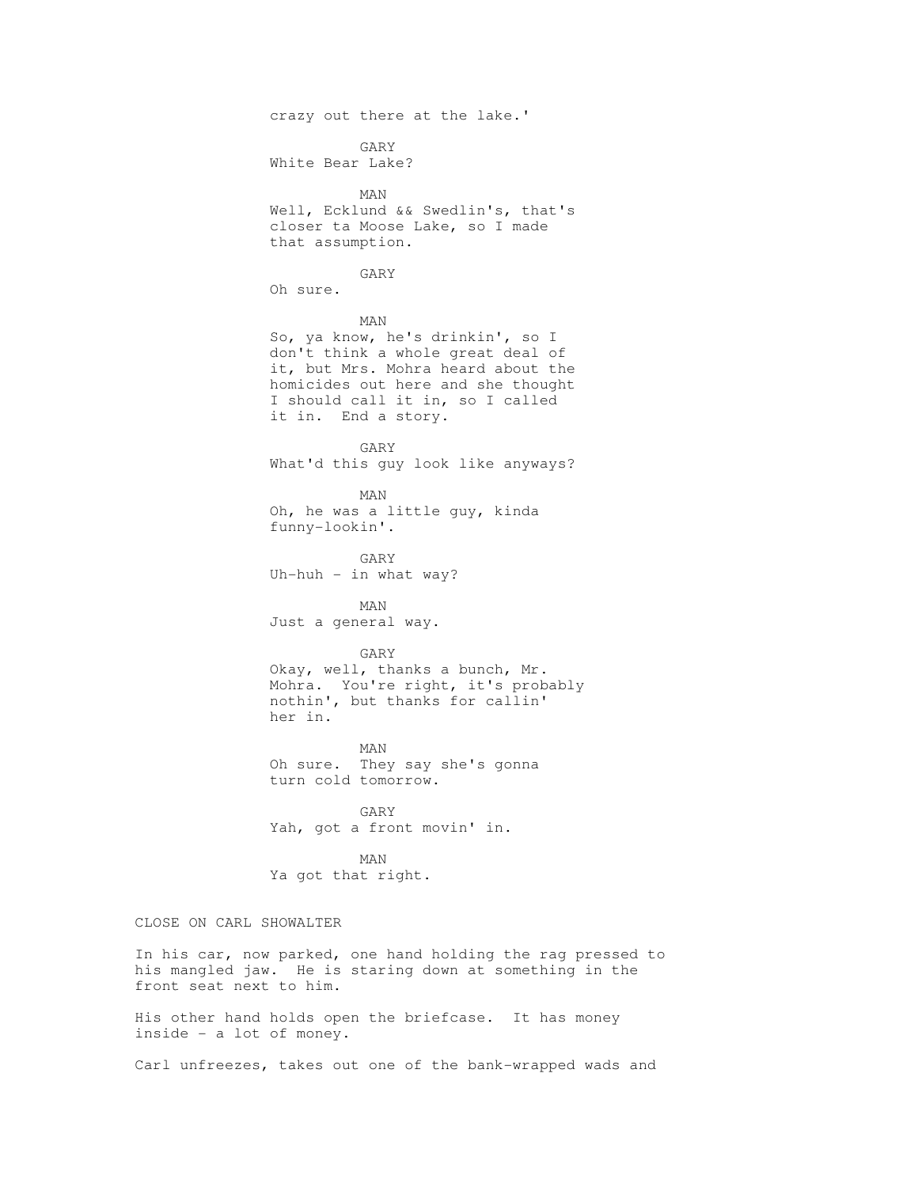crazy out there at the lake.' GARY White Bear Lake? MAN Well, Ecklund && Swedlin's, that's closer ta Moose Lake, so I made that assumption. GARY Oh sure. MAN So, ya know, he's drinkin', so I don't think a whole great deal of it, but Mrs. Mohra heard about the homicides out here and she thought I should call it in, so I called it in. End a story. GARY What'd this guy look like anyways? MAN Oh, he was a little guy, kinda funny-lookin'. GARY Uh-huh - in what way? MAN Just a general way. GARY Okay, well, thanks a bunch, Mr. Mohra. You're right, it's probably nothin', but thanks for callin' her in. MAN Oh sure. They say she's gonna turn cold tomorrow. GARY Yah, got a front movin' in. MAN Ya got that right. CLOSE ON CARL SHOWALTER

In his car, now parked, one hand holding the rag pressed to his mangled jaw. He is staring down at something in the front seat next to him.

His other hand holds open the briefcase. It has money inside - a lot of money.

Carl unfreezes, takes out one of the bank-wrapped wads and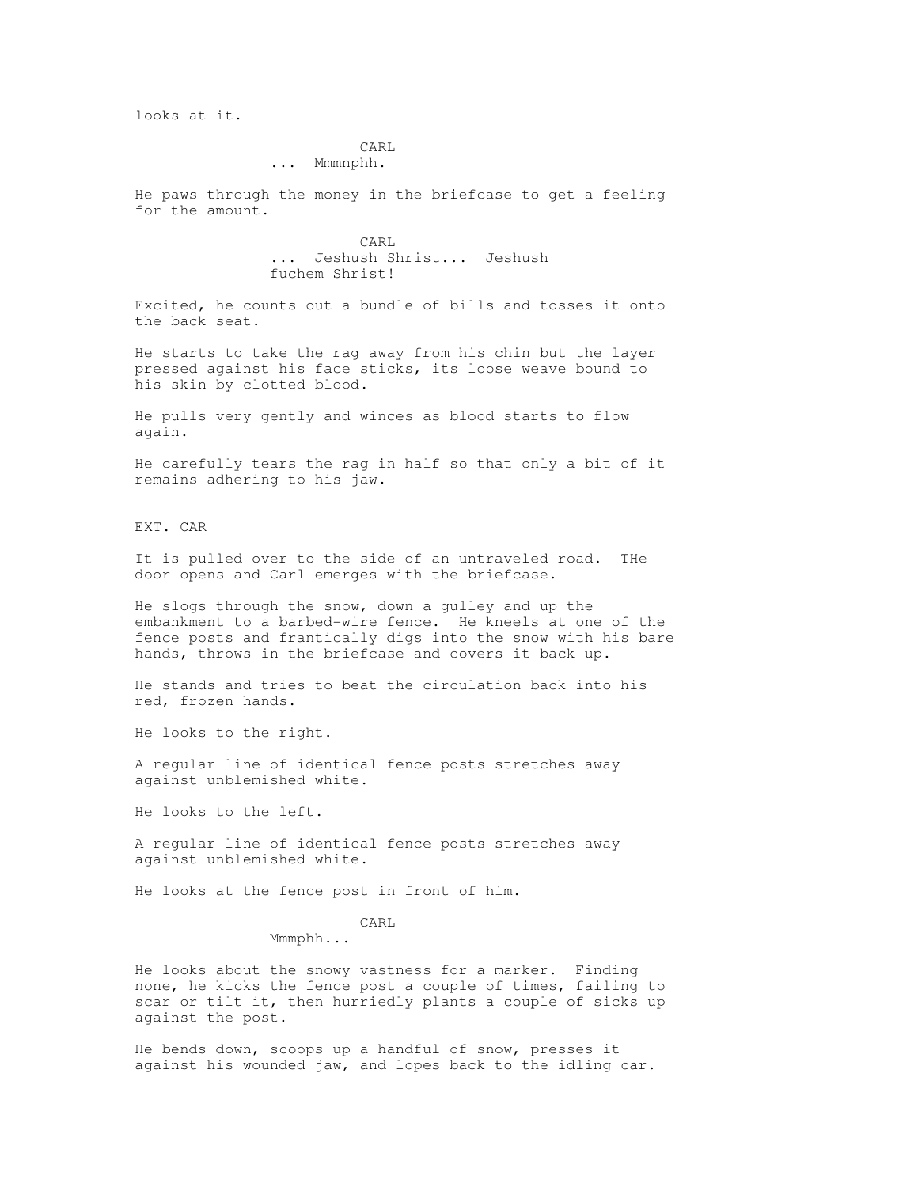looks at it.

 CARL ... Mmmnphh.

He paws through the money in the briefcase to get a feeling for the amount.

> CARL ... Jeshush Shrist... Jeshush fuchem Shrist!

Excited, he counts out a bundle of bills and tosses it onto the back seat.

He starts to take the rag away from his chin but the layer pressed against his face sticks, its loose weave bound to his skin by clotted blood.

He pulls very gently and winces as blood starts to flow again.

He carefully tears the rag in half so that only a bit of it remains adhering to his jaw.

EXT. CAR

It is pulled over to the side of an untraveled road. THe door opens and Carl emerges with the briefcase.

He slogs through the snow, down a gulley and up the embankment to a barbed-wire fence. He kneels at one of the fence posts and frantically digs into the snow with his bare hands, throws in the briefcase and covers it back up.

He stands and tries to beat the circulation back into his red, frozen hands.

He looks to the right.

A regular line of identical fence posts stretches away against unblemished white.

He looks to the left.

A regular line of identical fence posts stretches away against unblemished white.

He looks at the fence post in front of him.

CARL

Mmmphh...

He looks about the snowy vastness for a marker. Finding none, he kicks the fence post a couple of times, failing to scar or tilt it, then hurriedly plants a couple of sicks up against the post.

He bends down, scoops up a handful of snow, presses it against his wounded jaw, and lopes back to the idling car.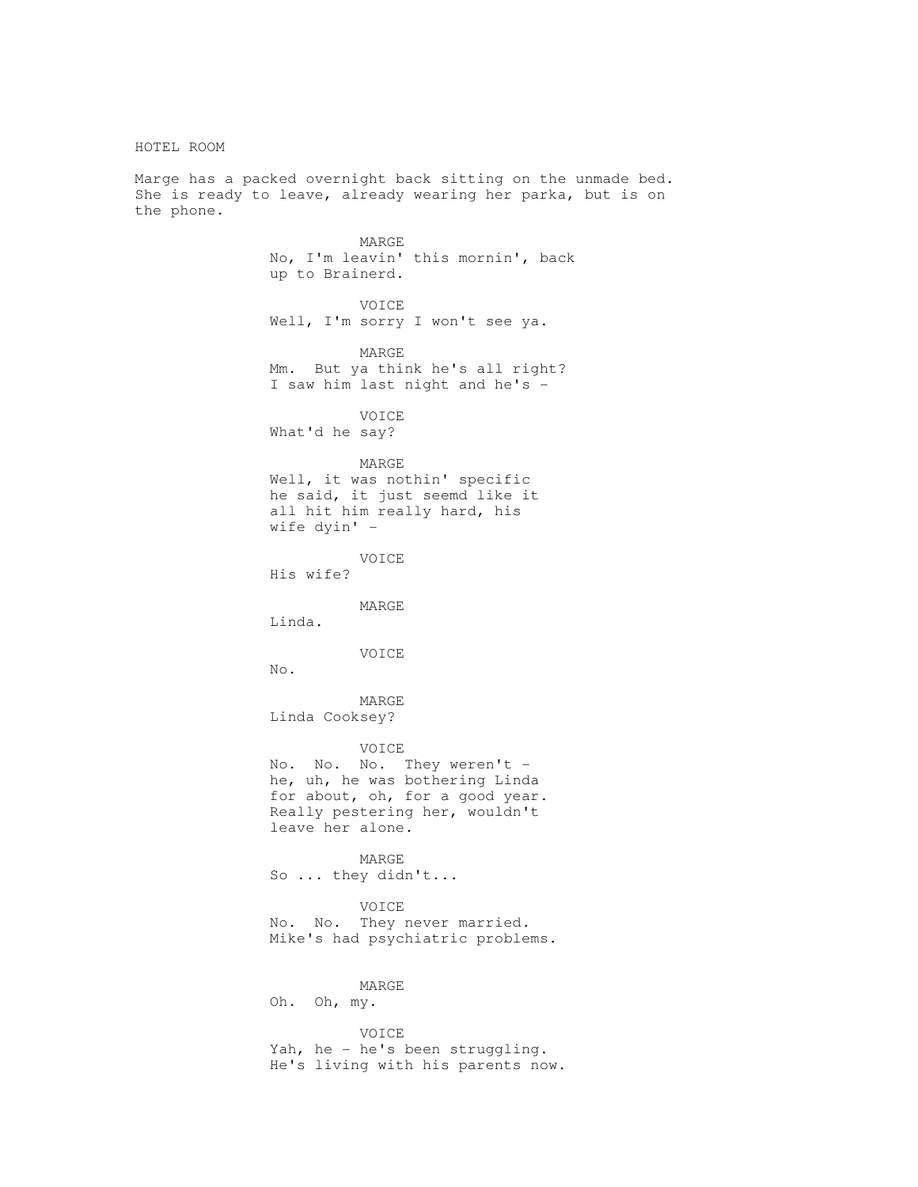Marge has a packed overnight back sitting on the unmade bed. She is ready to leave, already wearing her parka, but is on the phone. MARGE No, I'm leavin' this mornin', back up to Brainerd. VOICE Well, I'm sorry I won't see ya. MARGE Mm. But ya think he's all right? I saw him last night and he's - VOICE What'd he say? MARGE Well, it was nothin' specific he said, it just seemd like it all hit him really hard, his wife dyin' - VOICE His wife? MARGE Linda. VOICE No. MARGE Linda Cooksey? VOICE No. No. No. They weren't he, uh, he was bothering Linda for about, oh, for a good year. Really pestering her, wouldn't leave her alone. MARGE So ... they didn't... VOICE No. No. They never married. Mike's had psychiatric problems. MARGE Oh. Oh, my. VOICE Yah, he - he's been struggling. He's living with his parents now.

HOTEL ROOM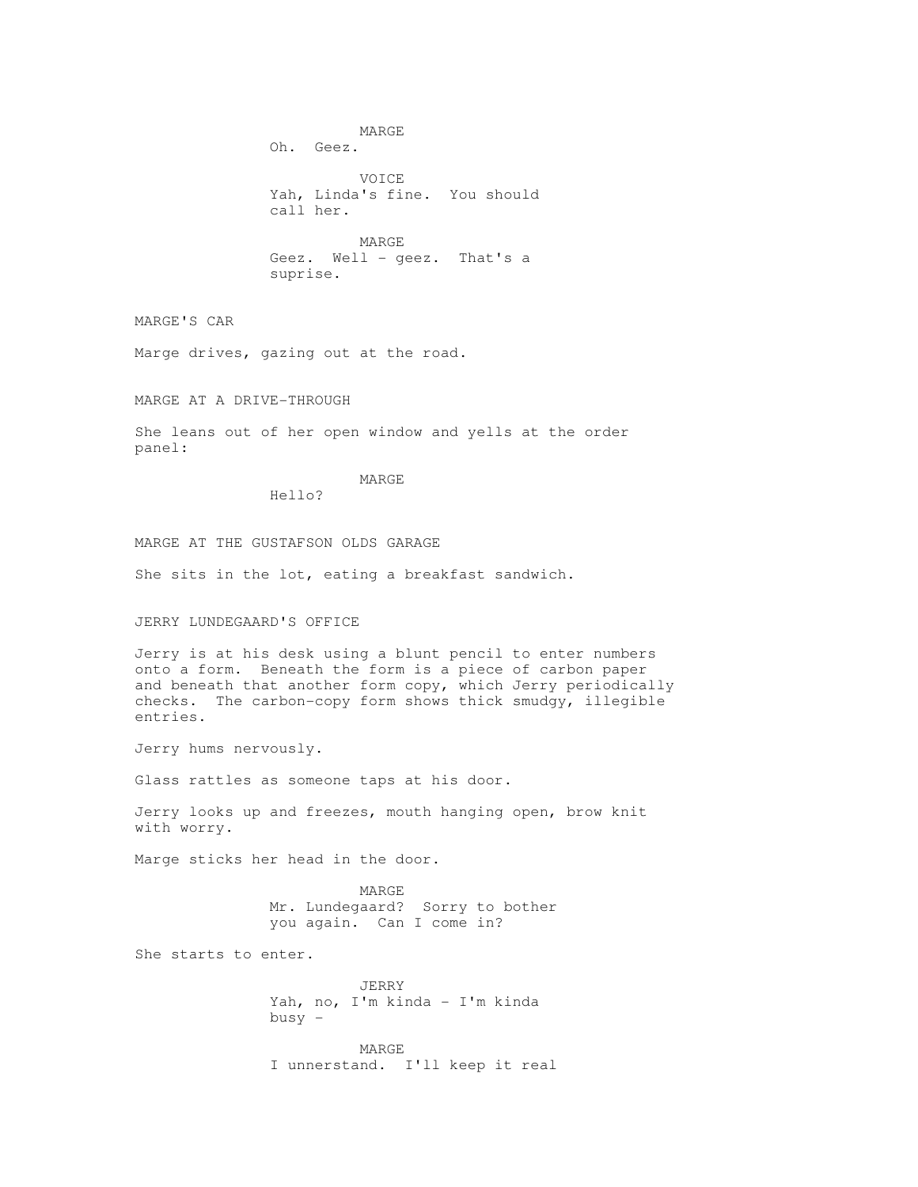#### MARGE

Oh. Geez.

 VOICE Yah, Linda's fine. You should call her.

 MARGE Geez. Well - geez. That's a suprise.

MARGE'S CAR

Marge drives, gazing out at the road.

MARGE AT A DRIVE-THROUGH

She leans out of her open window and yells at the order panel:

## MARGE

Hello?

MARGE AT THE GUSTAFSON OLDS GARAGE

She sits in the lot, eating a breakfast sandwich.

#### JERRY LUNDEGAARD'S OFFICE

Jerry is at his desk using a blunt pencil to enter numbers onto a form. Beneath the form is a piece of carbon paper and beneath that another form copy, which Jerry periodically checks. The carbon-copy form shows thick smudgy, illegible entries.

Jerry hums nervously.

Glass rattles as someone taps at his door.

Jerry looks up and freezes, mouth hanging open, brow knit with worry.

Marge sticks her head in the door.

 MARGE Mr. Lundegaard? Sorry to bother you again. Can I come in?

She starts to enter.

 JERRY Yah, no, I'm kinda - I'm kinda busy - MARGE I unnerstand. I'll keep it real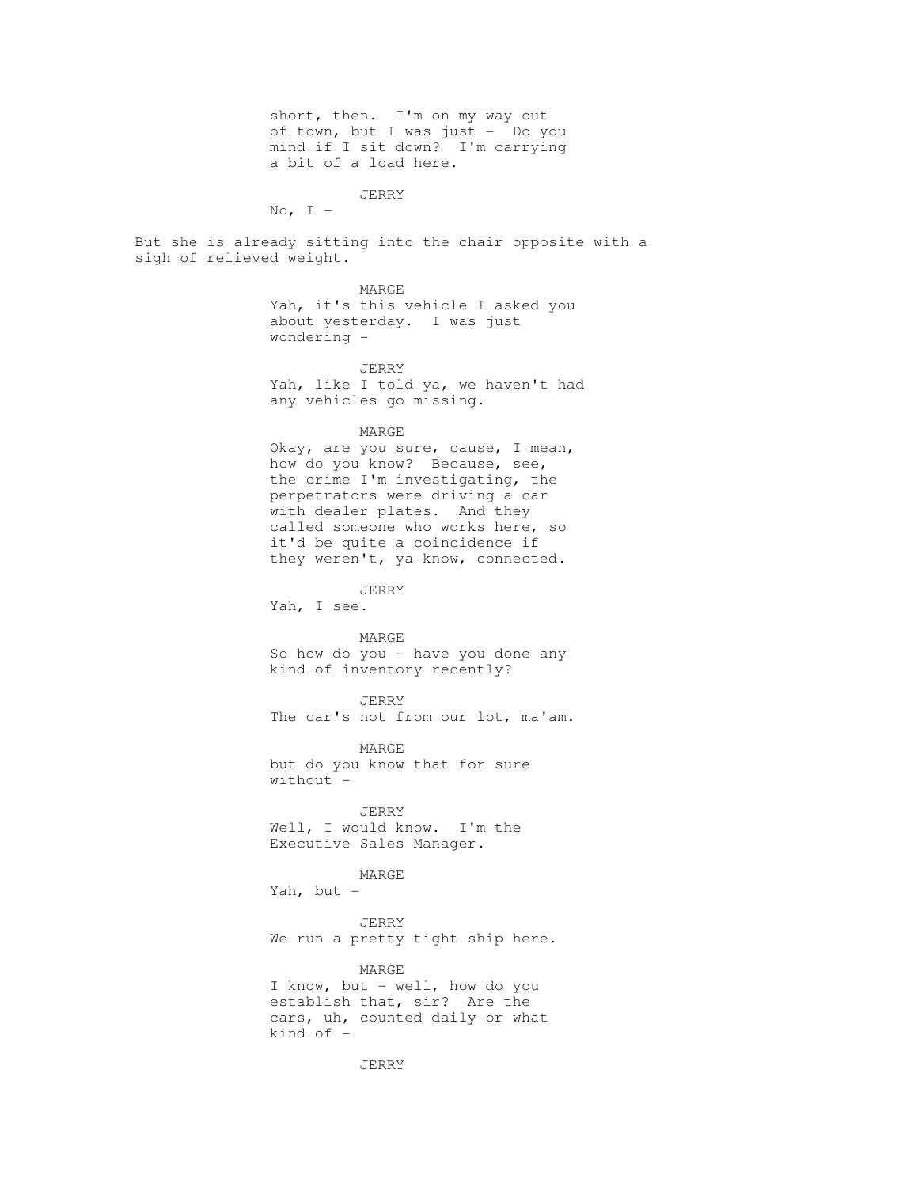short, then. I'm on my way out of town, but I was just - Do you mind if I sit down? I'm carrying a bit of a load here.

JERRY

No,  $I -$ 

But she is already sitting into the chair opposite with a sigh of relieved weight.

> MARGE Yah, it's this vehicle I asked you about yesterday. I was just wondering -

> > JERRY

 Yah, like I told ya, we haven't had any vehicles go missing.

MARGE

 Okay, are you sure, cause, I mean, how do you know? Because, see, the crime I'm investigating, the perpetrators were driving a car with dealer plates. And they called someone who works here, so it'd be quite a coincidence if they weren't, ya know, connected.

JERRY

Yah, I see.

 MARGE So how do you - have you done any kind of inventory recently?

 JERRY The car's not from our lot, ma'am.

 MARGE but do you know that for sure  $widthout -$ 

 JERRY Well, I would know. I'm the Executive Sales Manager.

MARGE

Yah, but -

 JERRY We run a pretty tight ship here.

 MARGE I know, but - well, how do you establish that, sir? Are the cars, uh, counted daily or what kind of -

JERRY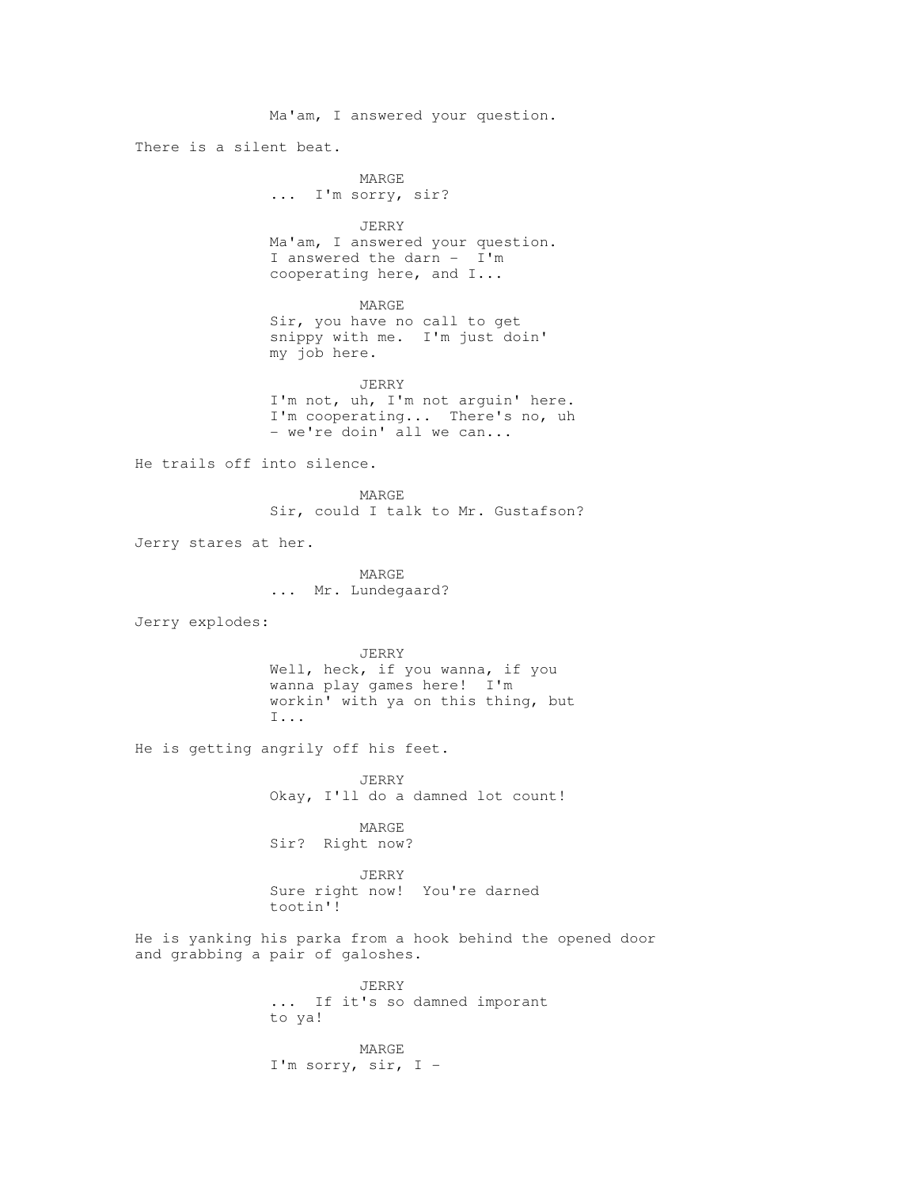Ma'am, I answered your question. There is a silent beat. MARGE ... I'm sorry, sir? JERRY Ma'am, I answered your question. I answered the darn - I'm cooperating here, and I... MARGE Sir, you have no call to get snippy with me. I'm just doin' my job here. JERRY I'm not, uh, I'm not arguin' here. I'm cooperating... There's no, uh - we're doin' all we can... He trails off into silence. MARGE Sir, could I talk to Mr. Gustafson? Jerry stares at her. MARGE ... Mr. Lundegaard? Jerry explodes: JERRY Well, heck, if you wanna, if you wanna play games here! I'm workin' with ya on this thing, but I... He is getting angrily off his feet. JERRY Okay, I'll do a damned lot count! MARGE Sir? Right now? JERRY Sure right now! You're darned tootin'! He is yanking his parka from a hook behind the opened door and grabbing a pair of galoshes. JERRY ... If it's so damned imporant to ya! MARGE I'm sorry, sir, I -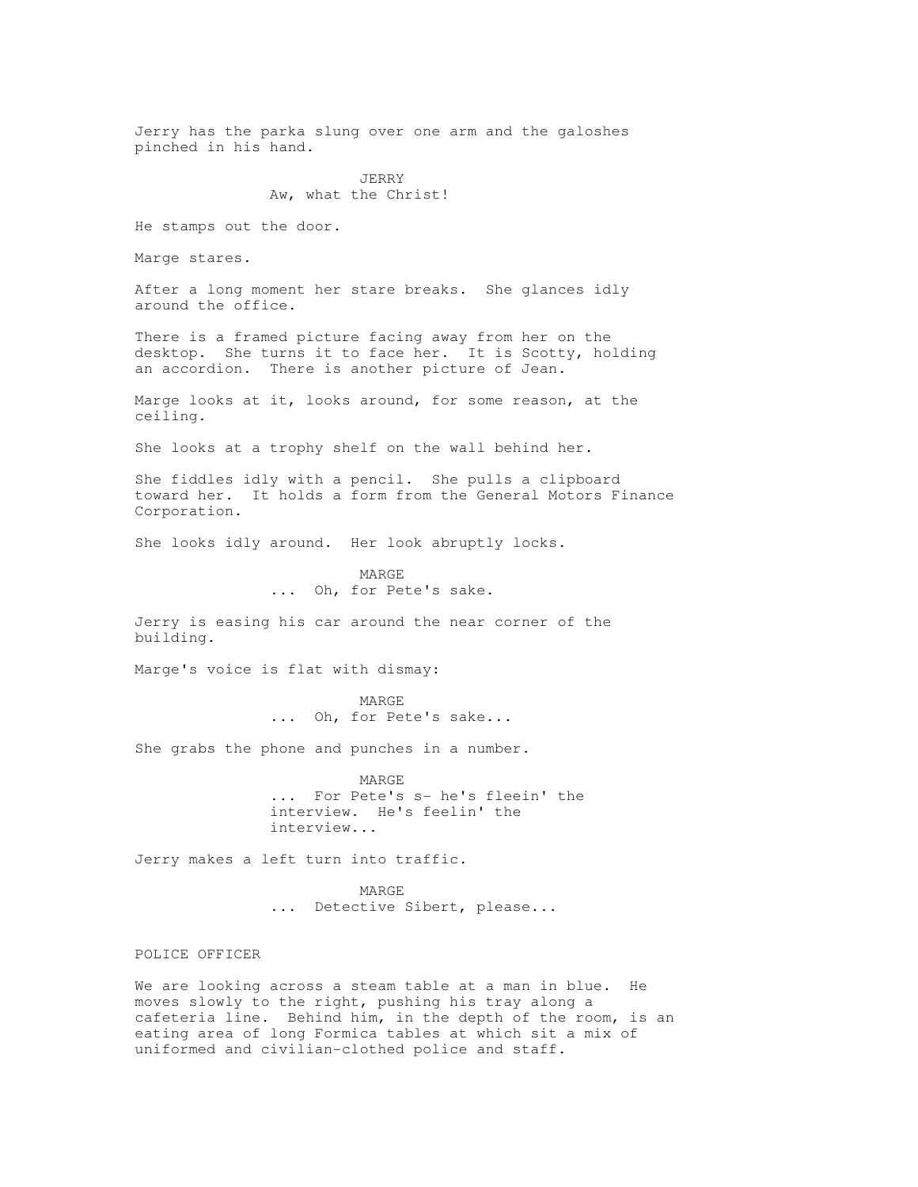Jerry has the parka slung over one arm and the galoshes pinched in his hand.

> JERRY Aw, what the Christ!

He stamps out the door.

Marge stares.

After a long moment her stare breaks. She glances idly around the office.

There is a framed picture facing away from her on the desktop. She turns it to face her. It is Scotty, holding an accordion. There is another picture of Jean.

Marge looks at it, looks around, for some reason, at the ceiling.

She looks at a trophy shelf on the wall behind her.

She fiddles idly with a pencil. She pulls a clipboard toward her. It holds a form from the General Motors Finance Corporation.

She looks idly around. Her look abruptly locks.

 MARGE ... Oh, for Pete's sake.

Jerry is easing his car around the near corner of the building.

Marge's voice is flat with dismay:

 MARGE ... Oh, for Pete's sake...

She grabs the phone and punches in a number.

 MARGE ... For Pete's s- he's fleein' the interview. He's feelin' the interview...

Jerry makes a left turn into traffic.

 MARGE ... Detective Sibert, please...

## POLICE OFFICER

We are looking across a steam table at a man in blue. He moves slowly to the right, pushing his tray along a cafeteria line. Behind him, in the depth of the room, is an eating area of long Formica tables at which sit a mix of uniformed and civilian-clothed police and staff.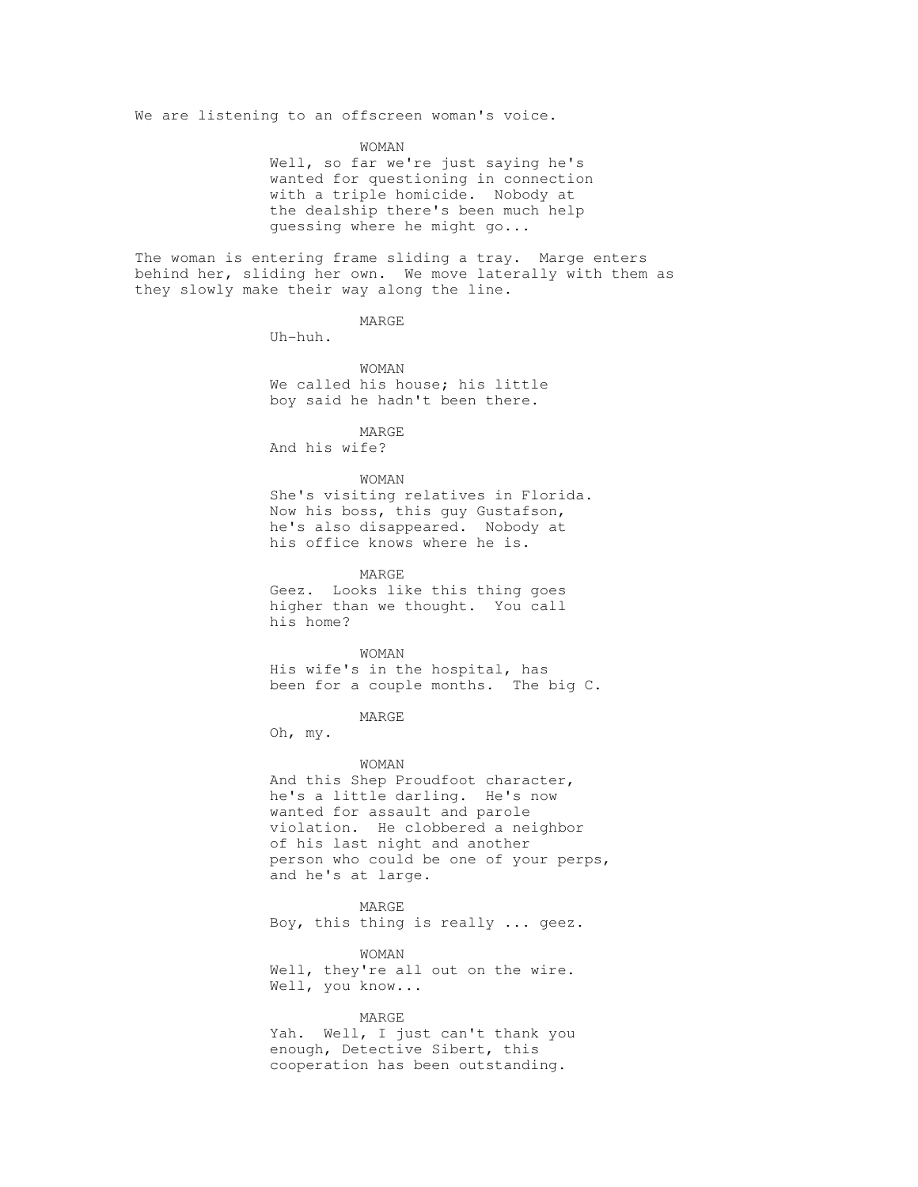We are listening to an offscreen woman's voice.

WOMAN

 Well, so far we're just saying he's wanted for questioning in connection with a triple homicide. Nobody at the dealship there's been much help guessing where he might go...

The woman is entering frame sliding a tray. Marge enters behind her, sliding her own. We move laterally with them as they slowly make their way along the line.

MARGE

Uh-huh.

 WOMAN We called his house; his little boy said he hadn't been there.

MARGE

And his wife?

WOMAN

 She's visiting relatives in Florida. Now his boss, this guy Gustafson, he's also disappeared. Nobody at his office knows where he is.

 MARGE Geez. Looks like this thing goes higher than we thought. You call his home?

 WOMAN His wife's in the hospital, has been for a couple months. The big C.

MARGE

Oh, my.

 WOMAN And this Shep Proudfoot character, he's a little darling. He's now wanted for assault and parole violation. He clobbered a neighbor of his last night and another person who could be one of your perps, and he's at large.

 MARGE Boy, this thing is really ... geez.

 WOMAN Well, they're all out on the wire. Well, you know...

MARGE

 Yah. Well, I just can't thank you enough, Detective Sibert, this cooperation has been outstanding.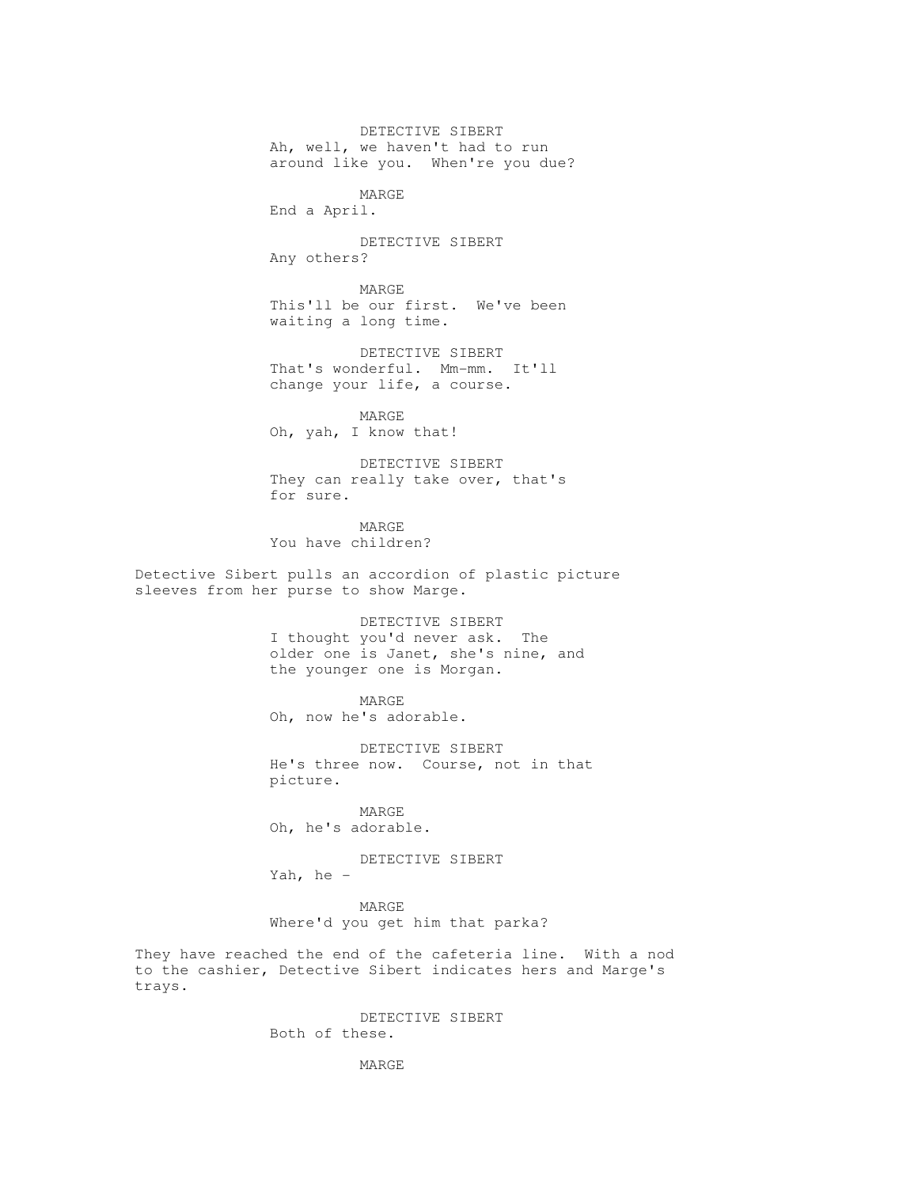DETECTIVE SIBERT Ah, well, we haven't had to run around like you. When're you due? MARGE End a April. DETECTIVE SIBERT Any others? MARGE This'll be our first. We've been waiting a long time. DETECTIVE SIBERT That's wonderful. Mm-mm. It'll change your life, a course. MARGE Oh, yah, I know that! DETECTIVE SIBERT They can really take over, that's for sure. MARGE You have children? Detective Sibert pulls an accordion of plastic picture sleeves from her purse to show Marge.

> DETECTIVE SIBERT I thought you'd never ask. The older one is Janet, she's nine, and the younger one is Morgan.

 MARGE Oh, now he's adorable.

 DETECTIVE SIBERT He's three now. Course, not in that picture.

 MARGE Oh, he's adorable.

 DETECTIVE SIBERT Yah, he -

 MARGE Where'd you get him that parka?

They have reached the end of the cafeteria line. With a nod to the cashier, Detective Sibert indicates hers and Marge's trays.

> DETECTIVE SIBERT Both of these.

> > MARGE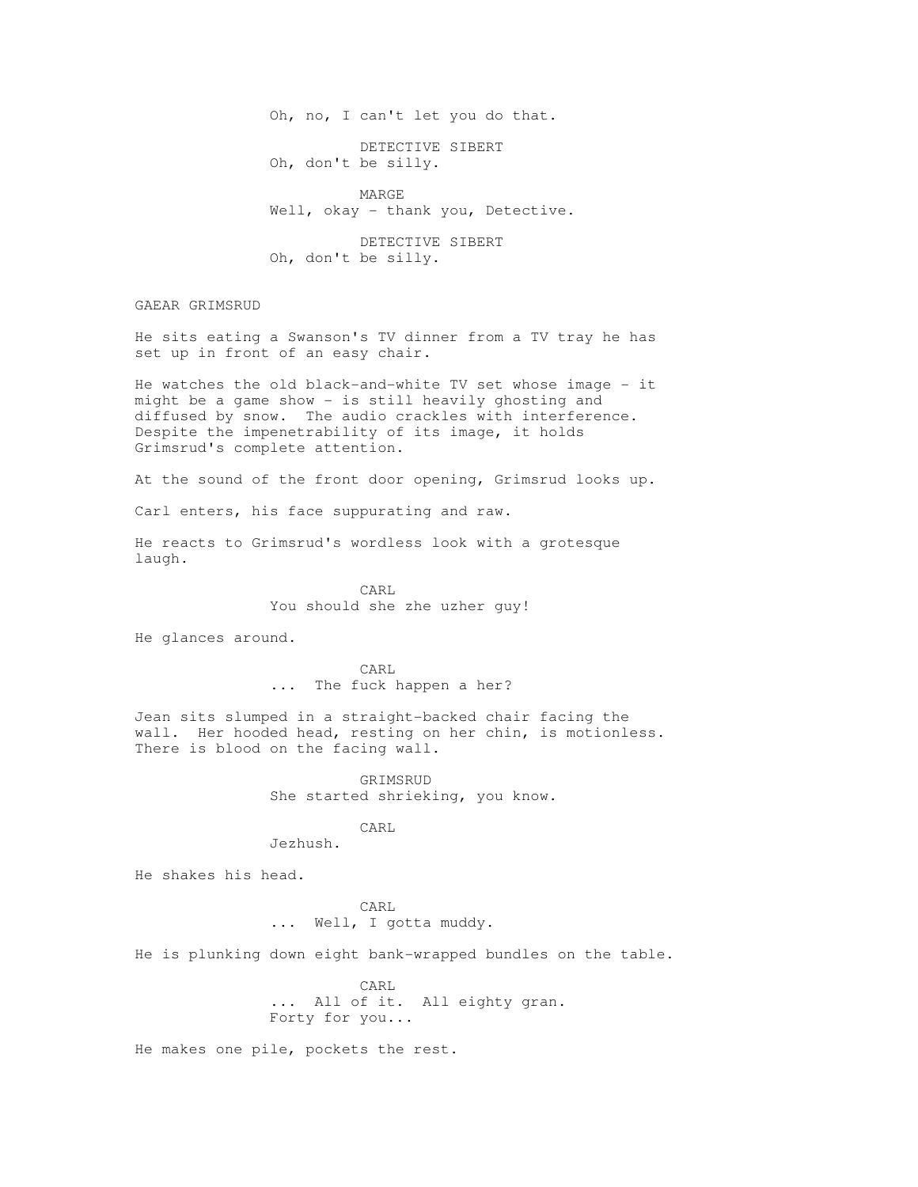Oh, no, I can't let you do that.

 DETECTIVE SIBERT Oh, don't be silly.

 MARGE Well, okay - thank you, Detective.

 DETECTIVE SIBERT Oh, don't be silly.

GAEAR GRIMSRUD

He sits eating a Swanson's TV dinner from a TV tray he has set up in front of an easy chair.

He watches the old black-and-white TV set whose image - it might be a game show - is still heavily ghosting and diffused by snow. The audio crackles with interference. Despite the impenetrability of its image, it holds Grimsrud's complete attention.

At the sound of the front door opening, Grimsrud looks up.

Carl enters, his face suppurating and raw.

He reacts to Grimsrud's wordless look with a grotesque laugh.

> CARL You should she zhe uzher guy!

He glances around.

 CARL ... The fuck happen a her?

Jean sits slumped in a straight-backed chair facing the wall. Her hooded head, resting on her chin, is motionless. There is blood on the facing wall.

> GRIMSRUD She started shrieking, you know.

> > CARL

Jezhush.

He shakes his head.

 CARL ... Well, I gotta muddy.

He is plunking down eight bank-wrapped bundles on the table.

 CARL ... All of it. All eighty gran. Forty for you...

He makes one pile, pockets the rest.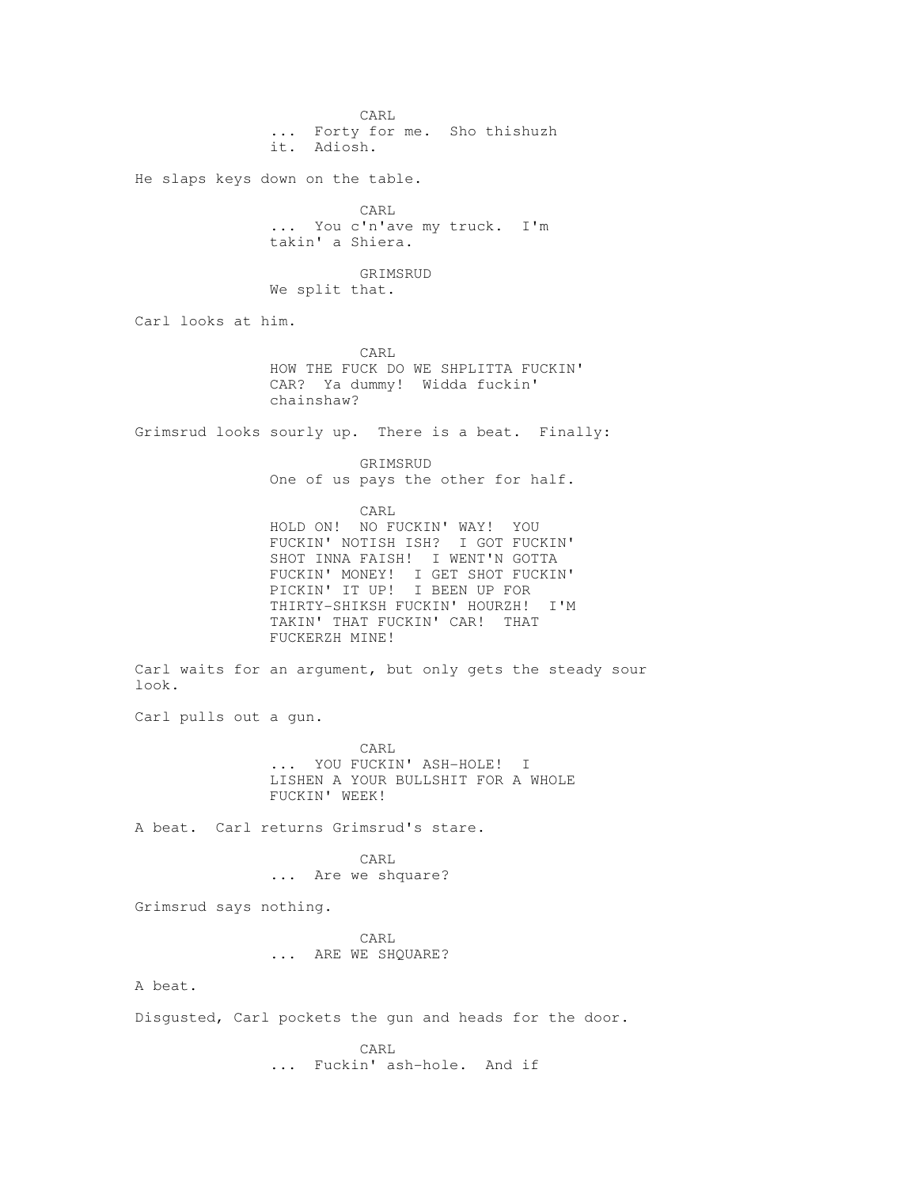CARL ... Forty for me. Sho thishuzh it. Adiosh. He slaps keys down on the table. CARL ... You c'n'ave my truck. I'm takin' a Shiera. GRIMSRUD We split that. Carl looks at him. CARL HOW THE FUCK DO WE SHPLITTA FUCKIN' CAR? Ya dummy! Widda fuckin' chainshaw? Grimsrud looks sourly up. There is a beat. Finally: GRIMSRUD One of us pays the other for half. CARL HOLD ON! NO FUCKIN' WAY! YOU FUCKIN' NOTISH ISH? I GOT FUCKIN' SHOT INNA FAISH! I WENT'N GOTTA FUCKIN' MONEY! I GET SHOT FUCKIN' PICKIN' IT UP! I BEEN UP FOR THIRTY-SHIKSH FUCKIN' HOURZH! I'M TAKIN' THAT FUCKIN' CAR! THAT FUCKERZH MINE! Carl waits for an argument, but only gets the steady sour look. Carl pulls out a gun. CARL ... YOU FUCKIN' ASH-HOLE! I LISHEN A YOUR BULLSHIT FOR A WHOLE FUCKIN' WEEK! A beat. Carl returns Grimsrud's stare. CARL ... Are we shquare? Grimsrud says nothing. CARL ... ARE WE SHQUARE? A beat. Disgusted, Carl pockets the gun and heads for the door. CARL ... Fuckin' ash-hole. And if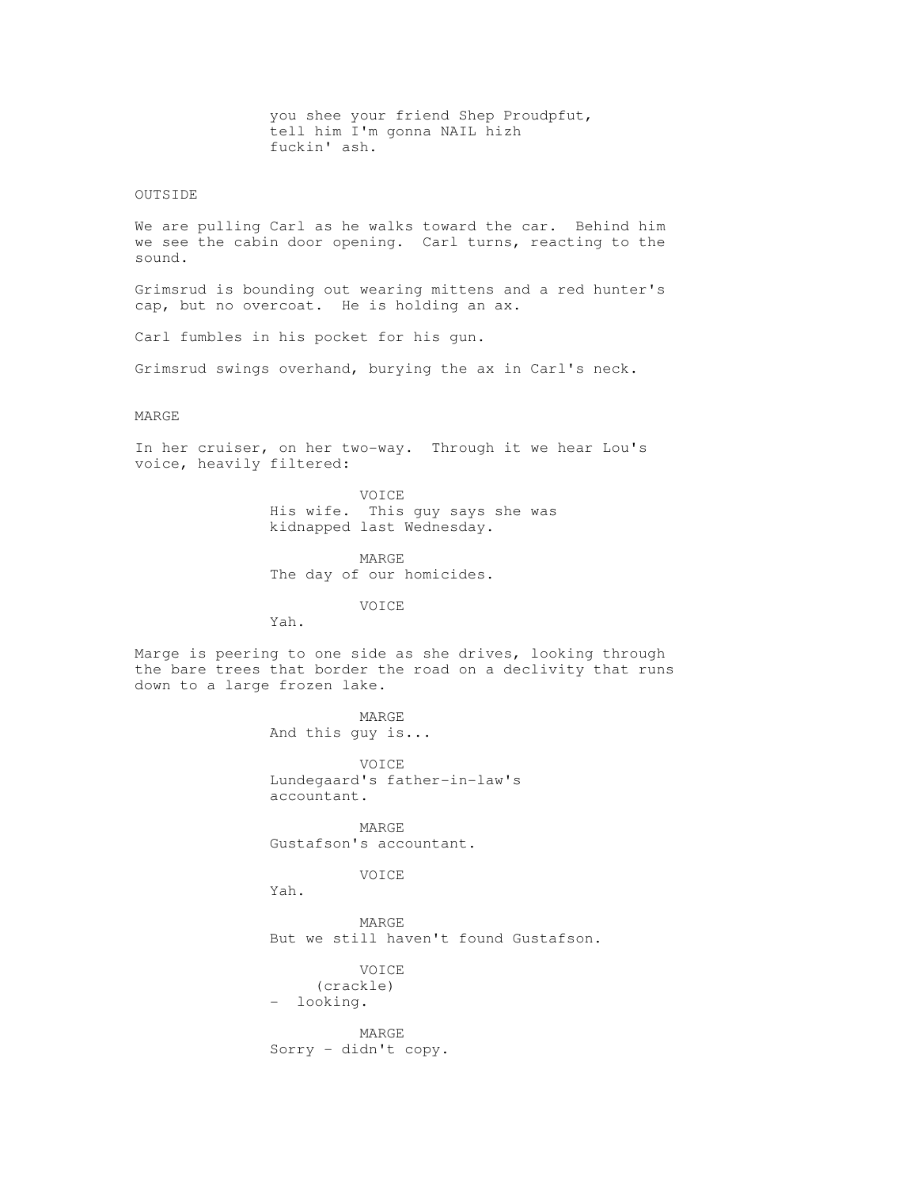you shee your friend Shep Proudpfut, tell him I'm gonna NAIL hizh fuckin' ash.

#### OUTSIDE

We are pulling Carl as he walks toward the car. Behind him we see the cabin door opening. Carl turns, reacting to the sound.

Grimsrud is bounding out wearing mittens and a red hunter's cap, but no overcoat. He is holding an ax.

Carl fumbles in his pocket for his gun.

Grimsrud swings overhand, burying the ax in Carl's neck.

#### MARGE

In her cruiser, on her two-way. Through it we hear Lou's voice, heavily filtered:

> VOICE His wife. This guy says she was kidnapped last Wednesday.

 MARGE The day of our homicides.

VOICE

Yah.

Marge is peering to one side as she drives, looking through the bare trees that border the road on a declivity that runs down to a large frozen lake.

> MARGE And this guy is...

 VOICE Lundegaard's father-in-law's accountant.

 MARGE Gustafson's accountant.

VOICE

Yah.

 MARGE But we still haven't found Gustafson.

 VOICE (crackle) - looking.

 MARGE Sorry - didn't copy.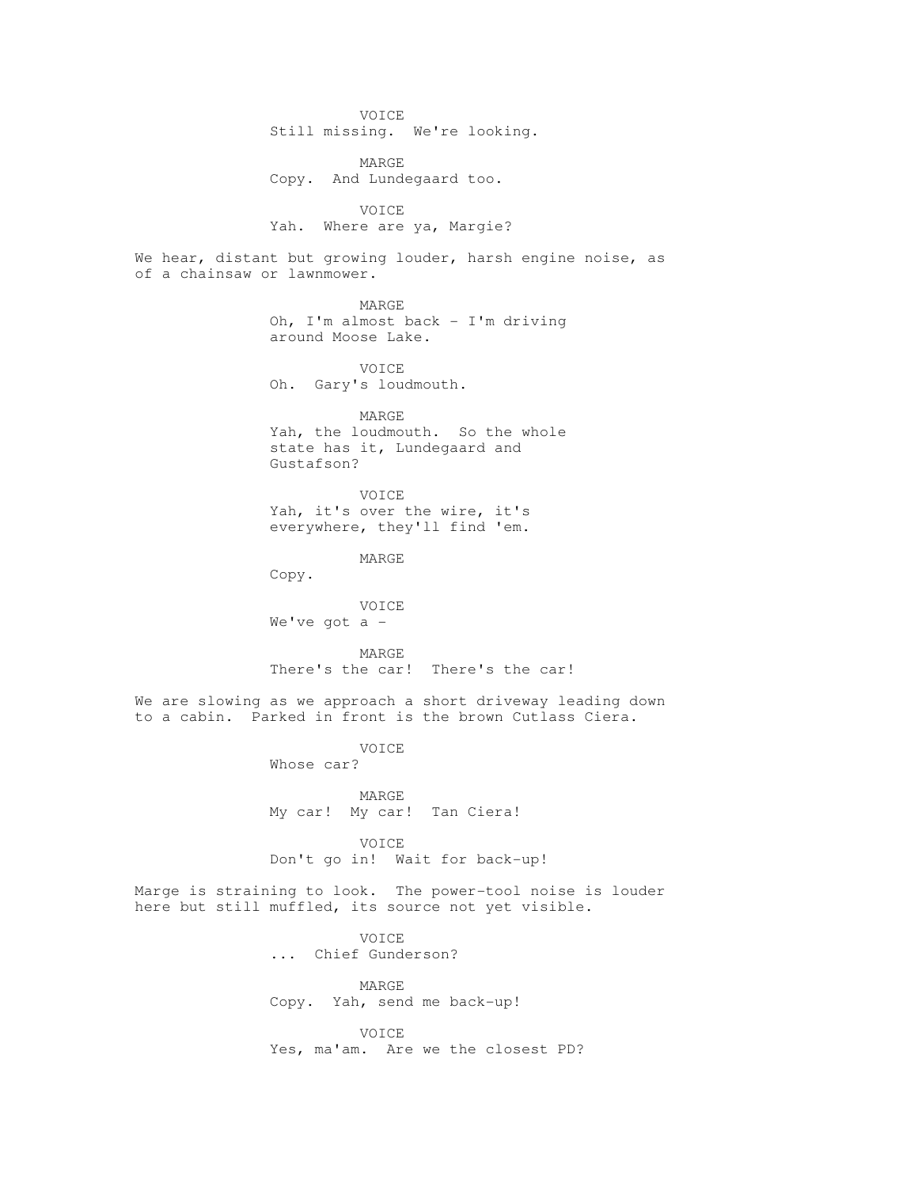VOICE Still missing. We're looking. MARGE Copy. And Lundegaard too. VOICE Yah. Where are ya, Margie? We hear, distant but growing louder, harsh engine noise, as of a chainsaw or lawnmower. MARGE Oh, I'm almost back - I'm driving around Moose Lake. VOICE Oh. Gary's loudmouth. MARGE Yah, the loudmouth. So the whole state has it, Lundegaard and Gustafson? VOICE Yah, it's over the wire, it's everywhere, they'll find 'em. MARGE Copy. VOICE We've got a - MARGE There's the car! There's the car! We are slowing as we approach a short driveway leading down to a cabin. Parked in front is the brown Cutlass Ciera. VOICE Whose car? MARGE My car! My car! Tan Ciera! VOICE Don't go in! Wait for back-up! Marge is straining to look. The power-tool noise is louder here but still muffled, its source not yet visible. VOICE ... Chief Gunderson? MARGE Copy. Yah, send me back-up! VOICE Yes, ma'am. Are we the closest PD?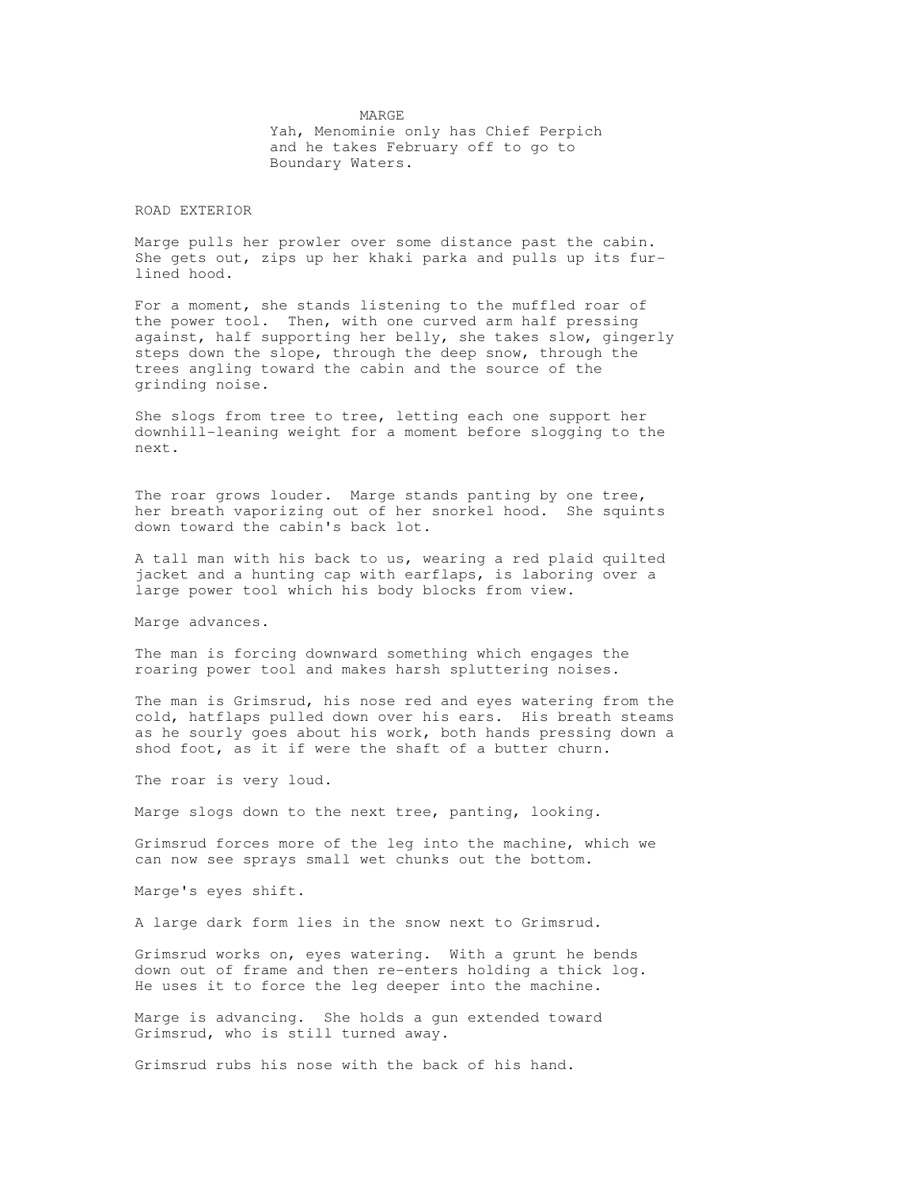MARGE Yah, Menominie only has Chief Perpich and he takes February off to go to Boundary Waters.

#### ROAD EXTERIOR

Marge pulls her prowler over some distance past the cabin. She gets out, zips up her khaki parka and pulls up its furlined hood.

For a moment, she stands listening to the muffled roar of the power tool. Then, with one curved arm half pressing against, half supporting her belly, she takes slow, gingerly steps down the slope, through the deep snow, through the trees angling toward the cabin and the source of the grinding noise.

She slogs from tree to tree, letting each one support her downhill-leaning weight for a moment before slogging to the next.

The roar grows louder. Marge stands panting by one tree, her breath vaporizing out of her snorkel hood. She squints down toward the cabin's back lot.

A tall man with his back to us, wearing a red plaid quilted jacket and a hunting cap with earflaps, is laboring over a large power tool which his body blocks from view.

Marge advances.

The man is forcing downward something which engages the roaring power tool and makes harsh spluttering noises.

The man is Grimsrud, his nose red and eyes watering from the cold, hatflaps pulled down over his ears. His breath steams as he sourly goes about his work, both hands pressing down a shod foot, as it if were the shaft of a butter churn.

The roar is very loud.

Marge slogs down to the next tree, panting, looking.

Grimsrud forces more of the leg into the machine, which we can now see sprays small wet chunks out the bottom.

Marge's eyes shift.

A large dark form lies in the snow next to Grimsrud.

Grimsrud works on, eyes watering. With a grunt he bends down out of frame and then re-enters holding a thick log. He uses it to force the leg deeper into the machine.

Marge is advancing. She holds a gun extended toward Grimsrud, who is still turned away.

Grimsrud rubs his nose with the back of his hand.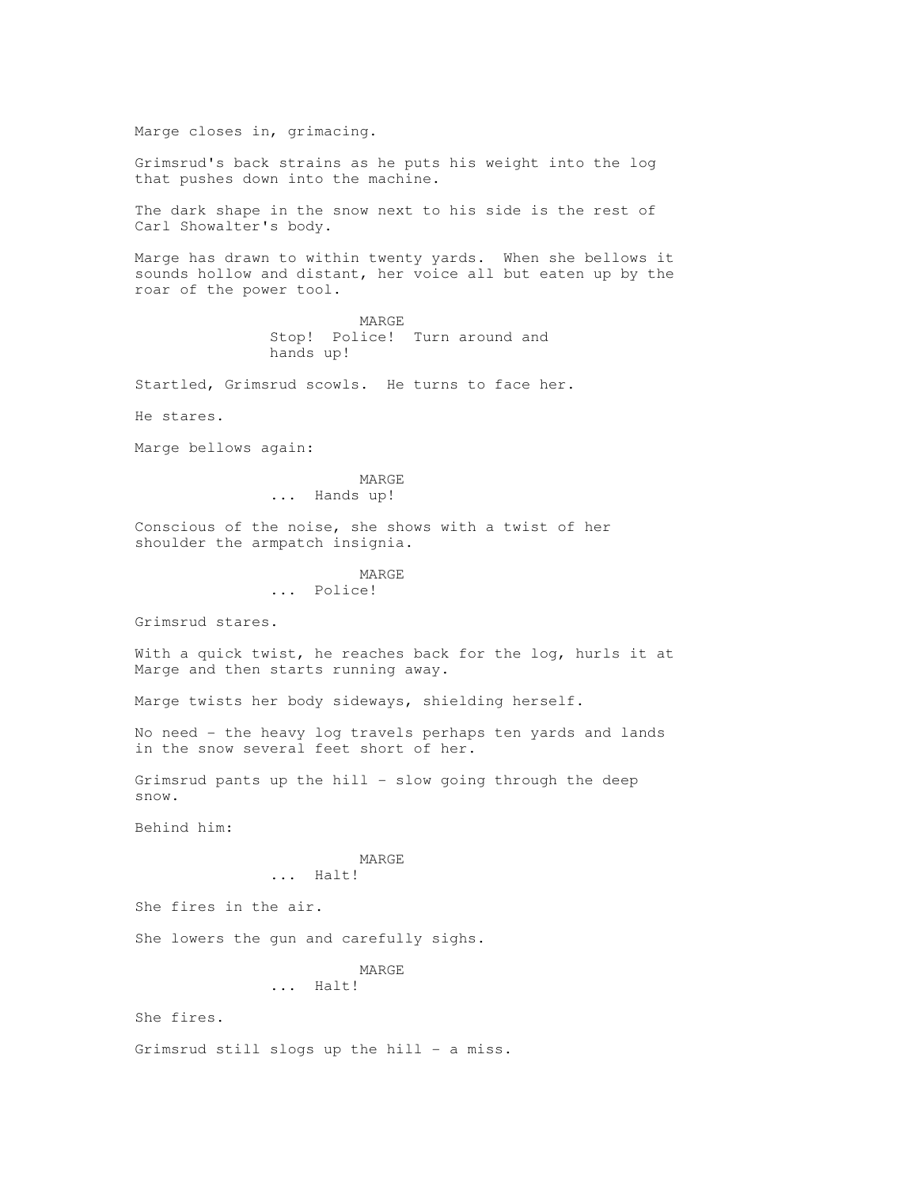Marge closes in, grimacing.

Grimsrud's back strains as he puts his weight into the log that pushes down into the machine.

The dark shape in the snow next to his side is the rest of Carl Showalter's body.

Marge has drawn to within twenty yards. When she bellows it sounds hollow and distant, her voice all but eaten up by the roar of the power tool.

> MARGE Stop! Police! Turn around and hands up!

Startled, Grimsrud scowls. He turns to face her.

He stares.

Marge bellows again:

 MARGE ... Hands up!

Conscious of the noise, she shows with a twist of her shoulder the armpatch insignia.

> MARGE ... Police!

Grimsrud stares.

With a quick twist, he reaches back for the log, hurls it at Marge and then starts running away.

Marge twists her body sideways, shielding herself.

No need - the heavy log travels perhaps ten yards and lands in the snow several feet short of her.

Grimsrud pants up the hill - slow going through the deep snow.

Behind him:

## MARGE ... Halt!

She fires in the air.

She lowers the gun and carefully sighs.

 MARGE ... Halt!

She fires.

Grimsrud still slogs up the hill - a miss.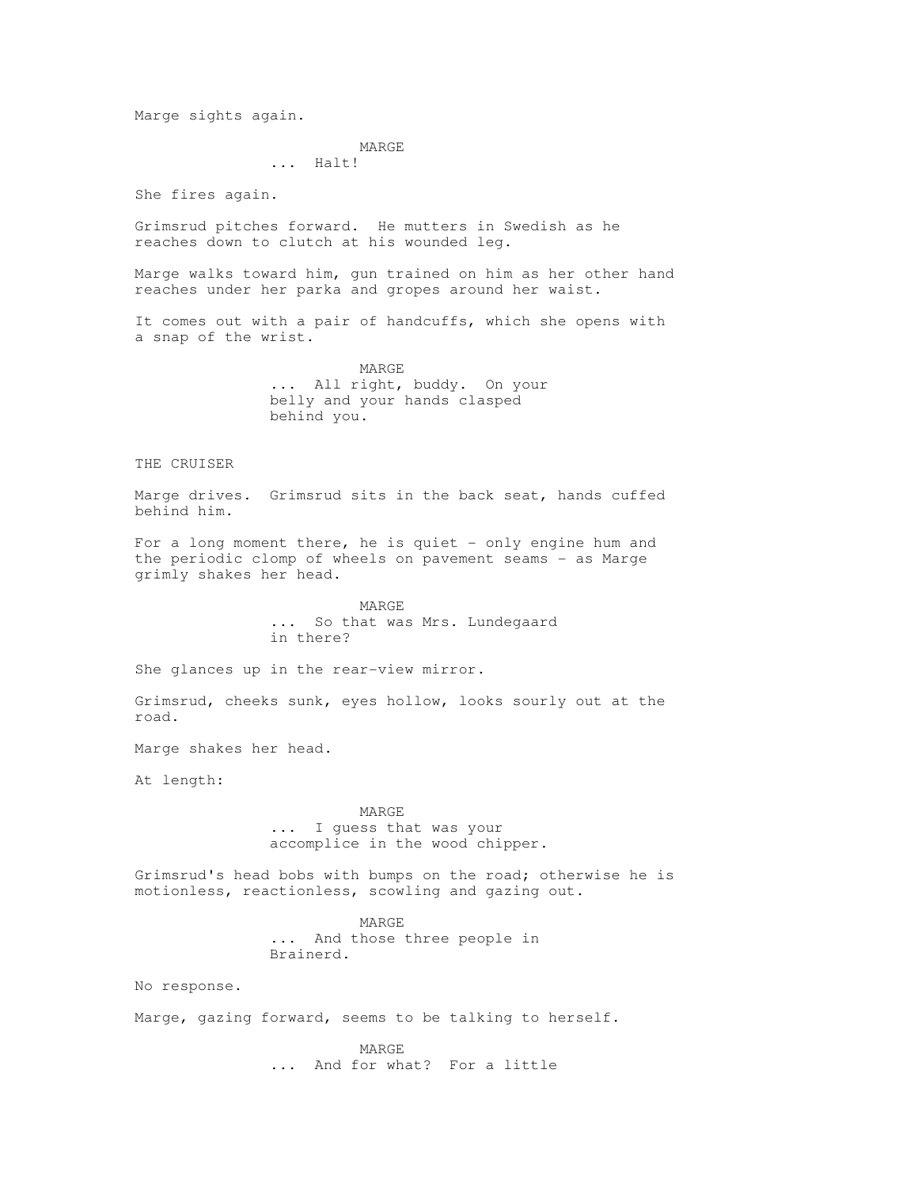Marge sights again.

#### MARGE

... Halt!

She fires again.

Grimsrud pitches forward. He mutters in Swedish as he reaches down to clutch at his wounded leg.

Marge walks toward him, gun trained on him as her other hand reaches under her parka and gropes around her waist.

It comes out with a pair of handcuffs, which she opens with a snap of the wrist.

> MARGE ... All right, buddy. On your belly and your hands clasped behind you.

## THE CRUISER

Marge drives. Grimsrud sits in the back seat, hands cuffed behind him.

For a long moment there, he is quiet - only engine hum and the periodic clomp of wheels on pavement seams - as Marge grimly shakes her head.

> MARGE ... So that was Mrs. Lundegaard in there?

She glances up in the rear-view mirror.

Grimsrud, cheeks sunk, eyes hollow, looks sourly out at the road.

Marge shakes her head.

At length:

 MARGE ... I guess that was your accomplice in the wood chipper.

Grimsrud's head bobs with bumps on the road; otherwise he is motionless, reactionless, scowling and gazing out.

> MARGE ... And those three people in Brainerd.

No response.

Marge, gazing forward, seems to be talking to herself.

 MARGE ... And for what? For a little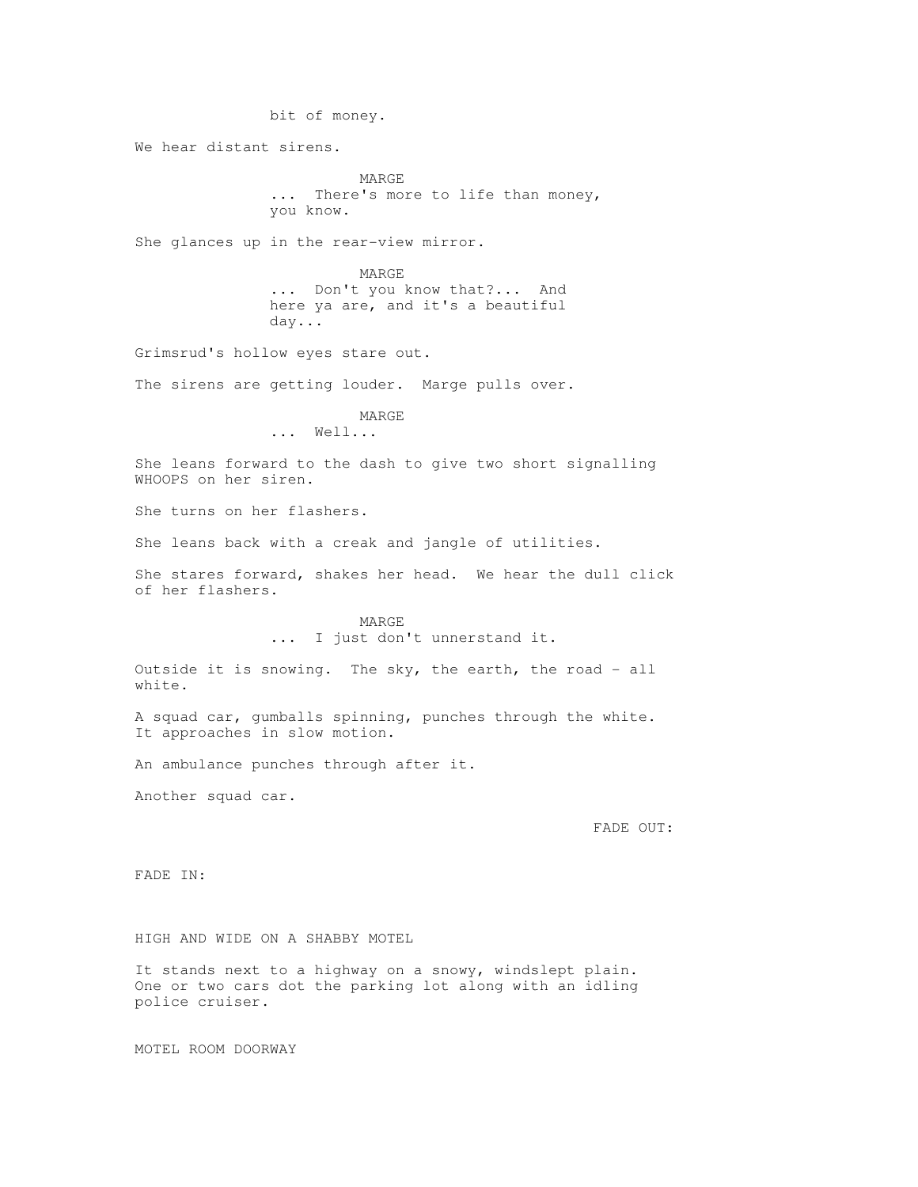bit of money. We hear distant sirens. MARGE ... There's more to life than money, you know. She glances up in the rear-view mirror. MARGE ... Don't you know that?... And here ya are, and it's a beautiful day... Grimsrud's hollow eyes stare out. The sirens are getting louder. Marge pulls over. MARGE ... Well... She leans forward to the dash to give two short signalling WHOOPS on her siren. She turns on her flashers. She leans back with a creak and jangle of utilities. She stares forward, shakes her head. We hear the dull click of her flashers. MARGE ... I just don't unnerstand it. Outside it is snowing. The sky, the earth, the road - all white. A squad car, gumballs spinning, punches through the white. It approaches in slow motion. An ambulance punches through after it. Another squad car. FADE OUT: FADE IN: HIGH AND WIDE ON A SHABBY MOTEL It stands next to a highway on a snowy, windslept plain.

One or two cars dot the parking lot along with an idling police cruiser.

MOTEL ROOM DOORWAY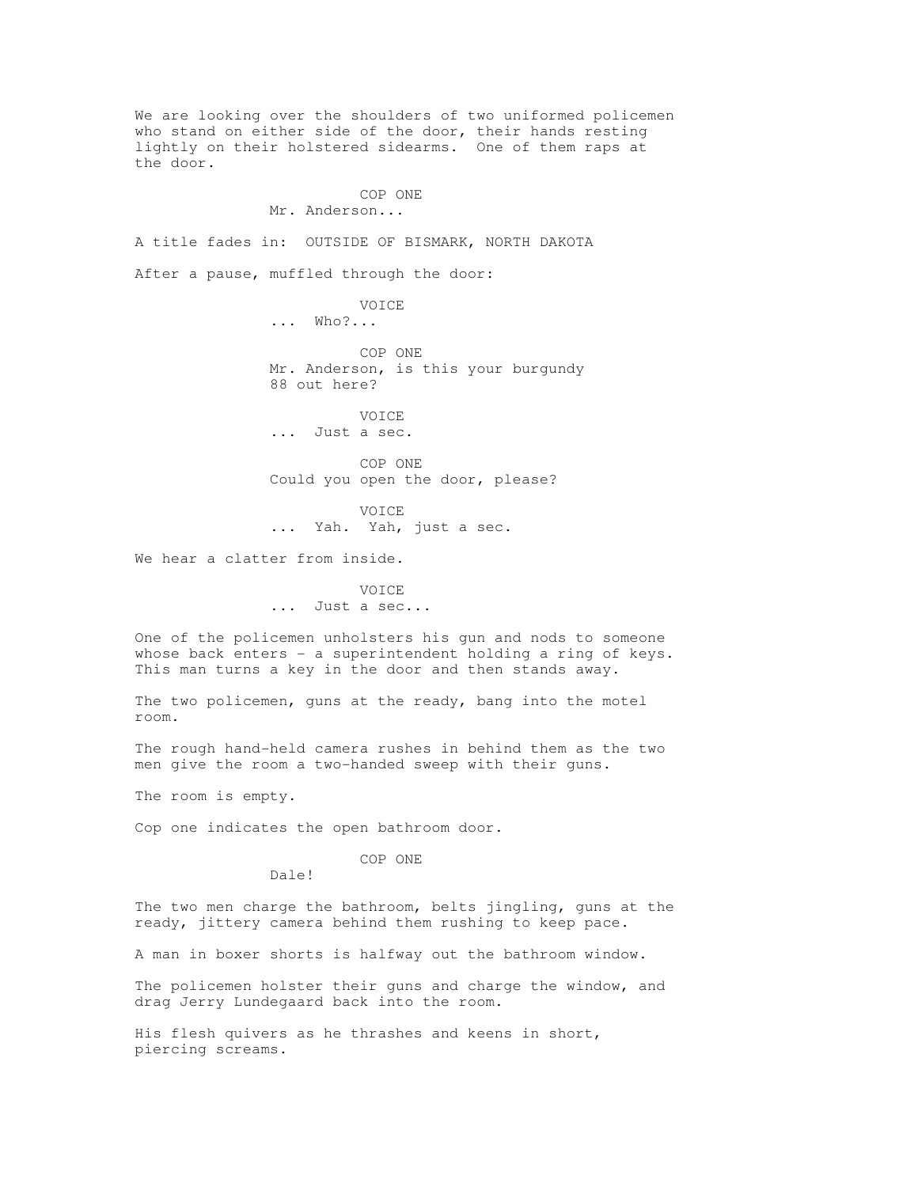We are looking over the shoulders of two uniformed policemen who stand on either side of the door, their hands resting lightly on their holstered sidearms. One of them raps at the door.

# COP ONE

Mr. Anderson...

A title fades in: OUTSIDE OF BISMARK, NORTH DAKOTA

After a pause, muffled through the door:

 VOICE ... Who?...

 COP ONE Mr. Anderson, is this your burgundy 88 out here?

 VOICE ... Just a sec.

 COP ONE Could you open the door, please?

 VOICE ... Yah. Yah, just a sec.

We hear a clatter from inside.

 VOICE ... Just a sec...

One of the policemen unholsters his gun and nods to someone whose back enters - a superintendent holding a ring of keys. This man turns a key in the door and then stands away.

The two policemen, guns at the ready, bang into the motel room.

The rough hand-held camera rushes in behind them as the two men give the room a two-handed sweep with their guns.

The room is empty.

Cop one indicates the open bathroom door.

COP ONE

Dale!

The two men charge the bathroom, belts jingling, guns at the ready, jittery camera behind them rushing to keep pace.

A man in boxer shorts is halfway out the bathroom window.

The policemen holster their guns and charge the window, and drag Jerry Lundegaard back into the room.

His flesh quivers as he thrashes and keens in short, piercing screams.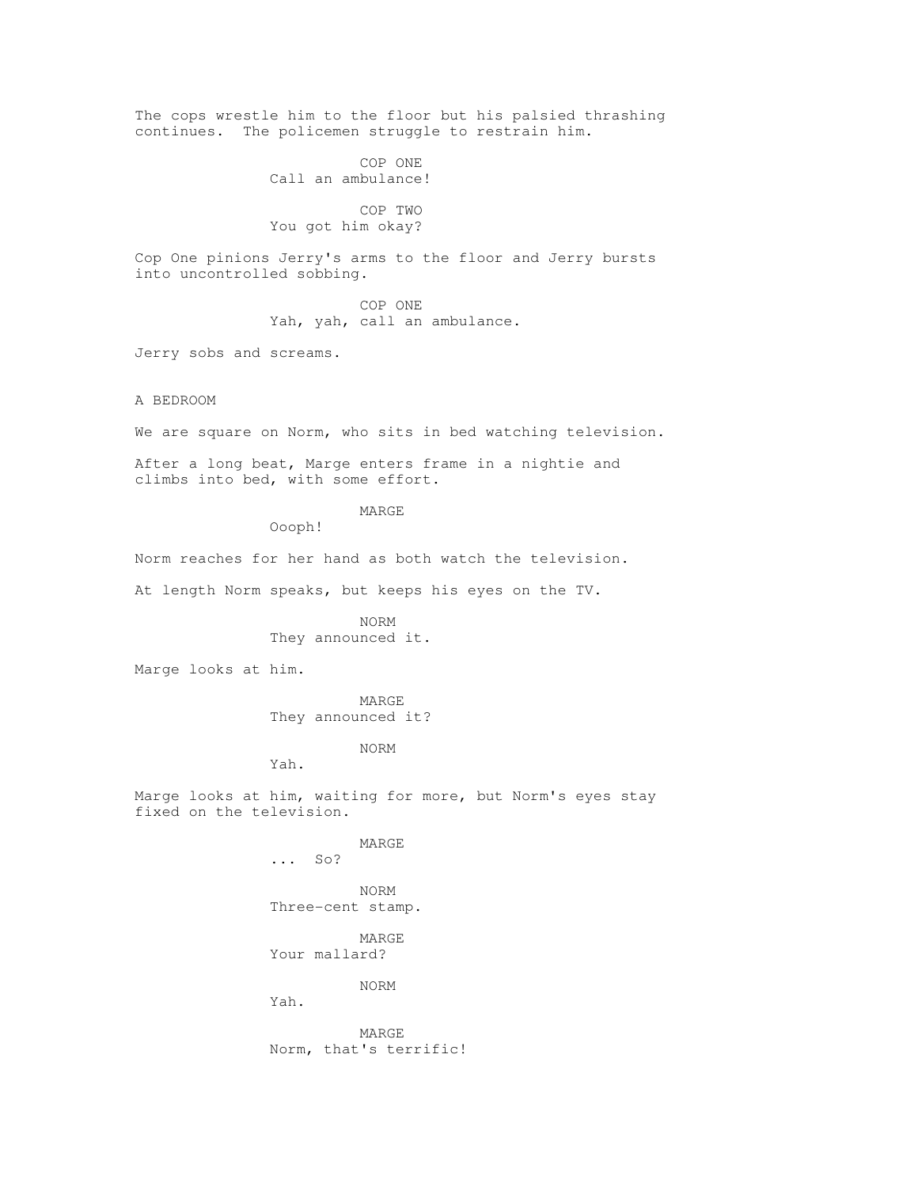The cops wrestle him to the floor but his palsied thrashing continues. The policemen struggle to restrain him.

> COP ONE Call an ambulance!

## COP TWO You got him okay?

Cop One pinions Jerry's arms to the floor and Jerry bursts into uncontrolled sobbing.

> COP ONE Yah, yah, call an ambulance.

Jerry sobs and screams.

A BEDROOM

We are square on Norm, who sits in bed watching television.

After a long beat, Marge enters frame in a nightie and climbs into bed, with some effort.

## MARGE

Oooph!

Norm reaches for her hand as both watch the television.

At length Norm speaks, but keeps his eyes on the TV.

 NORM They announced it.

Marge looks at him.

 MARGE They announced it?

## NORM

Yah.

Marge looks at him, waiting for more, but Norm's eyes stay fixed on the television.

MARGE

... So?

 NORM Three-cent stamp.

 MARGE Your mallard?

NORM

Yah.

 MARGE Norm, that's terrific!